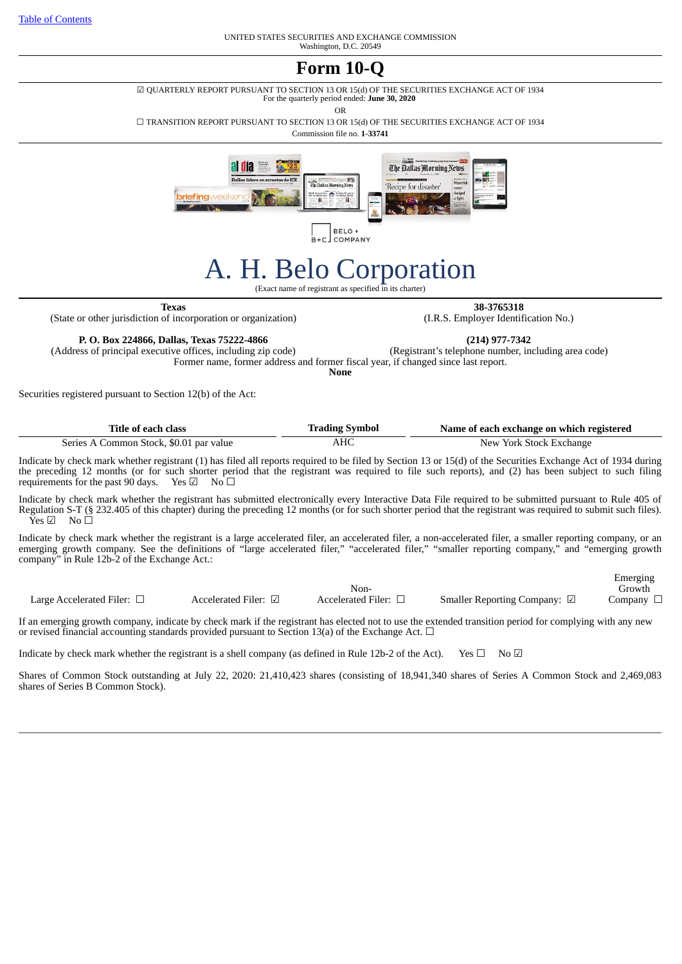UNITED STATES SECURITIES AND EXCHANGE COMMISSION Washington, D.C. 20549

# **Form 10-Q**

☑ QUARTERLY REPORT PURSUANT TO SECTION 13 OR 15(d) OF THE SECURITIES EXCHANGE ACT OF 1934

For the quarterly period ended: **June 30, 2020** OR

☐ TRANSITION REPORT PURSUANT TO SECTION 13 OR 15(d) OF THE SECURITIES EXCHANGE ACT OF 1934

Commission file no. **1-33741**



B+C\_COMPANY

# A. H. Belo Corporation

(Exact name of registrant as specified in its charter)

(State or other jurisdiction of incorporation or organization)

**Texas 38-3765318**<br>
of incorporation or organization) (I.R.S. Employer Identification No.)

Emerging

**P. O. Box 224866, Dallas, Texas 75222-4866 (214) 977-7342** (Address of principal executive offices, including zip code) Former name, former address and former fiscal year, if changed since last report.

**None**

Securities registered pursuant to Section 12(b) of the Act:

| Title of each class                     | <b>Trading Symbol</b> | Name of each exchange on which registered |
|-----------------------------------------|-----------------------|-------------------------------------------|
| Series A Common Stock, \$0.01 par value | AHC                   | New York Stock Exchange                   |

Indicate by check mark whether registrant (1) has filed all reports required to be filed by Section 13 or 15(d) of the Securities Exchange Act of 1934 during the preceding 12 months (or for such shorter period that the registrant was required to file such reports), and (2) has been subject to such filing requirements for the past 90 days. Yes  $\Box$  No  $\Box$ requirements for the past 90 days.

Indicate by check mark whether the registrant has submitted electronically every Interactive Data File required to be submitted pursuant to Rule 405 of Regulation S-T (§ 232.405 of this chapter) during the preceding 12 months (or for such shorter period that the registrant was required to submit such files).  $\bar{Y}$ es Ø No  $\Box$ 

Indicate by check mark whether the registrant is a large accelerated filer, an accelerated filer, a non-accelerated filer, a smaller reporting company, or an emerging growth company. See the definitions of "large accelerated filer," "accelerated filer," "smaller reporting company," and "emerging growth company" in Rule 12b-2 of the Exchange Act.:

|                            |                                | Non-                         |                              | ------------<br>Growth |
|----------------------------|--------------------------------|------------------------------|------------------------------|------------------------|
| Large Accelerated Filer: □ | Accelerated Filer: $\boxtimes$ | Accelerated Filer: $\square$ | Smaller Reporting Company: ☑ | Company ⊔              |

If an emerging growth company, indicate by check mark if the registrant has elected not to use the extended transition period for complying with any new or revised financial accounting standards provided pursuant to Section 13(a) of the Exchange Act.  $\Box$ 

Indicate by check mark whether the registrant is a shell company (as defined in Rule 12b-2 of the Act). Yes  $\Box$  No  $\Box$ 

Shares of Common Stock outstanding at July 22, 2020: 21,410,423 shares (consisting of 18,941,340 shares of Series A Common Stock and 2,469,083 shares of Series B Common Stock).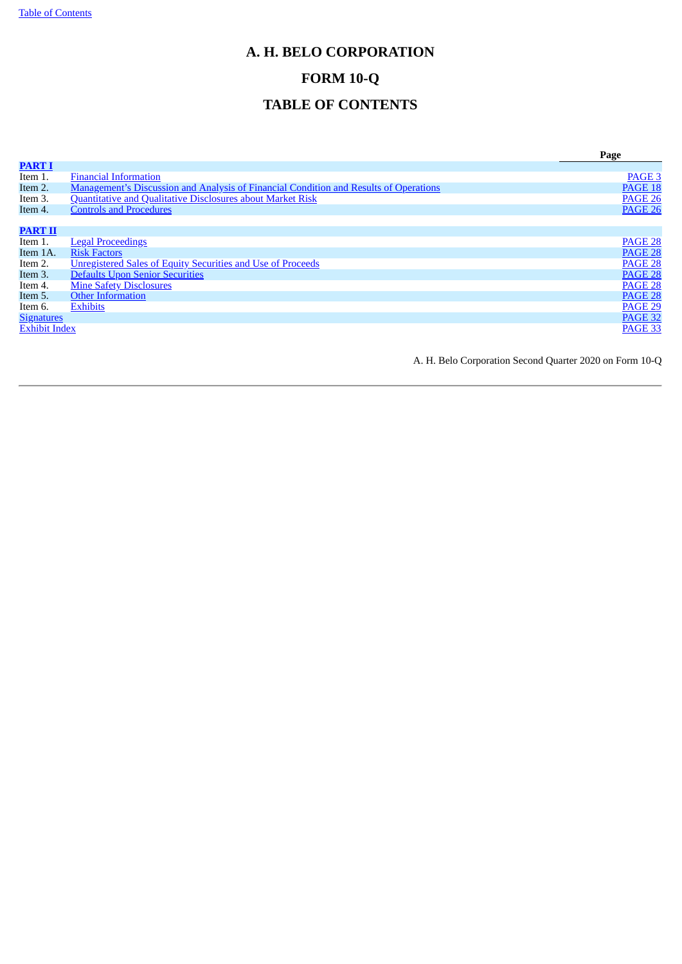# <span id="page-1-0"></span>**A. H. BELO CORPORATION**

# **FORM 10-Q**

# **TABLE OF CONTENTS**

|                      |                                                                                              | Page              |
|----------------------|----------------------------------------------------------------------------------------------|-------------------|
| <b>PART I</b>        |                                                                                              |                   |
| Item 1.              | <b>Financial Information</b>                                                                 | PAGE <sub>3</sub> |
| Item 2.              | <b>Management's Discussion and Analysis of Financial Condition and Results of Operations</b> | PAGE 18           |
| Item 3.              | Quantitative and Qualitative Disclosures about Market Risk                                   | <b>PAGE 26</b>    |
| Item 4.              | <b>Controls and Procedures</b>                                                               | <b>PAGE 26</b>    |
|                      |                                                                                              |                   |
| <b>PART II</b>       |                                                                                              |                   |
| Item 1.              | <b>Legal Proceedings</b>                                                                     | <b>PAGE 28</b>    |
| Item 1A.             | <b>Risk Factors</b>                                                                          | <b>PAGE 28</b>    |
| Item 2.              | <b>Unregistered Sales of Equity Securities and Use of Proceeds</b>                           | <b>PAGE 28</b>    |
| Item 3.              | Defaults Upon Senior Securities                                                              | <b>PAGE 28</b>    |
| Item 4.              | <b>Mine Safety Disclosures</b>                                                               | <b>PAGE 28</b>    |
| Item 5.              | <b>Other Information</b>                                                                     | <b>PAGE 28</b>    |
| Item 6.              | <b>Exhibits</b>                                                                              | <b>PAGE 29</b>    |
| <b>Signatures</b>    |                                                                                              | <b>PAGE 32</b>    |
| <b>Exhibit Index</b> |                                                                                              | <b>PAGE 33</b>    |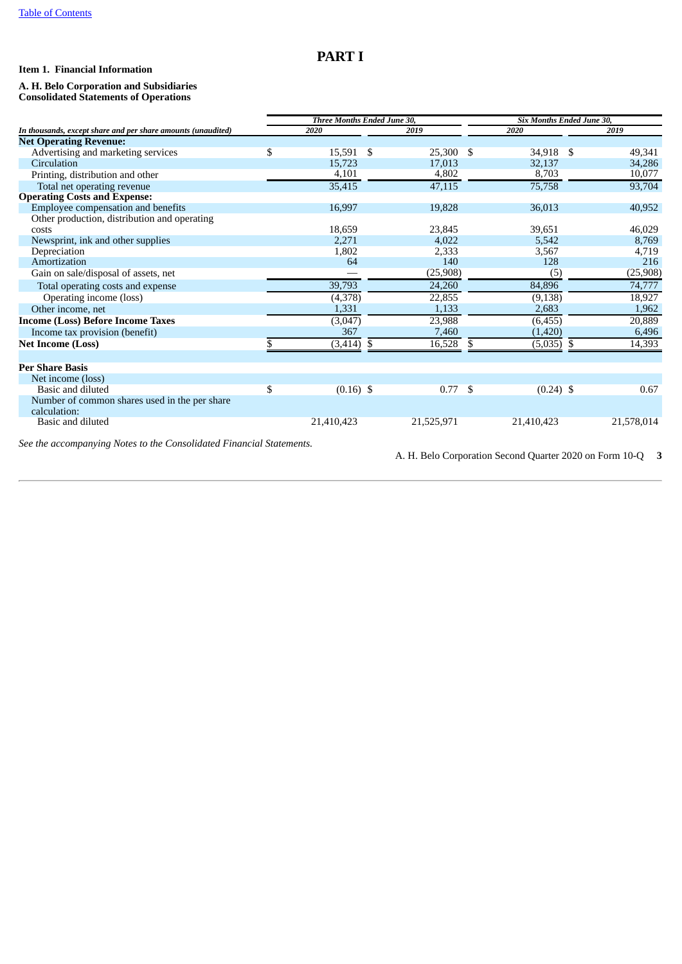# <span id="page-2-0"></span>**PART I**

# <span id="page-2-1"></span>**Item 1. Financial Information**

#### **A. H. Belo Corporation and Subsidiaries Consolidated Statements of Operations**

|                                                               | <b>Three Months Ended June 30.</b> |            | <b>Six Months Ended June 30.</b> |               |  |  |  |
|---------------------------------------------------------------|------------------------------------|------------|----------------------------------|---------------|--|--|--|
| In thousands, except share and per share amounts (unaudited)  | 2020                               | 2019       | 2020                             | 2019          |  |  |  |
| <b>Net Operating Revenue:</b>                                 |                                    |            |                                  |               |  |  |  |
| Advertising and marketing services                            | \$<br>15,591 \$                    | 25,300     | 34,918 \$<br>- \$                | 49,341        |  |  |  |
| Circulation                                                   | 15,723                             | 17,013     | 32,137                           | 34,286        |  |  |  |
| Printing, distribution and other                              | 4,101                              | 4,802      | 8,703                            | 10,077        |  |  |  |
| Total net operating revenue                                   | 35,415                             | 47,115     | 75,758                           | 93,704        |  |  |  |
| <b>Operating Costs and Expense:</b>                           |                                    |            |                                  |               |  |  |  |
| Employee compensation and benefits                            | 16,997                             | 19,828     | 36,013                           | 40,952        |  |  |  |
| Other production, distribution and operating                  |                                    |            |                                  |               |  |  |  |
| costs                                                         | 18,659                             | 23,845     | 39,651                           | 46,029        |  |  |  |
| Newsprint, ink and other supplies                             | 2,271                              | 4,022      | 5,542                            | 8,769         |  |  |  |
| Depreciation                                                  | 1,802                              | 2,333      | 3,567                            | 4,719         |  |  |  |
| Amortization                                                  | 64                                 | 140        | 128                              | 216           |  |  |  |
| Gain on sale/disposal of assets, net                          |                                    | (25,908)   | (5)                              | (25, 908)     |  |  |  |
| Total operating costs and expense                             | 39,793                             | 24,260     | 84,896                           | 74,777        |  |  |  |
| Operating income (loss)                                       | (4,378)                            | 22,855     | (9, 138)                         | 18,927        |  |  |  |
| Other income, net                                             | 1,331                              | 1,133      | 2,683                            | 1,962         |  |  |  |
| <b>Income (Loss) Before Income Taxes</b>                      | (3,047)                            | 23,988     | (6, 455)                         | 20,889        |  |  |  |
| Income tax provision (benefit)                                | 367                                | 7,460      | (1,420)                          | 6,496         |  |  |  |
| <b>Net Income (Loss)</b>                                      | (3, 414)<br>S                      | 16,528     | (5,035)<br>S                     | 14,393<br>-\$ |  |  |  |
| <b>Per Share Basis</b>                                        |                                    |            |                                  |               |  |  |  |
| Net income (loss)                                             |                                    |            |                                  |               |  |  |  |
| Basic and diluted                                             | \$<br>$(0.16)$ \$                  | 0.77       | - \$<br>$(0.24)$ \$              | 0.67          |  |  |  |
| Number of common shares used in the per share<br>calculation: |                                    |            |                                  |               |  |  |  |
| Basic and diluted                                             | 21,410,423                         | 21,525,971 | 21,410,423                       | 21,578,014    |  |  |  |

*See the accompanying Notes to the Consolidated Financial Statements.*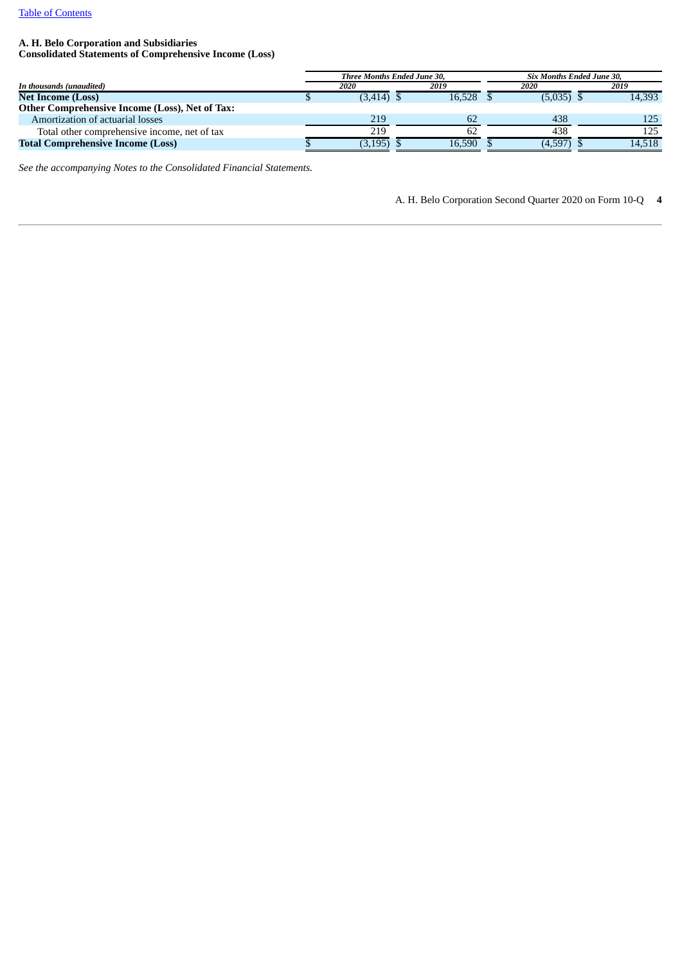# Table of [Contents](#page-1-0)

# **A. H. Belo Corporation and Subsidiaries**

**Consolidated Statements of Comprehensive Income (Loss)**

|                                                |  | <b>Three Months Ended June 30.</b> |           | Six Months Ended June 30. |              |  |        |
|------------------------------------------------|--|------------------------------------|-----------|---------------------------|--------------|--|--------|
| In thousands (unaudited)                       |  | 2020                               | 2019      |                           | 2020         |  | 2019   |
| <b>Net Income (Loss)</b>                       |  | $(3,414)$ \$                       | 16,528 \$ |                           | $(5,035)$ \$ |  | 14,393 |
| Other Comprehensive Income (Loss), Net of Tax: |  |                                    |           |                           |              |  |        |
| Amortization of actuarial losses               |  | 219                                | -62       |                           | 438          |  | 125    |
| Total other comprehensive income, net of tax   |  | 219                                | 62        |                           | 438          |  | 125    |
| <b>Total Comprehensive Income (Loss)</b>       |  | (3, 195)                           | 16,590    |                           | (4,597)      |  | 14,518 |

*See the accompanying Notes to the Consolidated Financial Statements.*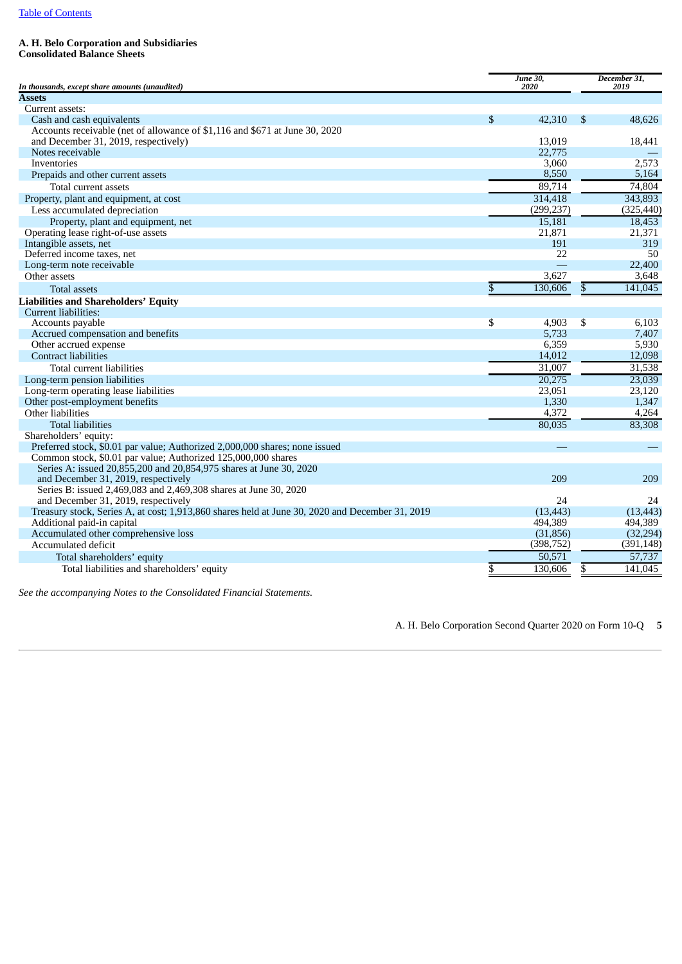# Table of [Contents](#page-1-0)

### **A. H. Belo Corporation and Subsidiaries**

**Consolidated Balance Sheets**

| In thousands, except share amounts (unaudited)                                                  | <b>June 30,</b><br>2020 | December 31,<br>2019 |
|-------------------------------------------------------------------------------------------------|-------------------------|----------------------|
| <b>Assets</b>                                                                                   |                         |                      |
| Current assets:                                                                                 |                         |                      |
| Cash and cash equivalents                                                                       | \$<br>42,310            | \$<br>48,626         |
| Accounts receivable (net of allowance of \$1,116 and \$671 at June 30, 2020                     |                         |                      |
| and December 31, 2019, respectively)                                                            | 13,019                  | 18,441               |
| Notes receivable                                                                                | 22,775                  |                      |
| Inventories                                                                                     | 3,060                   | 2,573                |
| Prepaids and other current assets                                                               | 8,550                   | 5,164                |
| Total current assets                                                                            | 89.714                  | 74,804               |
| Property, plant and equipment, at cost                                                          | 314,418                 | 343,893              |
| Less accumulated depreciation                                                                   | (299, 237)              | (325, 440)           |
| Property, plant and equipment, net                                                              | 15,181                  | 18,453               |
| Operating lease right-of-use assets                                                             | 21,871                  | 21,371               |
| Intangible assets, net                                                                          | 191                     | 319                  |
| Deferred income taxes, net                                                                      | 22                      | 50                   |
| Long-term note receivable                                                                       |                         | 22,400               |
| Other assets                                                                                    | 3,627                   | 3,648                |
| Total assets                                                                                    | \$<br>130,606           | \$<br>141.045        |
| <b>Liabilities and Shareholders' Equity</b>                                                     |                         |                      |
| Current liabilities:                                                                            |                         |                      |
| Accounts payable                                                                                | \$<br>4,903             | \$<br>6,103          |
| Accrued compensation and benefits                                                               | 5,733                   | 7,407                |
| Other accrued expense                                                                           | 6,359                   | 5,930                |
| <b>Contract liabilities</b>                                                                     | 14,012                  | 12,098               |
| Total current liabilities                                                                       | 31.007                  | 31,538               |
| Long-term pension liabilities                                                                   | 20,275                  | 23,039               |
| Long-term operating lease liabilities                                                           | 23,051                  | 23,120               |
| Other post-employment benefits                                                                  | 1,330                   | 1,347                |
| Other liabilities                                                                               | 4,372                   | 4,264                |
| <b>Total liabilities</b>                                                                        | 80,035                  | 83,308               |
| Shareholders' equity:                                                                           |                         |                      |
| Preferred stock, \$0.01 par value; Authorized 2,000,000 shares; none issued                     |                         |                      |
| Common stock, \$0.01 par value; Authorized 125,000,000 shares                                   |                         |                      |
| Series A: issued 20,855,200 and 20,854,975 shares at June 30, 2020                              |                         |                      |
| and December 31, 2019, respectively                                                             | 209                     | 209                  |
| Series B: issued 2,469,083 and 2,469,308 shares at June 30, 2020                                |                         |                      |
| and December 31, 2019, respectively                                                             | 24                      | 24                   |
| Treasury stock, Series A, at cost; 1,913,860 shares held at June 30, 2020 and December 31, 2019 | (13, 443)               | (13, 443)            |
| Additional paid-in capital                                                                      | 494,389                 | 494,389              |
| Accumulated other comprehensive loss                                                            | (31, 856)               | (32, 294)            |
| Accumulated deficit                                                                             | (398, 752)              | (391, 148)           |
| Total shareholders' equity                                                                      | 50,571                  | 57,737               |
| Total liabilities and shareholders' equity                                                      | \$<br>130,606           | \$<br>141,045        |

*See the accompanying Notes to the Consolidated Financial Statements.*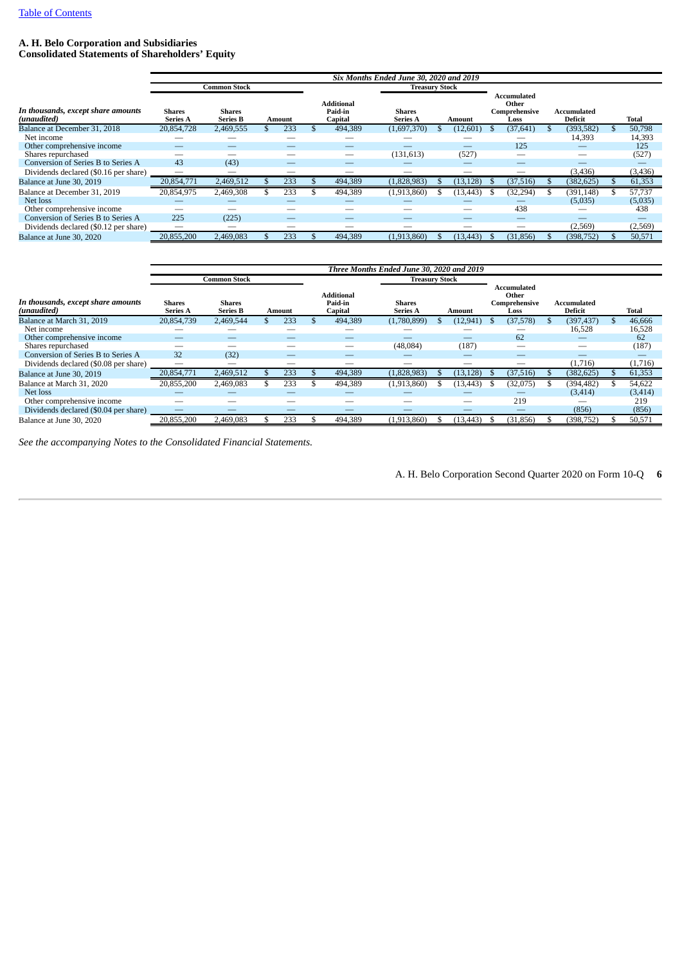# **A. H. Belo Corporation and Subsidiaries Consolidated Statements of Shareholders' Equity**

|                                                   | Six Months Ended June 30, 2020 and 2019 |                                  |  |        |  |                                         |                                  |  |           |  |                                               |  |                        |  |         |
|---------------------------------------------------|-----------------------------------------|----------------------------------|--|--------|--|-----------------------------------------|----------------------------------|--|-----------|--|-----------------------------------------------|--|------------------------|--|---------|
|                                                   |                                         | <b>Common Stock</b>              |  |        |  |                                         | <b>Treasury Stock</b>            |  |           |  |                                               |  |                        |  |         |
| In thousands, except share amounts<br>(unaudited) | <b>Shares</b><br><b>Series A</b>        | <b>Shares</b><br><b>Series B</b> |  | Amount |  | <b>Additional</b><br>Paid-in<br>Capital | <b>Shares</b><br><b>Series A</b> |  | Amount    |  | Accumulated<br>Other<br>Comprehensive<br>Loss |  | Accumulated<br>Deficit |  | Total   |
| Balance at December 31, 2018                      | 20,854,728                              | 2,469,555                        |  | 233    |  | 494,389                                 | (1,697,370)                      |  | (12,601)  |  | (37, 641)                                     |  | (393, 582)             |  | 50,798  |
| Net income                                        |                                         |                                  |  |        |  |                                         |                                  |  |           |  |                                               |  | 14,393                 |  | 14,393  |
| Other comprehensive income                        |                                         |                                  |  |        |  |                                         |                                  |  |           |  | 125                                           |  |                        |  | 125     |
| Shares repurchased                                |                                         |                                  |  |        |  |                                         | (131, 613)                       |  | (527)     |  |                                               |  |                        |  | (527)   |
| Conversion of Series B to Series A                | 43                                      | (43)                             |  |        |  |                                         |                                  |  |           |  |                                               |  |                        |  |         |
| Dividends declared (\$0.16 per share)             |                                         |                                  |  |        |  |                                         |                                  |  |           |  |                                               |  | (3,436)                |  | (3,436) |
| Balance at June 30, 2019                          | 20,854,771                              | 2,469,512                        |  | 233    |  | 494,389                                 | (1,828,983)                      |  | (13, 128) |  | (37, 516)                                     |  | (382, 625)             |  | 61,353  |
| Balance at December 31, 2019                      | 20,854,975                              | 2,469,308                        |  | 233    |  | 494,389                                 | (1,913,860)                      |  | (13, 443) |  | (32, 294)                                     |  | (391, 148)             |  | 57,737  |
| Net loss                                          |                                         |                                  |  |        |  | _                                       |                                  |  |           |  | __                                            |  | (5,035)                |  | (5,035) |
| Other comprehensive income                        |                                         |                                  |  |        |  | __                                      |                                  |  |           |  | 438                                           |  | __                     |  | 438     |
| Conversion of Series B to Series A                | 225                                     | (225)                            |  |        |  |                                         |                                  |  |           |  | __                                            |  |                        |  |         |
| Dividends declared (\$0.12 per share)             |                                         |                                  |  |        |  |                                         |                                  |  |           |  | –                                             |  | (2,569)                |  | (2,569) |
| Balance at June 30, 2020                          | 20,855,200                              | 2,469,083                        |  | 233    |  | 494,389                                 | (1,913,860)                      |  | (13, 443) |  | (31, 856)                                     |  | (398, 752)             |  | 50,571  |

|                                                   |                                  |                                  |               |                                         | Three Months Ended June 30, 2020 and 2019 |           |                                               |    |                        |          |          |
|---------------------------------------------------|----------------------------------|----------------------------------|---------------|-----------------------------------------|-------------------------------------------|-----------|-----------------------------------------------|----|------------------------|----------|----------|
|                                                   |                                  | <b>Common Stock</b>              |               |                                         | <b>Treasury Stock</b>                     |           |                                               |    |                        |          |          |
| In thousands, except share amounts<br>(unaudited) | <b>Shares</b><br><b>Series A</b> | <b>Shares</b><br><b>Series B</b> | <b>Amount</b> | <b>Additional</b><br>Paid-in<br>Capital | <b>Shares</b><br><b>Series A</b>          | Amount    | Accumulated<br>Other<br>Comprehensive<br>Loss |    | Accumulated<br>Deficit |          | Total    |
| Balance at March 31, 2019                         | 20,854,739                       | 2,469,544                        | 233           | 494,389                                 | (1,780,899)                               | (12, 941) | (37,578)                                      | -S | (397, 437)             | <b>J</b> | 46,666   |
| Net income                                        |                                  |                                  |               |                                         |                                           |           |                                               |    | 16,528                 |          | 16,528   |
| Other comprehensive income                        |                                  |                                  |               |                                         |                                           |           | 62                                            |    |                        |          | 62       |
| Shares repurchased                                |                                  |                                  |               |                                         | (48,084)                                  | (187)     |                                               |    |                        |          | (187)    |
| Conversion of Series B to Series A                | 32                               | (32)                             |               |                                         |                                           |           |                                               |    |                        |          |          |
| Dividends declared (\$0.08 per share)             |                                  |                                  |               |                                         |                                           |           |                                               |    | (1,716)                |          | (1,716)  |
| Balance at June 30, 2019                          | 20,854,771                       | 2,469,512                        | 233           | 494,389                                 | (1,828,983)                               | (13, 128) | (37, 516)                                     |    | (382, 625)             |          | 61,353   |
| Balance at March 31, 2020                         | 20,855,200                       | 2,469,083                        | 233           | 494,389                                 | (1,913,860)                               | (13, 443) | (32,075)                                      |    | (394, 482)             |          | 54,622   |
| Net loss                                          |                                  |                                  |               |                                         |                                           |           |                                               |    | (3, 414)               |          | (3, 414) |
| Other comprehensive income                        |                                  |                                  |               |                                         |                                           |           | 219                                           |    |                        |          | 219      |
| Dividends declared (\$0.04 per share)             |                                  |                                  |               |                                         |                                           |           |                                               |    | (856)                  |          | (856)    |
| Balance at June 30, 2020                          | 20,855,200                       | 2,469,083                        | 233           | 494,389                                 | (1,913,860)                               | (13, 443) | (31, 856)                                     |    | (398, 752)             |          | 50,571   |

*See the accompanying Notes to the Consolidated Financial Statements.*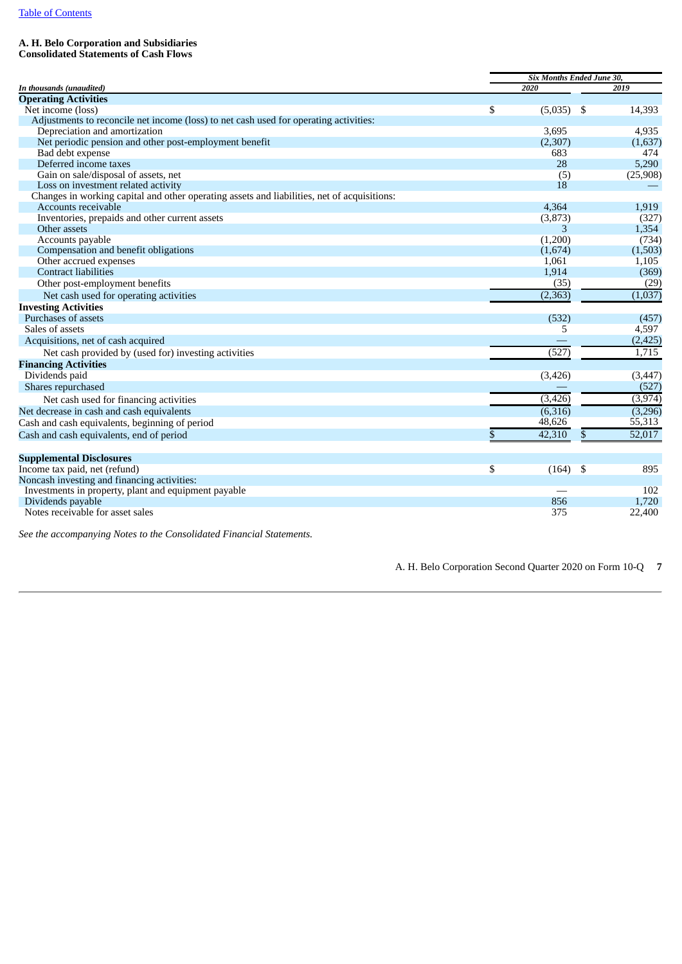# **A. H. Belo Corporation and Subsidiaries**

**Consolidated Statements of Cash Flows**

|                                                                                             |    | Six Months Ended June 30, |    |          |
|---------------------------------------------------------------------------------------------|----|---------------------------|----|----------|
| In thousands (unaudited)                                                                    |    | 2020                      |    | 2019     |
| <b>Operating Activities</b>                                                                 |    |                           |    |          |
| Net income (loss)                                                                           | \$ | (5,035)                   | \$ | 14,393   |
| Adjustments to reconcile net income (loss) to net cash used for operating activities:       |    |                           |    |          |
| Depreciation and amortization                                                               |    | 3,695                     |    | 4,935    |
| Net periodic pension and other post-employment benefit                                      |    | (2,307)                   |    | (1,637)  |
| Bad debt expense                                                                            |    | 683                       |    | 474      |
| Deferred income taxes                                                                       |    | 28                        |    | 5,290    |
| Gain on sale/disposal of assets, net                                                        |    | (5)                       |    | (25,908) |
| Loss on investment related activity                                                         |    | 18                        |    |          |
| Changes in working capital and other operating assets and liabilities, net of acquisitions: |    |                           |    |          |
| Accounts receivable                                                                         |    | 4,364                     |    | 1,919    |
| Inventories, prepaids and other current assets                                              |    | (3,873)                   |    | (327)    |
| Other assets                                                                                |    | 3                         |    | 1,354    |
| Accounts payable                                                                            |    | (1,200)                   |    | (734)    |
| Compensation and benefit obligations                                                        |    | (1,674)                   |    | (1,503)  |
| Other accrued expenses                                                                      |    | 1,061                     |    | 1,105    |
| <b>Contract liabilities</b>                                                                 |    | 1,914                     |    | (369)    |
| Other post-employment benefits                                                              |    | (35)                      |    | (29)     |
| Net cash used for operating activities                                                      |    | (2, 363)                  |    | (1,037)  |
| <b>Investing Activities</b>                                                                 |    |                           |    |          |
| Purchases of assets                                                                         |    | (532)                     |    | (457)    |
| Sales of assets                                                                             |    | 5                         |    | 4,597    |
| Acquisitions, net of cash acquired                                                          |    |                           |    | (2, 425) |
| Net cash provided by (used for) investing activities                                        |    | (527)                     |    | 1,715    |
| <b>Financing Activities</b>                                                                 |    |                           |    |          |
| Dividends paid                                                                              |    | (3, 426)                  |    | (3, 447) |
| Shares repurchased                                                                          |    |                           |    | (527)    |
| Net cash used for financing activities                                                      |    | (3, 426)                  |    | (3, 974) |
| Net decrease in cash and cash equivalents                                                   |    | (6,316)                   |    | (3,296)  |
| Cash and cash equivalents, beginning of period                                              |    | 48,626                    |    | 55,313   |
| Cash and cash equivalents, end of period                                                    |    | 42,310                    | \$ | 52,017   |
|                                                                                             |    |                           |    |          |
| <b>Supplemental Disclosures</b>                                                             |    |                           |    |          |
| Income tax paid, net (refund)                                                               | \$ | (164)                     | \$ | 895      |
| Noncash investing and financing activities:                                                 |    |                           |    |          |
| Investments in property, plant and equipment payable                                        |    |                           |    | 102      |
| Dividends payable                                                                           |    | 856                       |    | 1,720    |
| Notes receivable for asset sales                                                            |    | 375                       |    | 22,400   |

*See the accompanying Notes to the Consolidated Financial Statements.*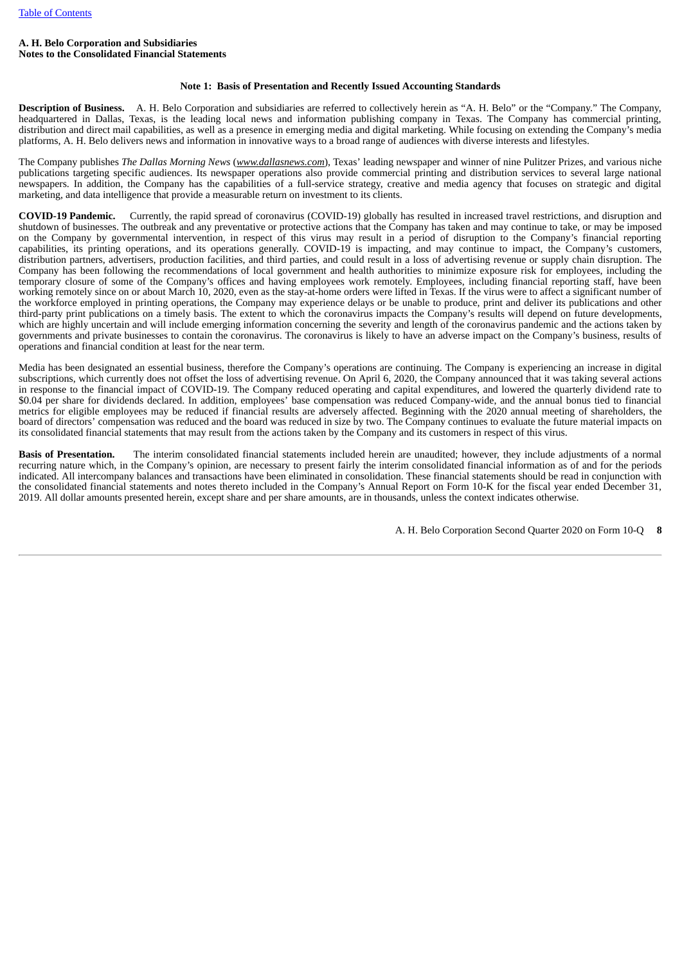### **A. H. Belo Corporation and Subsidiaries Notes to the Consolidated Financial Statements**

# **Note 1: Basis of Presentation and Recently Issued Accounting Standards**

**Description of Business.** A. H. Belo Corporation and subsidiaries are referred to collectively herein as "A. H. Belo" or the "Company." The Company, headquartered in Dallas, Texas, is the leading local news and information publishing company in Texas. The Company has commercial printing, distribution and direct mail capabilities, as well as a presence in emerging media and digital marketing. While focusing on extending the Company's media platforms, A. H. Belo delivers news and information in innovative ways to a broad range of audiences with diverse interests and lifestyles.

The Company publishes *The Dallas Morning News* (*www.dallasnews.com*), Texas' leading newspaper and winner of nine Pulitzer Prizes, and various niche publications targeting specific audiences. Its newspaper operations also provide commercial printing and distribution services to several large national newspapers. In addition, the Company has the capabilities of a full-service strategy, creative and media agency that focuses on strategic and digital marketing, and data intelligence that provide a measurable return on investment to its clients.

**COVID-19 Pandemic.** Currently, the rapid spread of coronavirus (COVID-19) globally has resulted in increased travel restrictions, and disruption and shutdown of businesses. The outbreak and any preventative or protective actions that the Company has taken and may continue to take, or may be imposed on the Company by governmental intervention, in respect of this virus may result in a period of disruption to the Company's financial reporting capabilities, its printing operations, and its operations generally. COVID-19 is impacting, and may continue to impact, the Company's customers, distribution partners, advertisers, production facilities, and third parties, and could result in a loss of advertising revenue or supply chain disruption. The Company has been following the recommendations of local government and health authorities to minimize exposure risk for employees, including the temporary closure of some of the Company's offices and having employees work remotely. Employees, including financial reporting staff, have been working remotely since on or about March 10, 2020, even as the stay-at-home orders were lifted in Texas. If the virus were to affect a significant number of the workforce employed in printing operations, the Company may experience delays or be unable to produce, print and deliver its publications and other third-party print publications on a timely basis. The extent to which the coronavirus impacts the Company's results will depend on future developments, which are highly uncertain and will include emerging information concerning the severity and length of the coronavirus pandemic and the actions taken by governments and private businesses to contain the coronavirus. The coronavirus is likely to have an adverse impact on the Company's business, results of operations and financial condition at least for the near term.

Media has been designated an essential business, therefore the Company's operations are continuing. The Company is experiencing an increase in digital subscriptions, which currently does not offset the loss of advertising revenue. On April 6, 2020, the Company announced that it was taking several actions in response to the financial impact of COVID-19. The Company reduced operating and capital expenditures, and lowered the quarterly dividend rate to \$0.04 per share for dividends declared. In addition, employees' base compensation was reduced Company-wide, and the annual bonus tied to financial metrics for eligible employees may be reduced if financial results are adversely affected. Beginning with the 2020 annual meeting of shareholders, the board of directors' compensation was reduced and the board was reduced in size by two. The Company continues to evaluate the future material impacts on its consolidated financial statements that may result from the actions taken by the Company and its customers in respect of this virus.

**Basis of Presentation.** The interim consolidated financial statements included herein are unaudited; however, they include adjustments of a normal recurring nature which, in the Company's opinion, are necessary to present fairly the interim consolidated financial information as of and for the periods indicated. All intercompany balances and transactions have been eliminated in consolidation. These financial statements should be read in conjunction with the consolidated financial statements and notes thereto included in the Company's Annual Report on Form 10-K for the fiscal year ended December 31, 2019. All dollar amounts presented herein, except share and per share amounts, are in thousands, unless the context indicates otherwise.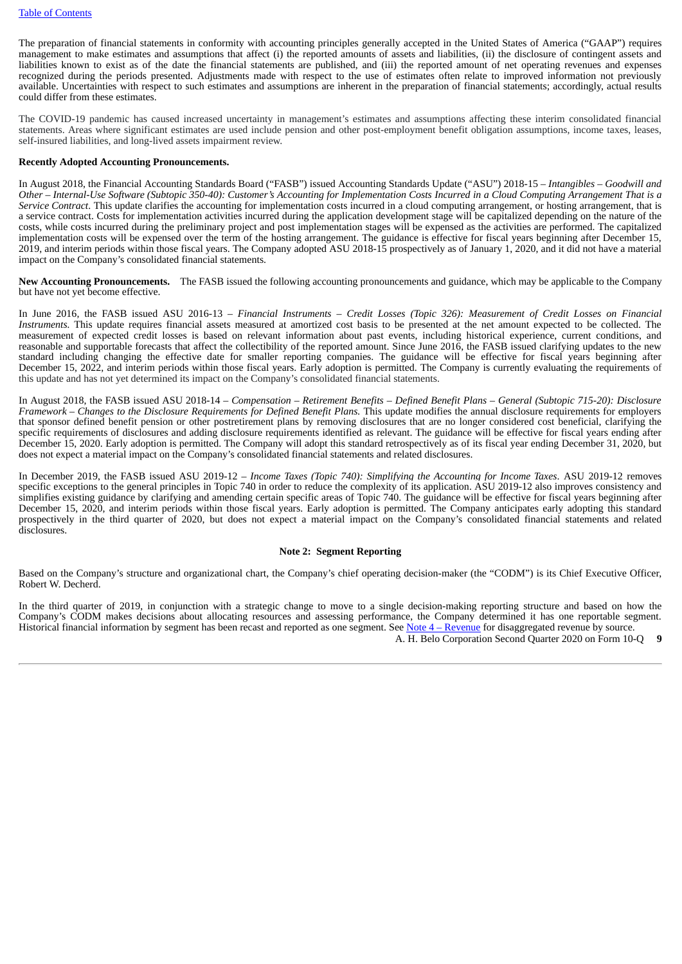The preparation of financial statements in conformity with accounting principles generally accepted in the United States of America ("GAAP") requires management to make estimates and assumptions that affect (i) the reported amounts of assets and liabilities, (ii) the disclosure of contingent assets and liabilities known to exist as of the date the financial statements are published, and (iii) the reported amount of net operating revenues and expenses recognized during the periods presented. Adjustments made with respect to the use of estimates often relate to improved information not previously available. Uncertainties with respect to such estimates and assumptions are inherent in the preparation of financial statements; accordingly, actual results could differ from these estimates.

The COVID-19 pandemic has caused increased uncertainty in management's estimates and assumptions affecting these interim consolidated financial statements. Areas where significant estimates are used include pension and other post-employment benefit obligation assumptions, income taxes, leases, self-insured liabilities, and long-lived assets impairment review.

#### **Recently Adopted Accounting Pronouncements.**

In August 2018, the Financial Accounting Standards Board ("FASB") issued Accounting Standards Update ("ASU") 2018-15 – *Intangibles – Goodwill and* Other - Internal-Use Software (Subtopic 350-40): Customer's Accounting for Implementation Costs Incurred in a Cloud Computing Arrangement That is a *Service Contract*. This update clarifies the accounting for implementation costs incurred in a cloud computing arrangement, or hosting arrangement, that is a service contract. Costs for implementation activities incurred during the application development stage will be capitalized depending on the nature of the costs, while costs incurred during the preliminary project and post implementation stages will be expensed as the activities are performed. The capitalized implementation costs will be expensed over the term of the hosting arrangement. The guidance is effective for fiscal years beginning after December 15, 2019, and interim periods within those fiscal years. The Company adopted ASU 2018-15 prospectively as of January 1, 2020, and it did not have a material impact on the Company's consolidated financial statements.

**New Accounting Pronouncements.** The FASB issued the following accounting pronouncements and guidance, which may be applicable to the Company but have not yet become effective.

In June 2016, the FASB issued ASU 2016-13 - Financial Instruments - Credit Losses (Topic 326): Measurement of Credit Losses on Financial *Instruments.* This update requires financial assets measured at amortized cost basis to be presented at the net amount expected to be collected. The measurement of expected credit losses is based on relevant information about past events, including historical experience, current conditions, and reasonable and supportable forecasts that affect the collectibility of the reported amount. Since June 2016, the FASB issued clarifying updates to the new standard including changing the effective date for smaller reporting companies. The guidance will be effective for fiscal years beginning after December 15, 2022, and interim periods within those fiscal years. Early adoption is permitted. The Company is currently evaluating the requirements of this update and has not yet determined its impact on the Company's consolidated financial statements.

In August 2018, the FASB issued ASU 2018-14 - Compensation - Retirement Benefits - Defined Benefit Plans - General (Subtopic 715-20): Disclosure *Framework* – *Changes to the Disclosure Requirements for Defined Benefit Plans.* This update modifies the annual disclosure requirements for employers that sponsor defined benefit pension or other postretirement plans by removing disclosures that are no longer considered cost beneficial, clarifying the specific requirements of disclosures and adding disclosure requirements identified as relevant. The guidance will be effective for fiscal years ending after December 15, 2020. Early adoption is permitted. The Company will adopt this standard retrospectively as of its fiscal year ending December 31, 2020, but does not expect a material impact on the Company's consolidated financial statements and related disclosures.

In December 2019, the FASB issued ASU 2019-12 – *Income Taxes (Topic 740): Simplifying the Accounting for Income Taxes*. ASU 2019-12 removes specific exceptions to the general principles in Topic 740 in order to reduce the complexity of its application. ASU 2019-12 also improves consistency and simplifies existing guidance by clarifying and amending certain specific areas of Topic 740. The guidance will be effective for fiscal years beginning after December 15, 2020, and interim periods within those fiscal years. Early adoption is permitted. The Company anticipates early adopting this standard prospectively in the third quarter of 2020, but does not expect a material impact on the Company's consolidated financial statements and related disclosures.

#### **Note 2: Segment Reporting**

<span id="page-8-0"></span>Based on the Company's structure and organizational chart, the Company's chief operating decision-maker (the "CODM") is its Chief Executive Officer, Robert W. Decherd.

In the third quarter of 2019, in conjunction with a strategic change to move to a single decision-making reporting structure and based on how the Company's CODM makes decisions about allocating resources and assessing performance, the Company determined it has one reportable segment. Historical financial information by segment has been recast and reported as one segment. See Note 4 – [Revenue](#page-9-0) for disaggregated revenue by source.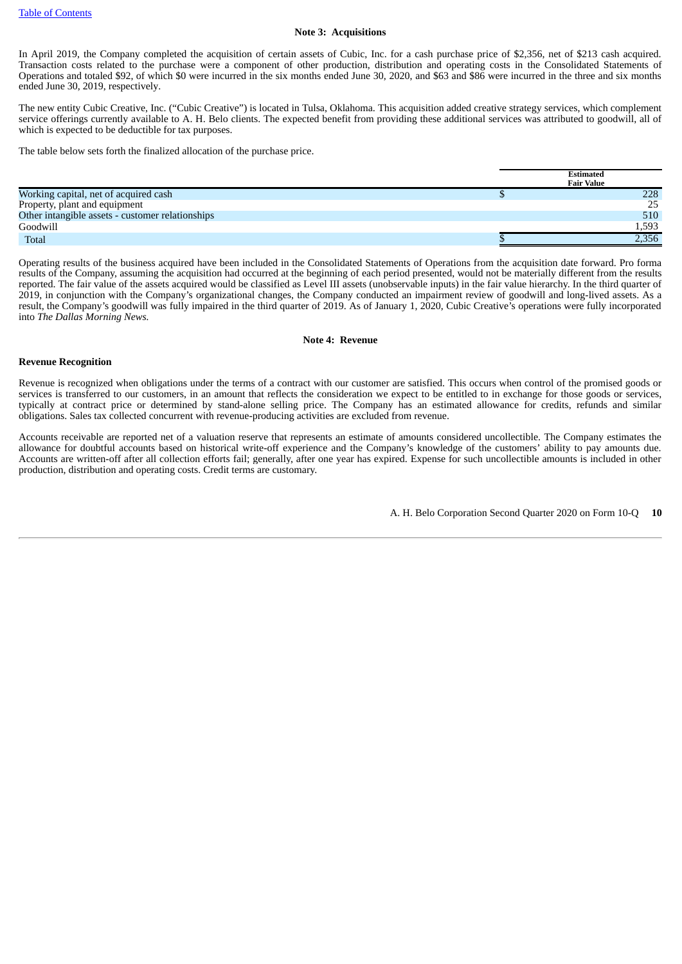#### **Note 3: Acquisitions**

In April 2019, the Company completed the acquisition of certain assets of Cubic, Inc. for a cash purchase price of \$2,356, net of \$213 cash acquired. Transaction costs related to the purchase were a component of other production, distribution and operating costs in the Consolidated Statements of Operations and totaled \$92, of which \$0 were incurred in the six months ended June 30, 2020, and \$63 and \$86 were incurred in the three and six months ended June 30, 2019, respectively.

The new entity Cubic Creative, Inc. ("Cubic Creative") is located in Tulsa, Oklahoma. This acquisition added creative strategy services, which complement service offerings currently available to A. H. Belo clients. The expected benefit from providing these additional services was attributed to goodwill, all of which is expected to be deductible for tax purposes.

The table below sets forth the finalized allocation of the purchase price.

|                                                  | Estimated<br><b>Fair Value</b> |
|--------------------------------------------------|--------------------------------|
| Working capital, net of acquired cash            | 228                            |
| Property, plant and equipment                    | 25                             |
| Other intangible assets - customer relationships | 510                            |
| Goodwill                                         | 1,593                          |
| <b>Total</b>                                     | 2,356                          |

Operating results of the business acquired have been included in the Consolidated Statements of Operations from the acquisition date forward. Pro forma results of the Company, assuming the acquisition had occurred at the beginning of each period presented, would not be materially different from the results reported. The fair value of the assets acquired would be classified as Level III assets (unobservable inputs) in the fair value hierarchy. In the third quarter of 2019, in conjunction with the Company's organizational changes, the Company conducted an impairment review of goodwill and long-lived assets. As a result, the Company's goodwill was fully impaired in the third quarter of 2019. As of January 1, 2020, Cubic Creative's operations were fully incorporated into *The Dallas Morning News.*

#### **Note 4: Revenue**

#### <span id="page-9-0"></span>**Revenue Recognition**

Revenue is recognized when obligations under the terms of a contract with our customer are satisfied. This occurs when control of the promised goods or services is transferred to our customers, in an amount that reflects the consideration we expect to be entitled to in exchange for those goods or services, typically at contract price or determined by stand-alone selling price. The Company has an estimated allowance for credits, refunds and similar obligations. Sales tax collected concurrent with revenue-producing activities are excluded from revenue.

Accounts receivable are reported net of a valuation reserve that represents an estimate of amounts considered uncollectible. The Company estimates the allowance for doubtful accounts based on historical write-off experience and the Company's knowledge of the customers' ability to pay amounts due. Accounts are written-off after all collection efforts fail; generally, after one year has expired. Expense for such uncollectible amounts is included in other production, distribution and operating costs. Credit terms are customary.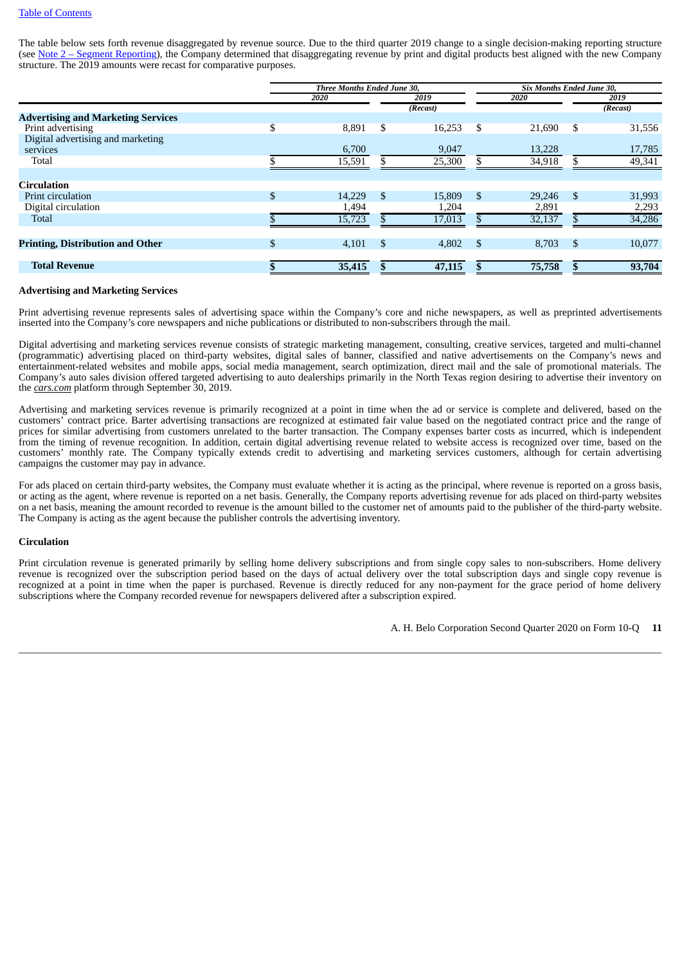The table below sets forth revenue disaggregated by revenue source. Due to the third quarter 2019 change to a single decision-making reporting structure (see Note  $2$  – Segment [Reporting\)](#page-8-0), the Company determined that disaggregating revenue by print and digital products best aligned with the new Company structure. The 2019 amounts were recast for comparative purposes.

|                                           | Three Months Ended June 30, |               |          |               | Six Months Ended June 30, |     |          |  |
|-------------------------------------------|-----------------------------|---------------|----------|---------------|---------------------------|-----|----------|--|
|                                           | 2020                        |               | 2019     | 2020          |                           |     | 2019     |  |
|                                           |                             |               | (Recast) |               |                           |     | (Recast) |  |
| <b>Advertising and Marketing Services</b> |                             |               |          |               |                           |     |          |  |
| Print advertising                         | \$<br>8,891                 | \$            | 16,253   | \$            | 21,690                    | S.  | 31,556   |  |
| Digital advertising and marketing         |                             |               |          |               |                           |     |          |  |
| services                                  | 6,700                       |               | 9,047    |               | 13,228                    |     | 17,785   |  |
| Total                                     | 15,591                      |               | 25,300   |               | 34,918                    |     | 49,341   |  |
|                                           |                             |               |          |               |                           |     |          |  |
| <b>Circulation</b>                        |                             |               |          |               |                           |     |          |  |
| Print circulation                         | \$<br>14,229                | <sup>\$</sup> | 15,809   | <sup>\$</sup> | 29,246                    | -\$ | 31,993   |  |
| Digital circulation                       | 1,494                       |               | 1,204    |               | 2,891                     |     | 2,293    |  |
| Total                                     | 15,723                      |               | 17,013   |               | 32,137                    |     | 34,286   |  |
|                                           |                             |               |          |               |                           |     |          |  |
| <b>Printing, Distribution and Other</b>   | \$<br>4,101                 | <sup>\$</sup> | 4,802    | <sup>\$</sup> | 8,703                     | -S  | 10,077   |  |
| <b>Total Revenue</b>                      |                             |               |          |               |                           |     |          |  |
|                                           | 35,415                      |               | 47,115   |               | 75,758                    |     | 93,704   |  |

#### **Advertising and Marketing Services**

Print advertising revenue represents sales of advertising space within the Company's core and niche newspapers, as well as preprinted advertisements inserted into the Company's core newspapers and niche publications or distributed to non-subscribers through the mail.

Digital advertising and marketing services revenue consists of strategic marketing management, consulting, creative services, targeted and multi-channel (programmatic) advertising placed on third-party websites, digital sales of banner, classified and native advertisements on the Company's news and entertainment-related websites and mobile apps, social media management, search optimization, direct mail and the sale of promotional materials. The Company's auto sales division offered targeted advertising to auto dealerships primarily in the North Texas region desiring to advertise their inventory on the *cars.com* platform through September 30, 2019.

Advertising and marketing services revenue is primarily recognized at a point in time when the ad or service is complete and delivered, based on the customers' contract price. Barter advertising transactions are recognized at estimated fair value based on the negotiated contract price and the range of prices for similar advertising from customers unrelated to the barter transaction. The Company expenses barter costs as incurred, which is independent from the timing of revenue recognition. In addition, certain digital advertising revenue related to website access is recognized over time, based on the customers' monthly rate. The Company typically extends credit to advertising and marketing services customers, although for certain advertising campaigns the customer may pay in advance.

For ads placed on certain third-party websites, the Company must evaluate whether it is acting as the principal, where revenue is reported on a gross basis, or acting as the agent, where revenue is reported on a net basis. Generally, the Company reports advertising revenue for ads placed on third-party websites on a net basis, meaning the amount recorded to revenue is the amount billed to the customer net of amounts paid to the publisher of the third-party website. The Company is acting as the agent because the publisher controls the advertising inventory.

#### **Circulation**

Print circulation revenue is generated primarily by selling home delivery subscriptions and from single copy sales to non-subscribers. Home delivery revenue is recognized over the subscription period based on the days of actual delivery over the total subscription days and single copy revenue is recognized at a point in time when the paper is purchased. Revenue is directly reduced for any non-payment for the grace period of home delivery subscriptions where the Company recorded revenue for newspapers delivered after a subscription expired.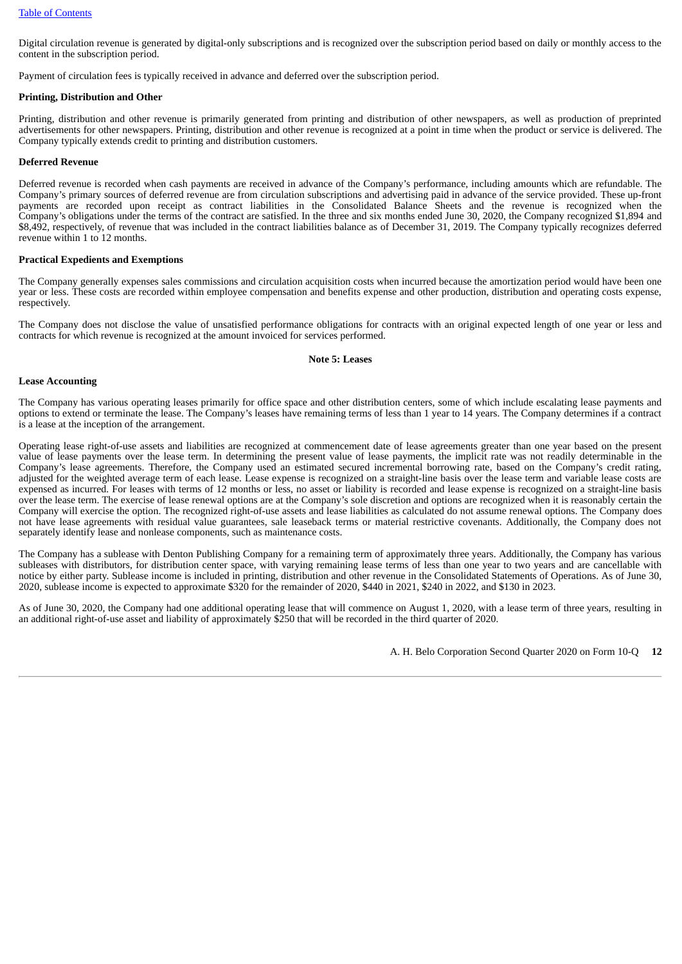Digital circulation revenue is generated by digital-only subscriptions and is recognized over the subscription period based on daily or monthly access to the content in the subscription period.

Payment of circulation fees is typically received in advance and deferred over the subscription period.

#### **Printing, Distribution and Other**

Printing, distribution and other revenue is primarily generated from printing and distribution of other newspapers, as well as production of preprinted advertisements for other newspapers. Printing, distribution and other revenue is recognized at a point in time when the product or service is delivered. The Company typically extends credit to printing and distribution customers.

#### **Deferred Revenue**

Deferred revenue is recorded when cash payments are received in advance of the Company's performance, including amounts which are refundable. The Company's primary sources of deferred revenue are from circulation subscriptions and advertising paid in advance of the service provided. These up-front payments are recorded upon receipt as contract liabilities in the Consolidated Balance Sheets and the revenue is recognized when the Company's obligations under the terms of the contract are satisfied. In the three and six months ended June 30, 2020, the Company recognized \$1,894 and \$8,492, respectively, of revenue that was included in the contract liabilities balance as of December 31, 2019. The Company typically recognizes deferred revenue within 1 to 12 months.

#### **Practical Expedients and Exemptions**

The Company generally expenses sales commissions and circulation acquisition costs when incurred because the amortization period would have been one year or less. These costs are recorded within employee compensation and benefits expense and other production, distribution and operating costs expense, respectively.

The Company does not disclose the value of unsatisfied performance obligations for contracts with an original expected length of one year or less and contracts for which revenue is recognized at the amount invoiced for services performed.

#### **Note 5: Leases**

#### <span id="page-11-0"></span>**Lease Accounting**

The Company has various operating leases primarily for office space and other distribution centers, some of which include escalating lease payments and options to extend or terminate the lease. The Company's leases have remaining terms of less than 1 year to 14 years. The Company determines if a contract is a lease at the inception of the arrangement.

Operating lease right-of-use assets and liabilities are recognized at commencement date of lease agreements greater than one year based on the present value of lease payments over the lease term. In determining the present value of lease payments, the implicit rate was not readily determinable in the Company's lease agreements. Therefore, the Company used an estimated secured incremental borrowing rate, based on the Company's credit rating, adjusted for the weighted average term of each lease. Lease expense is recognized on a straight-line basis over the lease term and variable lease costs are expensed as incurred. For leases with terms of 12 months or less, no asset or liability is recorded and lease expense is recognized on a straight-line basis over the lease term. The exercise of lease renewal options are at the Company's sole discretion and options are recognized when it is reasonably certain the Company will exercise the option. The recognized right-of-use assets and lease liabilities as calculated do not assume renewal options. The Company does not have lease agreements with residual value guarantees, sale leaseback terms or material restrictive covenants. Additionally, the Company does not separately identify lease and nonlease components, such as maintenance costs.

The Company has a sublease with Denton Publishing Company for a remaining term of approximately three years. Additionally, the Company has various subleases with distributors, for distribution center space, with varying remaining lease terms of less than one year to two years and are cancellable with notice by either party. Sublease income is included in printing, distribution and other revenue in the Consolidated Statements of Operations. As of June 30, 2020, sublease income is expected to approximate \$320 for the remainder of 2020, \$440 in 2021, \$240 in 2022, and \$130 in 2023.

As of June 30, 2020, the Company had one additional operating lease that will commence on August 1, 2020, with a lease term of three years, resulting in an additional right-of-use asset and liability of approximately \$250 that will be recorded in the third quarter of 2020.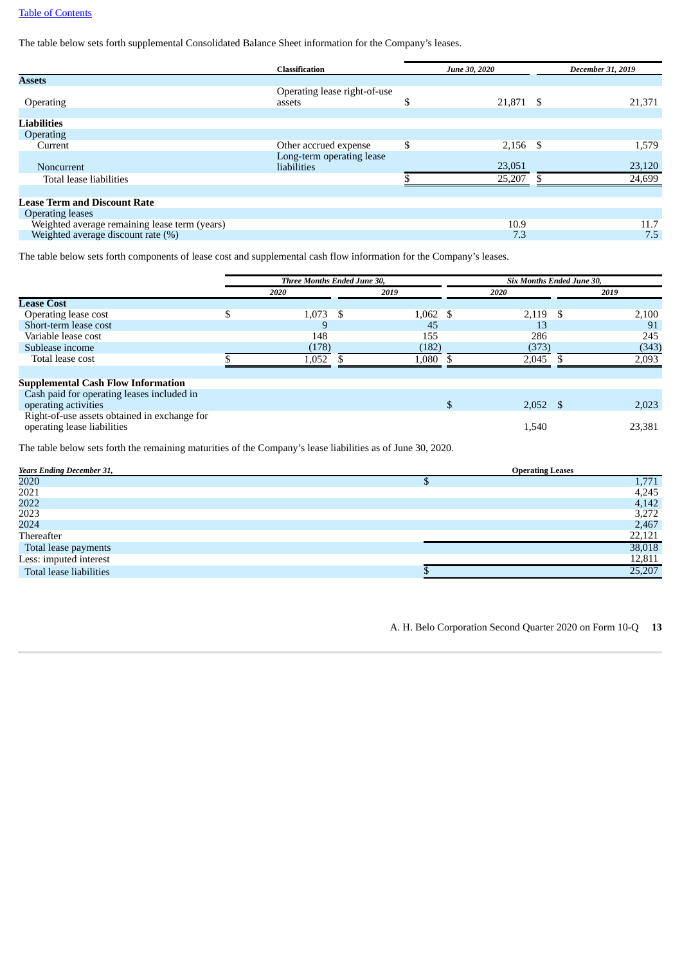The table below sets forth supplemental Consolidated Balance Sheet information for the Company's leases.

|                                               | <b>Classification</b>                    |   | June 30, 2020 | December 31, 2019 |
|-----------------------------------------------|------------------------------------------|---|---------------|-------------------|
| <b>Assets</b>                                 |                                          |   |               |                   |
| Operating                                     | Operating lease right-of-use<br>assets   |   | 21,871 \$     | 21,371            |
| <b>Liabilities</b>                            |                                          |   |               |                   |
| <b>Operating</b>                              |                                          |   |               |                   |
| Current                                       | Other accrued expense                    | S | $2,156$ \$    | 1,579             |
| Noncurrent                                    | Long-term operating lease<br>liabilities |   | 23,051        | 23,120            |
| Total lease liabilities                       |                                          |   | 25,207        | 24,699            |
|                                               |                                          |   |               |                   |
| <b>Lease Term and Discount Rate</b>           |                                          |   |               |                   |
| <b>Operating leases</b>                       |                                          |   |               |                   |
| Weighted average remaining lease term (years) |                                          |   | 10.9          | 11.7              |
| Weighted average discount rate (%)            |                                          |   | 7.3           | 7.5               |
|                                               |                                          |   |               |                   |

The table below sets forth components of lease cost and supplemental cash flow information for the Company's leases.

|                                                                             |    | Three Months Ended June 30, |      |                 | Six Months Ended June 30, |        |
|-----------------------------------------------------------------------------|----|-----------------------------|------|-----------------|---------------------------|--------|
|                                                                             |    | 2020                        |      | 2019            | 2020                      | 2019   |
| <b>Lease Cost</b>                                                           |    |                             |      |                 |                           |        |
| Operating lease cost                                                        | J. | 1,073                       | - \$ | $1,062 \quad $$ | $2,119$ \$                | 2,100  |
| Short-term lease cost                                                       |    |                             |      | 45              | 13                        | 91     |
| Variable lease cost                                                         |    | 148                         |      | 155             | 286                       | 245    |
| Sublease income                                                             |    | (178)                       |      | (182)           | (373)                     | (343)  |
| Total lease cost                                                            |    | 1.052                       |      | 1.080           | 2,045                     | 2,093  |
|                                                                             |    |                             |      |                 |                           |        |
| <b>Supplemental Cash Flow Information</b>                                   |    |                             |      |                 |                           |        |
| Cash paid for operating leases included in                                  |    |                             |      |                 |                           |        |
| operating activities                                                        |    |                             |      |                 | $2,052$ \$                | 2,023  |
| Right-of-use assets obtained in exchange for<br>operating lease liabilities |    |                             |      |                 | 1,540                     | 23,381 |

The table below sets forth the remaining maturities of the Company's lease liabilities as of June 30, 2020.

| <b>Operating Leases</b> |
|-------------------------|
| 1,771                   |
| 4,245                   |
| 4,142                   |
| 3,272                   |
| 2,467                   |
| 22,121                  |
| 38,018                  |
| 12,811                  |
| 25,207                  |
|                         |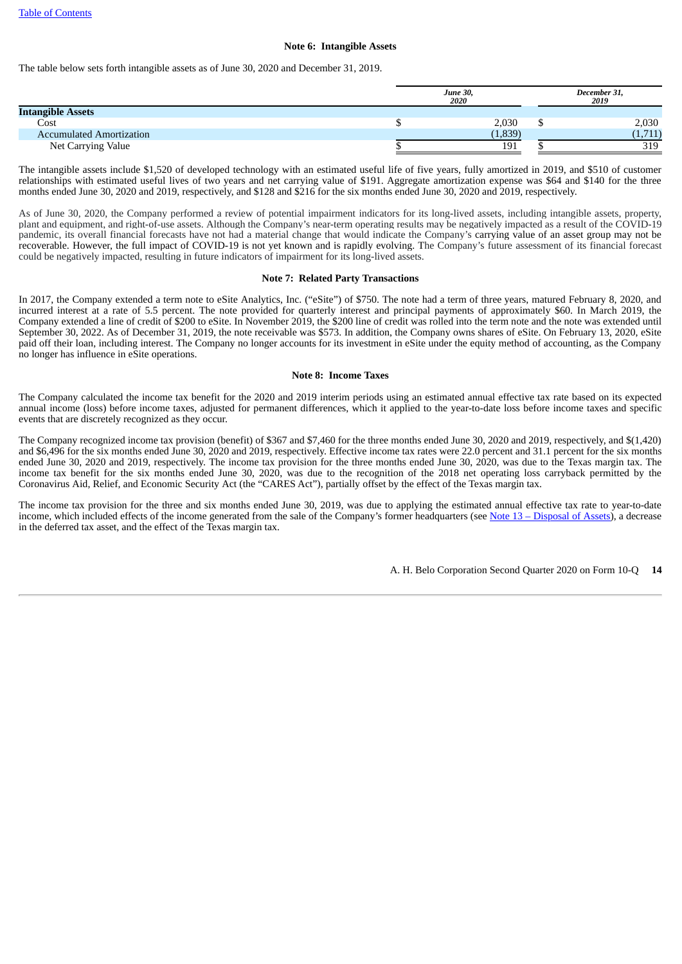#### **Note 6: Intangible Assets**

The table below sets forth intangible assets as of June 30, 2020 and December 31, 2019.

|                                 | <b>June 30,</b><br>2020 | December 31,<br>2019 |         |  |  |  |
|---------------------------------|-------------------------|----------------------|---------|--|--|--|
| <b>Intangible Assets</b>        |                         |                      |         |  |  |  |
| Cost                            | 2,030                   |                      | 2,030   |  |  |  |
| <b>Accumulated Amortization</b> | (1,839)                 |                      | (1,711) |  |  |  |
| Net Carrying Value              | 191                     |                      | 319     |  |  |  |

The intangible assets include \$1,520 of developed technology with an estimated useful life of five years, fully amortized in 2019, and \$510 of customer relationships with estimated useful lives of two years and net carrying value of \$191. Aggregate amortization expense was \$64 and \$140 for the three months ended June 30, 2020 and 2019, respectively, and \$128 and \$216 for the six months ended June 30, 2020 and 2019, respectively.

As of June 30, 2020, the Company performed a review of potential impairment indicators for its long-lived assets, including intangible assets, property, plant and equipment, and right-of-use assets. Although the Company's near-term operating results may be negatively impacted as a result of the COVID-19 pandemic, its overall financial forecasts have not had a material change that would indicate the Company's carrying value of an asset group may not be recoverable. However, the full impact of COVID-19 is not yet known and is rapidly evolving. The Company's future assessment of its financial forecast could be negatively impacted, resulting in future indicators of impairment for its long-lived assets.

#### **Note 7: Related Party Transactions**

In 2017, the Company extended a term note to eSite Analytics, Inc. ("eSite") of \$750. The note had a term of three years, matured February 8, 2020, and incurred interest at a rate of 5.5 percent. The note provided for quarterly interest and principal payments of approximately \$60. In March 2019, the Company extended a line of credit of \$200 to eSite. In November 2019, the \$200 line of credit was rolled into the term note and the note was extended until September 30, 2022. As of December 31, 2019, the note receivable was \$573. In addition, the Company owns shares of eSite. On February 13, 2020, eSite paid off their loan, including interest. The Company no longer accounts for its investment in eSite under the equity method of accounting, as the Company no longer has influence in eSite operations.

#### **Note 8: Income Taxes**

The Company calculated the income tax benefit for the 2020 and 2019 interim periods using an estimated annual effective tax rate based on its expected annual income (loss) before income taxes, adjusted for permanent differences, which it applied to the year-to-date loss before income taxes and specific events that are discretely recognized as they occur.

The Company recognized income tax provision (benefit) of \$367 and \$7,460 for the three months ended June 30, 2020 and 2019, respectively, and \$(1,420) and \$6,496 for the six months ended June 30, 2020 and 2019, respectively. Effective income tax rates were 22.0 percent and 31.1 percent for the six months ended June 30, 2020 and 2019, respectively. The income tax provision for the three months ended June 30, 2020, was due to the Texas margin tax. The income tax benefit for the six months ended June 30, 2020, was due to the recognition of the 2018 net operating loss carryback permitted by the Coronavirus Aid, Relief, and Economic Security Act (the "CARES Act"), partially offset by the effect of the Texas margin tax.

The income tax provision for the three and six months ended June 30, 2019, was due to applying the estimated annual effective tax rate to year-to-date income, which included effects of the income generated from the sale of the Company's former headquarters (see Note 13 – [Disposal](#page-16-0) of Assets), a decrease in the deferred tax asset, and the effect of the Texas margin tax.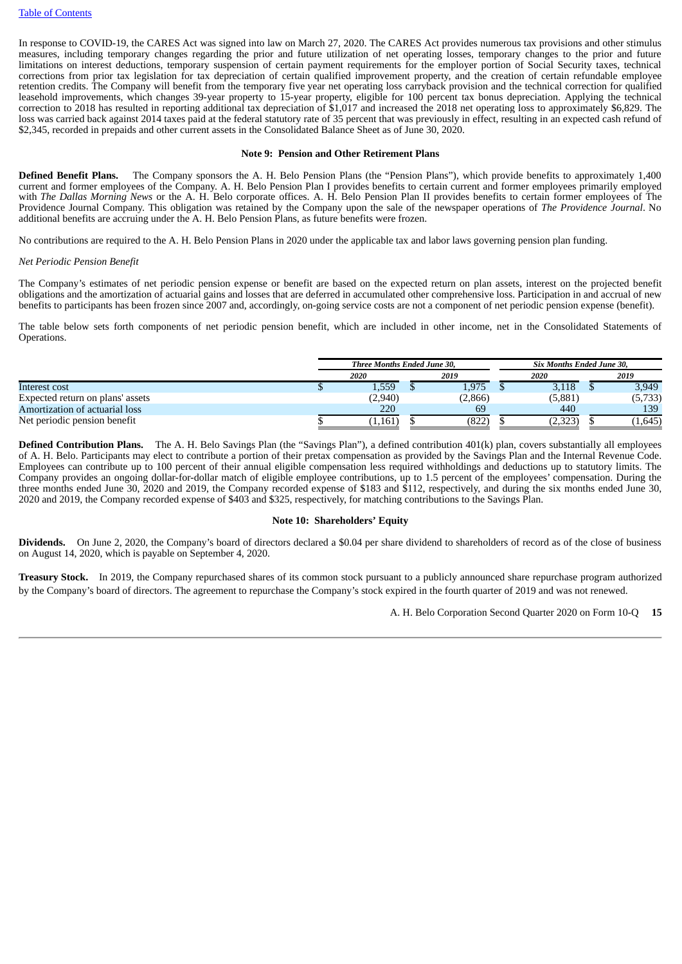In response to COVID-19, the CARES Act was signed into law on March 27, 2020. The CARES Act provides numerous tax provisions and other stimulus measures, including temporary changes regarding the prior and future utilization of net operating losses, temporary changes to the prior and future limitations on interest deductions, temporary suspension of certain payment requirements for the employer portion of Social Security taxes, technical corrections from prior tax legislation for tax depreciation of certain qualified improvement property, and the creation of certain refundable employee retention credits. The Company will benefit from the temporary five year net operating loss carryback provision and the technical correction for qualified leasehold improvements, which changes 39-year property to 15-year property, eligible for 100 percent tax bonus depreciation. Applying the technical correction to 2018 has resulted in reporting additional tax depreciation of \$1,017 and increased the 2018 net operating loss to approximately \$6,829. The loss was carried back against 2014 taxes paid at the federal statutory rate of 35 percent that was previously in effect, resulting in an expected cash refund of \$2,345, recorded in prepaids and other current assets in the Consolidated Balance Sheet as of June 30, 2020.

#### **Note 9: Pension and Other Retirement Plans**

**Defined Benefit Plans.** The Company sponsors the A. H. Belo Pension Plans (the "Pension Plans"), which provide benefits to approximately 1,400 current and former employees of the Company. A. H. Belo Pension Plan I provides benefits to certain current and former employees primarily employed with *The Dallas Morning News* or the A. H. Belo corporate offices. A. H. Belo Pension Plan II provides benefits to certain former employees of The Providence Journal Company. This obligation was retained by the Company upon the sale of the newspaper operations of *The Providence Journal*. No additional benefits are accruing under the A. H. Belo Pension Plans, as future benefits were frozen.

No contributions are required to the A. H. Belo Pension Plans in 2020 under the applicable tax and labor laws governing pension plan funding.

#### *Net Periodic Pension Benefit*

The Company's estimates of net periodic pension expense or benefit are based on the expected return on plan assets, interest on the projected benefit obligations and the amortization of actuarial gains and losses that are deferred in accumulated other comprehensive loss. Participation in and accrual of new benefits to participants has been frozen since 2007 and, accordingly, on-going service costs are not a component of net periodic pension expense (benefit).

The table below sets forth components of net periodic pension benefit, which are included in other income, net in the Consolidated Statements of Operations.

|                                  |      | <b>Three Months Ended June 30.</b> |         | <b>Six Months Ended June 30.</b> |  |         |  |
|----------------------------------|------|------------------------------------|---------|----------------------------------|--|---------|--|
|                                  | 2020 |                                    | 2019    | 2019                             |  |         |  |
| Interest cost                    |      | 1,559                              | 1,975   | 3,118                            |  | 3,949   |  |
| Expected return on plans' assets |      | (2,940)                            | (2,866) | (5, 881)                         |  | (5,733) |  |
| Amortization of actuarial loss   |      | 220                                | 69      | 440                              |  | 139     |  |
| Net periodic pension benefit     |      | 1,161                              | (822)   | 2,323'                           |  | 1,645   |  |

**Defined Contribution Plans.** The A. H. Belo Savings Plan (the "Savings Plan"), a defined contribution 401(k) plan, covers substantially all employees of A. H. Belo. Participants may elect to contribute a portion of their pretax compensation as provided by the Savings Plan and the Internal Revenue Code. Employees can contribute up to 100 percent of their annual eligible compensation less required withholdings and deductions up to statutory limits. The Company provides an ongoing dollar-for-dollar match of eligible employee contributions, up to 1.5 percent of the employees' compensation. During the three months ended June 30, 2020 and 2019, the Company recorded expense of \$183 and \$112, respectively, and during the six months ended June 30, 2020 and 2019, the Company recorded expense of \$403 and \$325, respectively, for matching contributions to the Savings Plan.

#### **Note 10: Shareholders' Equity**

**Dividends.** On June 2, 2020, the Company's board of directors declared a \$0.04 per share dividend to shareholders of record as of the close of business on August 14, 2020, which is payable on September 4, 2020.

**Treasury Stock.** In 2019, the Company repurchased shares of its common stock pursuant to a publicly announced share repurchase program authorized by the Company's board of directors. The agreement to repurchase the Company's stock expired in the fourth quarter of 2019 and was not renewed.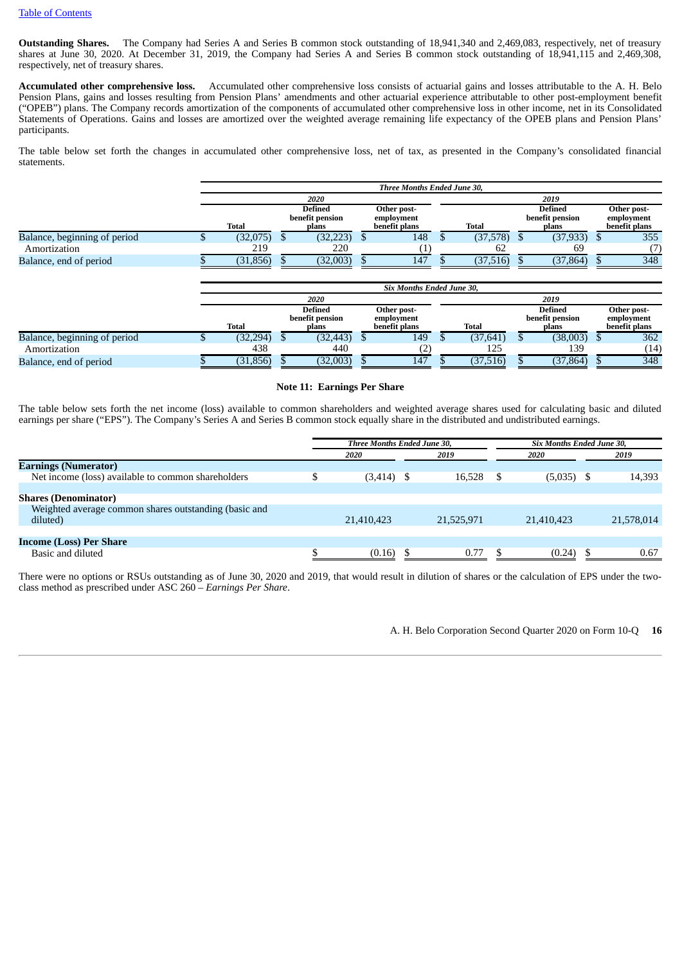**Outstanding Shares.** The Company had Series A and Series B common stock outstanding of 18,941,340 and 2,469,083, respectively, net of treasury shares at June 30, 2020. At December 31, 2019, the Company had Series A and Series B common stock outstanding of 18,941,115 and 2,469,308, respectively, net of treasury shares.

**Accumulated other comprehensive loss.** Accumulated other comprehensive loss consists of actuarial gains and losses attributable to the A. H. Belo Pension Plans, gains and losses resulting from Pension Plans' amendments and other actuarial experience attributable to other post-employment benefit ("OPEB") plans. The Company records amortization of the components of accumulated other comprehensive loss in other income, net in its Consolidated Statements of Operations. Gains and losses are amortized over the weighted average remaining life expectancy of the OPEB plans and Pension Plans' participants.

The table below set forth the changes in accumulated other comprehensive loss, net of tax, as presented in the Company's consolidated financial statements.

|                              |  | Three Months Ended June 30, |  |                                            |  |                                            |  |              |  |                                            |  |                                            |  |
|------------------------------|--|-----------------------------|--|--------------------------------------------|--|--------------------------------------------|--|--------------|--|--------------------------------------------|--|--------------------------------------------|--|
|                              |  | 2020                        |  |                                            |  |                                            |  |              |  | 2019                                       |  |                                            |  |
|                              |  | <b>Total</b>                |  | <b>Defined</b><br>benefit pension<br>plans |  | Other post-<br>employment<br>benefit plans |  | <b>Total</b> |  | <b>Defined</b><br>benefit pension<br>plans |  | Other post-<br>employment<br>benefit plans |  |
| Balance, beginning of period |  | (32,075)                    |  | (32, 223)                                  |  | 148                                        |  | (37,578)     |  | (37, 933)                                  |  | 355                                        |  |
| Amortization                 |  | 219                         |  | 220                                        |  |                                            |  | 62           |  | 69                                         |  |                                            |  |
| Balance, end of period       |  | (31, 856)                   |  | (32,003)                                   |  | 147                                        |  | (37,516)     |  | (37, 864)                                  |  | 348                                        |  |

|                              | <b>Six Months Ended June 30.</b> |       |                                           |               |                           |  |           |  |                                           |               |                           |  |
|------------------------------|----------------------------------|-------|-------------------------------------------|---------------|---------------------------|--|-----------|--|-------------------------------------------|---------------|---------------------------|--|
|                              |                                  |       | 2020<br><b>Defined</b><br>benefit pension |               | Other post-<br>employment |  |           |  | 2019<br><b>Defined</b><br>benefit pension |               | Other post-<br>employment |  |
|                              | <b>Total</b>                     | plans |                                           | benefit plans |                           |  | Total     |  | plans                                     | benefit plans |                           |  |
| Balance, beginning of period | (32, 294)                        |       | (32, 443)                                 |               | 149                       |  | (37, 641) |  | (38,003)                                  |               | 362                       |  |
| Amortization                 | 438                              |       | 440                                       |               |                           |  | 125       |  | 139                                       |               | (14)                      |  |
| Balance, end of period       | (31, 856)                        |       | (32,003)                                  |               | 147                       |  | (37, 516) |  | (37, 864)                                 |               | 348                       |  |

#### **Note 11: Earnings Per Share**

The table below sets forth the net income (loss) available to common shareholders and weighted average shares used for calculating basic and diluted earnings per share ("EPS"). The Company's Series A and Series B common stock equally share in the distributed and undistributed earnings.

|                                                       |              | <b>Three Months Ended June 30.</b> |  |            |  | <b>Six Months Ended June 30.</b> |            |
|-------------------------------------------------------|--------------|------------------------------------|--|------------|--|----------------------------------|------------|
|                                                       | 2020<br>2019 |                                    |  |            |  | 2020                             | 2019       |
| <b>Earnings (Numerator)</b>                           |              |                                    |  |            |  |                                  |            |
| Net income (loss) available to common shareholders    |              | $(3,414)$ \$                       |  | 16,528     |  | (5,035)                          | 14,393     |
|                                                       |              |                                    |  |            |  |                                  |            |
| <b>Shares (Denominator)</b>                           |              |                                    |  |            |  |                                  |            |
| Weighted average common shares outstanding (basic and |              |                                    |  |            |  |                                  |            |
| diluted)                                              |              | 21,410,423                         |  | 21,525,971 |  | 21,410,423                       | 21,578,014 |
|                                                       |              |                                    |  |            |  |                                  |            |
| <b>Income (Loss) Per Share</b>                        |              |                                    |  |            |  |                                  |            |
| Basic and diluted                                     |              | (0.16)                             |  | 0.77       |  | (0.24)                           | 0.67       |

There were no options or RSUs outstanding as of June 30, 2020 and 2019, that would result in dilution of shares or the calculation of EPS under the twoclass method as prescribed under ASC 260 – *Earnings Per Share*.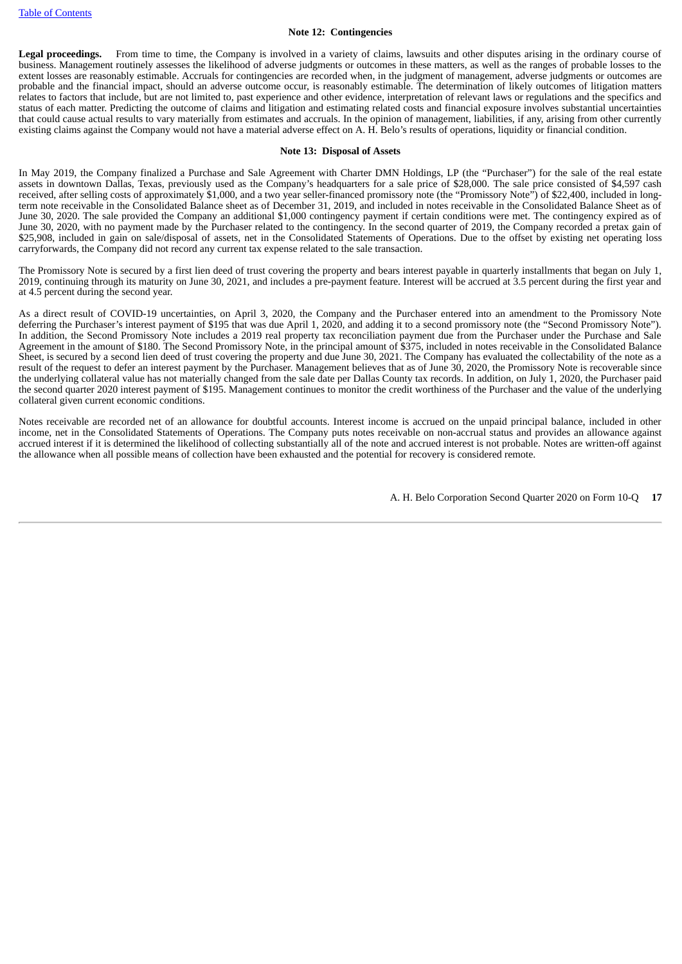#### **Note 12: Contingencies**

**Legal proceedings.** From time to time, the Company is involved in a variety of claims, lawsuits and other disputes arising in the ordinary course of business. Management routinely assesses the likelihood of adverse judgments or outcomes in these matters, as well as the ranges of probable losses to the extent losses are reasonably estimable. Accruals for contingencies are recorded when, in the judgment of management, adverse judgments or outcomes are probable and the financial impact, should an adverse outcome occur, is reasonably estimable. The determination of likely outcomes of litigation matters relates to factors that include, but are not limited to, past experience and other evidence, interpretation of relevant laws or regulations and the specifics and status of each matter. Predicting the outcome of claims and litigation and estimating related costs and financial exposure involves substantial uncertainties that could cause actual results to vary materially from estimates and accruals. In the opinion of management, liabilities, if any, arising from other currently existing claims against the Company would not have a material adverse effect on A. H. Belo's results of operations, liquidity or financial condition.

#### **Note 13: Disposal of Assets**

<span id="page-16-0"></span>In May 2019, the Company finalized a Purchase and Sale Agreement with Charter DMN Holdings, LP (the "Purchaser") for the sale of the real estate assets in downtown Dallas, Texas, previously used as the Company's headquarters for a sale price of \$28,000. The sale price consisted of \$4,597 cash received, after selling costs of approximately \$1,000, and a two year seller-financed promissory note (the "Promissory Note") of \$22,400, included in longterm note receivable in the Consolidated Balance sheet as of December 31, 2019, and included in notes receivable in the Consolidated Balance Sheet as of June 30, 2020. The sale provided the Company an additional \$1,000 contingency payment if certain conditions were met. The contingency expired as of June 30, 2020, with no payment made by the Purchaser related to the contingency. In the second quarter of 2019, the Company recorded a pretax gain of \$25,908, included in gain on sale/disposal of assets, net in the Consolidated Statements of Operations. Due to the offset by existing net operating loss carryforwards, the Company did not record any current tax expense related to the sale transaction.

The Promissory Note is secured by a first lien deed of trust covering the property and bears interest payable in quarterly installments that began on July 1, 2019, continuing through its maturity on June 30, 2021, and includes a pre-payment feature. Interest will be accrued at 3.5 percent during the first year and at 4.5 percent during the second year.

As a direct result of COVID-19 uncertainties, on April 3, 2020, the Company and the Purchaser entered into an amendment to the Promissory Note deferring the Purchaser's interest payment of \$195 that was due April 1, 2020, and adding it to a second promissory note (the "Second Promissory Note"). In addition, the Second Promissory Note includes a 2019 real property tax reconciliation payment due from the Purchaser under the Purchase and Sale Agreement in the amount of \$180. The Second Promissory Note, in the principal amount of \$375, included in notes receivable in the Consolidated Balance Sheet, is secured by a second lien deed of trust covering the property and due June 30, 2021. The Company has evaluated the collectability of the note as a result of the request to defer an interest payment by the Purchaser. Management believes that as of June 30, 2020, the Promissory Note is recoverable since the underlying collateral value has not materially changed from the sale date per Dallas County tax records. In addition, on July 1, 2020, the Purchaser paid the second quarter 2020 interest payment of \$195. Management continues to monitor the credit worthiness of the Purchaser and the value of the underlying collateral given current economic conditions.

Notes receivable are recorded net of an allowance for doubtful accounts. Interest income is accrued on the unpaid principal balance, included in other income, net in the Consolidated Statements of Operations. The Company puts notes receivable on non-accrual status and provides an allowance against accrued interest if it is determined the likelihood of collecting substantially all of the note and accrued interest is not probable. Notes are written-off against the allowance when all possible means of collection have been exhausted and the potential for recovery is considered remote.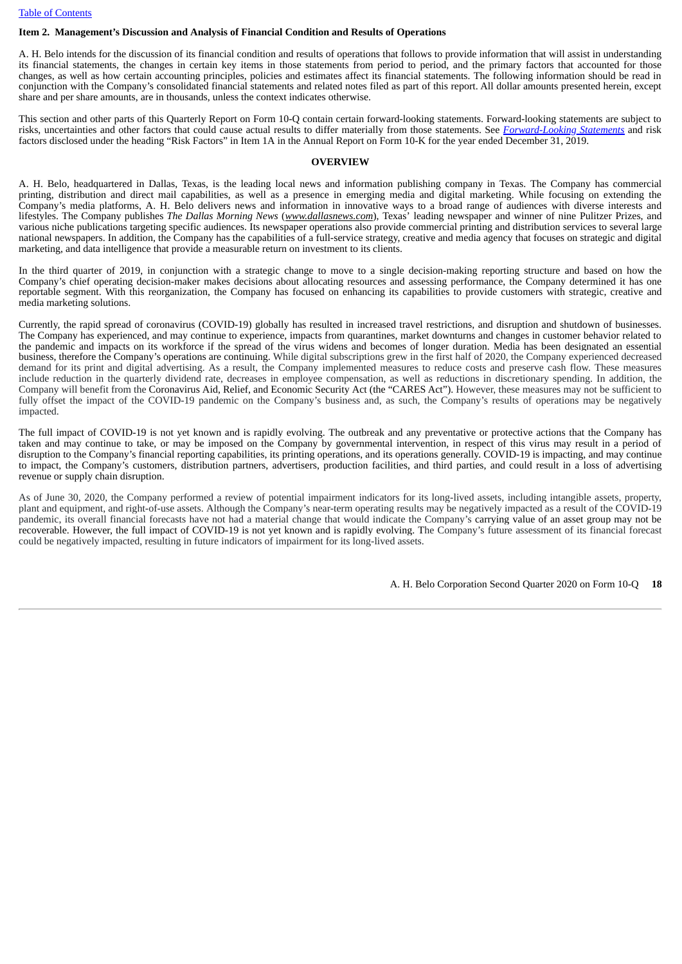#### Table of [Contents](#page-1-0)

# <span id="page-17-0"></span>**Item 2. Management's Discussion and Analysis of Financial Condition and Results of Operations**

A. H. Belo intends for the discussion of its financial condition and results of operations that follows to provide information that will assist in understanding its financial statements, the changes in certain key items in those statements from period to period, and the primary factors that accounted for those changes, as well as how certain accounting principles, policies and estimates affect its financial statements. The following information should be read in conjunction with the Company's consolidated financial statements and related notes filed as part of this report. All dollar amounts presented herein, except share and per share amounts, are in thousands, unless the context indicates otherwise.

This section and other parts of this Quarterly Report on Form 10-Q contain certain forward-looking statements. Forward-looking statements are subject to risks, uncertainties and other factors that could cause actual results to differ materially from those statements. See *[Forward-Looking](#page-25-2) Statements* and risk factors disclosed under the heading "Risk Factors" in Item 1A in the Annual Report on Form 10-K for the year ended December 31, 2019.

#### **OVERVIEW**

A. H. Belo, headquartered in Dallas, Texas, is the leading local news and information publishing company in Texas. The Company has commercial printing, distribution and direct mail capabilities, as well as a presence in emerging media and digital marketing. While focusing on extending the Company's media platforms, A. H. Belo delivers news and information in innovative ways to a broad range of audiences with diverse interests and lifestyles. The Company publishes *The Dallas Morning News* (*www.dallasnews.com*), Texas' leading newspaper and winner of nine Pulitzer Prizes, and various niche publications targeting specific audiences. Its newspaper operations also provide commercial printing and distribution services to several large national newspapers. In addition, the Company has the capabilities of a full-service strategy, creative and media agency that focuses on strategic and digital marketing, and data intelligence that provide a measurable return on investment to its clients.

In the third quarter of 2019, in conjunction with a strategic change to move to a single decision-making reporting structure and based on how the Company's chief operating decision-maker makes decisions about allocating resources and assessing performance, the Company determined it has one reportable segment. With this reorganization, the Company has focused on enhancing its capabilities to provide customers with strategic, creative and media marketing solutions.

Currently, the rapid spread of coronavirus (COVID-19) globally has resulted in increased travel restrictions, and disruption and shutdown of businesses. The Company has experienced, and may continue to experience, impacts from quarantines, market downturns and changes in customer behavior related to the pandemic and impacts on its workforce if the spread of the virus widens and becomes of longer duration. Media has been designated an essential business, therefore the Company's operations are continuing. While digital subscriptions grew in the first half of 2020, the Company experienced decreased demand for its print and digital advertising. As a result, the Company implemented measures to reduce costs and preserve cash flow. These measures include reduction in the quarterly dividend rate, decreases in employee compensation, as well as reductions in discretionary spending. In addition, the Company will benefit from the Coronavirus Aid, Relief, and Economic Security Act (the "CARES Act"). However, these measures may not be sufficient to fully offset the impact of the COVID-19 pandemic on the Company's business and, as such, the Company's results of operations may be negatively impacted.

The full impact of COVID-19 is not yet known and is rapidly evolving. The outbreak and any preventative or protective actions that the Company has taken and may continue to take, or may be imposed on the Company by governmental intervention, in respect of this virus may result in a period of disruption to the Company's financial reporting capabilities, its printing operations, and its operations generally. COVID-19 is impacting, and may continue to impact, the Company's customers, distribution partners, advertisers, production facilities, and third parties, and could result in a loss of advertising revenue or supply chain disruption.

As of June 30, 2020, the Company performed a review of potential impairment indicators for its long-lived assets, including intangible assets, property, plant and equipment, and right-of-use assets. Although the Company's near-term operating results may be negatively impacted as a result of the COVID-19 pandemic, its overall financial forecasts have not had a material change that would indicate the Company's carrying value of an asset group may not be recoverable. However, the full impact of COVID-19 is not yet known and is rapidly evolving. The Company's future assessment of its financial forecast could be negatively impacted, resulting in future indicators of impairment for its long-lived assets.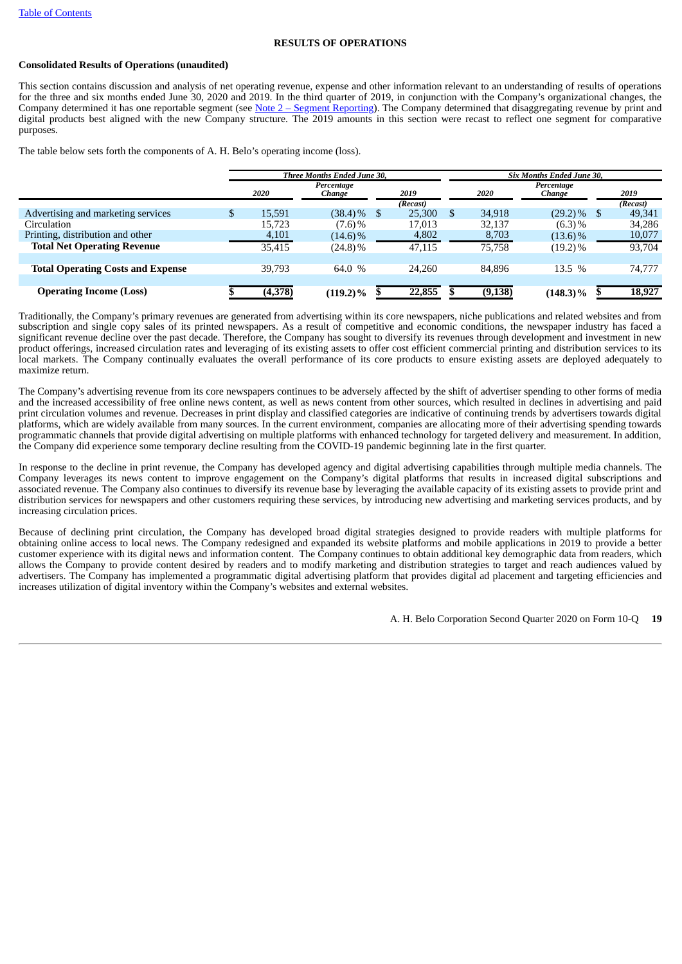#### **RESULTS OF OPERATIONS**

#### **Consolidated Results of Operations (unaudited)**

This section contains discussion and analysis of net operating revenue, expense and other information relevant to an understanding of results of operations for the three and six months ended June 30, 2020 and 2019. In the third quarter of 2019, in conjunction with the Company's organizational changes, the Company determined it has one reportable segment (see Note  $2 -$  Segment [Reporting](#page-8-0)). The Company determined that disaggregating revenue by print and digital products best aligned with the new Company structure. The 2019 amounts in this section were recast to reflect one segment for comparative purposes.

The table below sets forth the components of A. H. Belo's operating income (loss).

|                                          |              | Three Months Ended June 30, |          | Six Months Ended June 30, |          |                      |    |          |  |  |
|------------------------------------------|--------------|-----------------------------|----------|---------------------------|----------|----------------------|----|----------|--|--|
|                                          | 2020         | Percentage<br>Change        | 2019     | 2020                      |          | Percentage<br>Change |    | 2019     |  |  |
|                                          |              |                             | (Recast) |                           |          |                      |    | (Recast) |  |  |
| Advertising and marketing services       | \$<br>15,591 | $(38.4)\%$ \$               | 25,300   | \$                        | 34,918   | $(29.2)\%$           | -S | 49,341   |  |  |
| Circulation                              | 15,723       | $(7.6)\%$                   | 17,013   |                           | 32,137   | $(6.3)$ %            |    | 34,286   |  |  |
| Printing, distribution and other         | 4,101        | $(14.6)\%$                  | 4,802    |                           | 8,703    | $(13.6)\%$           |    | 10,077   |  |  |
| <b>Total Net Operating Revenue</b>       | 35,415       | $(24.8)\%$                  | 47,115   |                           | 75,758   | $(19.2)\%$           |    | 93,704   |  |  |
|                                          |              |                             |          |                           |          |                      |    |          |  |  |
| <b>Total Operating Costs and Expense</b> | 39,793       | 64.0 %                      | 24.260   |                           | 84,896   | 13.5 %               |    | 74,777   |  |  |
|                                          |              |                             |          |                           |          |                      |    |          |  |  |
| <b>Operating Income (Loss)</b>           | (4, 378)     | $(119.2)\%$                 | 22,855   |                           | (9, 138) | $(148.3)\%$          |    | 18,927   |  |  |

Traditionally, the Company's primary revenues are generated from advertising within its core newspapers, niche publications and related websites and from subscription and single copy sales of its printed newspapers. As a result of competitive and economic conditions, the newspaper industry has faced a significant revenue decline over the past decade. Therefore, the Company has sought to diversify its revenues through development and investment in new product offerings, increased circulation rates and leveraging of its existing assets to offer cost efficient commercial printing and distribution services to its local markets. The Company continually evaluates the overall performance of its core products to ensure existing assets are deployed adequately to maximize return.

The Company's advertising revenue from its core newspapers continues to be adversely affected by the shift of advertiser spending to other forms of media and the increased accessibility of free online news content, as well as news content from other sources, which resulted in declines in advertising and paid print circulation volumes and revenue. Decreases in print display and classified categories are indicative of continuing trends by advertisers towards digital platforms, which are widely available from many sources. In the current environment, companies are allocating more of their advertising spending towards programmatic channels that provide digital advertising on multiple platforms with enhanced technology for targeted delivery and measurement. In addition, the Company did experience some temporary decline resulting from the COVID-19 pandemic beginning late in the first quarter.

In response to the decline in print revenue, the Company has developed agency and digital advertising capabilities through multiple media channels. The Company leverages its news content to improve engagement on the Company's digital platforms that results in increased digital subscriptions and associated revenue. The Company also continues to diversify its revenue base by leveraging the available capacity of its existing assets to provide print and distribution services for newspapers and other customers requiring these services, by introducing new advertising and marketing services products, and by increasing circulation prices.

Because of declining print circulation, the Company has developed broad digital strategies designed to provide readers with multiple platforms for obtaining online access to local news. The Company redesigned and expanded its website platforms and mobile applications in 2019 to provide a better customer experience with its digital news and information content. The Company continues to obtain additional key demographic data from readers, which allows the Company to provide content desired by readers and to modify marketing and distribution strategies to target and reach audiences valued by advertisers. The Company has implemented a programmatic digital advertising platform that provides digital ad placement and targeting efficiencies and increases utilization of digital inventory within the Company's websites and external websites.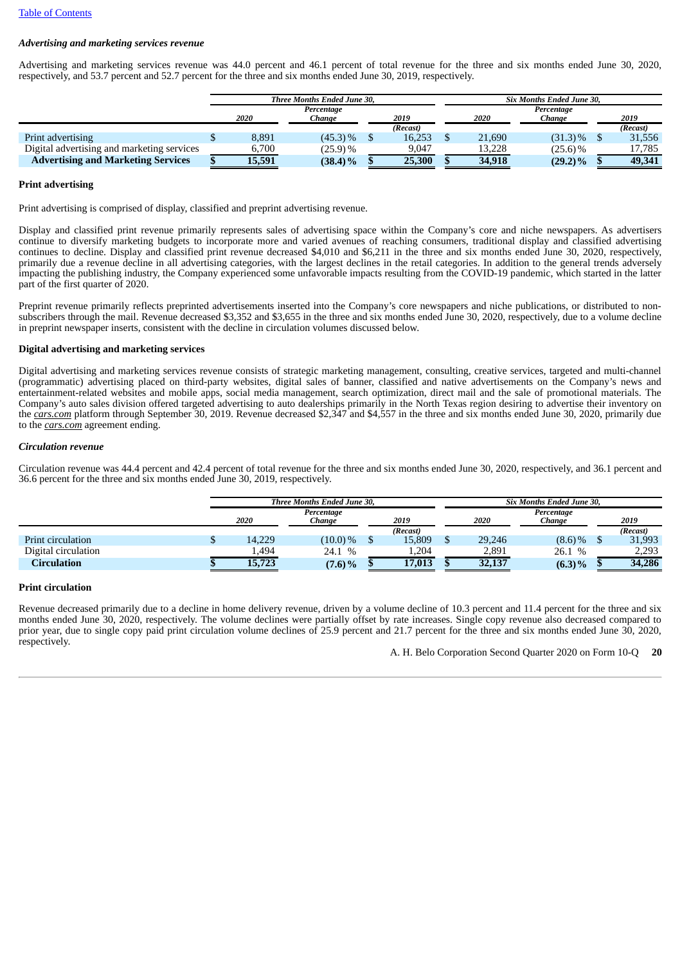# *Advertising and marketing services revenue*

Advertising and marketing services revenue was 44.0 percent and 46.1 percent of total revenue for the three and six months ended June 30, 2020, respectively, and 53.7 percent and 52.7 percent for the three and six months ended June 30, 2019, respectively.

|                                            |        | <b>Three Months Ended June 30.</b> |          | <b>Six Months Ended June 30.</b> |                      |          |
|--------------------------------------------|--------|------------------------------------|----------|----------------------------------|----------------------|----------|
|                                            | 2020   | Percentage<br>Change               | 2019     | 2020                             | Percentage<br>Chanae | 2019     |
|                                            |        |                                    | (Recast) |                                  |                      | (Recast) |
| Print advertising                          | 8,891  | $(45.3) \%$                        | 16,253   | 21,690                           | $(31.3)\%$           | 31,556   |
| Digital advertising and marketing services | 6,700  | $(25.9) \%$                        | 9,047    | 13,228                           | $(25.6)\%$           | 17,785   |
| <b>Advertising and Marketing Services</b>  | 15,591 | $(38.4)\%$                         | 25,300   | 34,918                           | $(29.2)\%$           | 49,341   |

#### **Print advertising**

Print advertising is comprised of display, classified and preprint advertising revenue.

Display and classified print revenue primarily represents sales of advertising space within the Company's core and niche newspapers. As advertisers continue to diversify marketing budgets to incorporate more and varied avenues of reaching consumers, traditional display and classified advertising continues to decline. Display and classified print revenue decreased \$4,010 and \$6,211 in the three and six months ended June 30, 2020, respectively, primarily due a revenue decline in all advertising categories, with the largest declines in the retail categories. In addition to the general trends adversely impacting the publishing industry, the Company experienced some unfavorable impacts resulting from the COVID-19 pandemic, which started in the latter part of the first quarter of 2020.

Preprint revenue primarily reflects preprinted advertisements inserted into the Company's core newspapers and niche publications, or distributed to nonsubscribers through the mail. Revenue decreased \$3,352 and \$3,655 in the three and six months ended June 30, 2020, respectively, due to a volume decline in preprint newspaper inserts, consistent with the decline in circulation volumes discussed below.

#### **Digital advertising and marketing services**

Digital advertising and marketing services revenue consists of strategic marketing management, consulting, creative services, targeted and multi-channel (programmatic) advertising placed on third-party websites, digital sales of banner, classified and native advertisements on the Company's news and entertainment-related websites and mobile apps, social media management, search optimization, direct mail and the sale of promotional materials. The Company's auto sales division offered targeted advertising to auto dealerships primarily in the North Texas region desiring to advertise their inventory on the *cars.com* platform through September 30, 2019. Revenue decreased \$2,347 and \$4,557 in the three and six months ended June 30, 2020, primarily due to the *cars.com* agreement ending.

#### *Circulation revenue*

Circulation revenue was 44.4 percent and 42.4 percent of total revenue for the three and six months ended June 30, 2020, respectively, and 36.1 percent and 36.6 percent for the three and six months ended June 30, 2019, respectively.

|                     |        | <b>Three Months Ended June 30.</b> |          |  |        |                      |  |          |
|---------------------|--------|------------------------------------|----------|--|--------|----------------------|--|----------|
|                     | 2020   | Percentage<br>Change               | 2019     |  | 2020   | Percentage<br>Chanae |  | 2019     |
|                     |        |                                    | (Recast) |  |        |                      |  | (Recast) |
| Print circulation   | 14.229 | $(10.0)\%$                         | 15,809   |  | 29,246 | $(8.6)$ %            |  | 31,993   |
| Digital circulation | 1,494  | $\frac{0}{0}$<br>24.1              | 1.204    |  | 2,891  | 26.1 %               |  | 2,293    |
| Circulation         | 15,723 | $(7.6) \%$                         | 17,013   |  | 32,137 | (6.3)%               |  | 34,286   |

#### **Print circulation**

Revenue decreased primarily due to a decline in home delivery revenue, driven by a volume decline of 10.3 percent and 11.4 percent for the three and six months ended June 30, 2020, respectively. The volume declines were partially offset by rate increases. Single copy revenue also decreased compared to prior year, due to single copy paid print circulation volume declines of 25.9 percent and 21.7 percent for the three and six months ended June 30, 2020, respectively.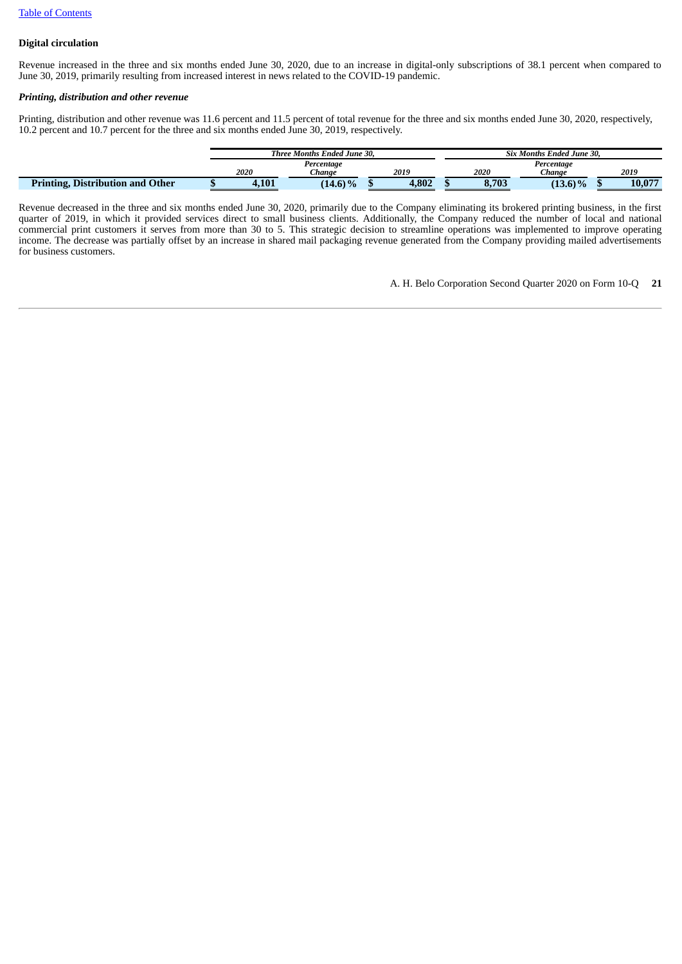#### **Digital circulation**

Revenue increased in the three and six months ended June 30, 2020, due to an increase in digital-only subscriptions of 38.1 percent when compared to June 30, 2019, primarily resulting from increased interest in news related to the COVID-19 pandemic.

#### *Printing, distribution and other revenue*

Printing, distribution and other revenue was 11.6 percent and 11.5 percent of total revenue for the three and six months ended June 30, 2020, respectively, 10.2 percent and 10.7 percent for the three and six months ended June 30, 2019, respectively.

|                                         |       | Three Months Ended June 30. |       | Six<br>: Months Ended June 30. |       |                    |  |        |  |  |
|-----------------------------------------|-------|-----------------------------|-------|--------------------------------|-------|--------------------|--|--------|--|--|
|                                         |       | Percentaae                  |       |                                |       | Percentage         |  |        |  |  |
|                                         | 2020  | Chanae                      | 2019  |                                | 2020  | Chanae             |  | 2019   |  |  |
| <b>Printing, Distribution and Other</b> | 1,101 | $4.6$ ) %<br>(14.6)         | 4,802 |                                | 8,703 | (10)<br>$(13.6)\%$ |  | 10,077 |  |  |

Revenue decreased in the three and six months ended June 30, 2020, primarily due to the Company eliminating its brokered printing business, in the first quarter of 2019, in which it provided services direct to small business clients. Additionally, the Company reduced the number of local and national commercial print customers it serves from more than 30 to 5. This strategic decision to streamline operations was implemented to improve operating income. The decrease was partially offset by an increase in shared mail packaging revenue generated from the Company providing mailed advertisements for business customers.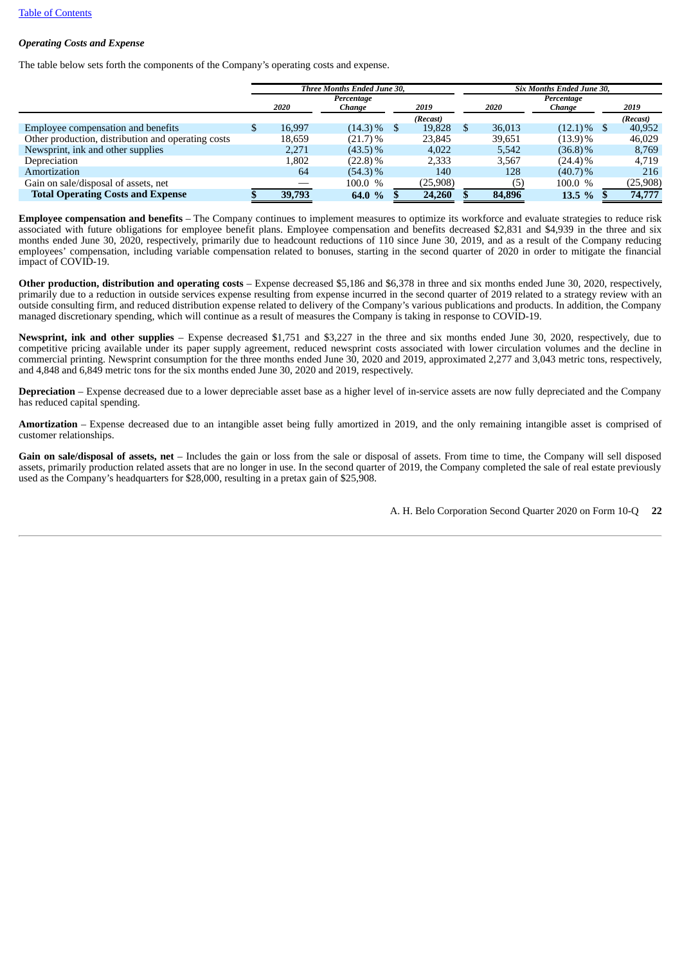# *Operating Costs and Expense*

The table below sets forth the components of the Company's operating costs and expense.

|                                                    |        | <b>Three Months Ended June 30.</b> |  |          | Six Months Ended June 30. |        |                      |  |           |  |  |
|----------------------------------------------------|--------|------------------------------------|--|----------|---------------------------|--------|----------------------|--|-----------|--|--|
|                                                    | 2020   | Percentage<br>Change               |  | 2019     |                           | 2020   | Percentage<br>Change |  | 2019      |  |  |
|                                                    |        |                                    |  | (Recast) |                           |        |                      |  | (Recast)  |  |  |
| Employee compensation and benefits                 | 16.997 | $(14.3)\%$ \$                      |  | 19.828   |                           | 36,013 | $(12.1)\%$ \$        |  | 40,952    |  |  |
| Other production, distribution and operating costs | 18,659 | (21.7)%                            |  | 23,845   |                           | 39,651 | (13.9)%              |  | 46,029    |  |  |
| Newsprint, ink and other supplies                  | 2,271  | $(43.5)\%$                         |  | 4,022    |                           | 5,542  | $(36.8)\%$           |  | 8,769     |  |  |
| Depreciation                                       | 1,802  | (22.8)%                            |  | 2,333    |                           | 3,567  | (24.4)%              |  | 4,719     |  |  |
| Amortization                                       | 64     | $(54.3)\%$                         |  | 140      |                           | 128    | $(40.7)\%$           |  | 216       |  |  |
| Gain on sale/disposal of assets, net               |        | 100.0 %                            |  | (25,908) |                           | (5)    | 100.0 %              |  | (25, 908) |  |  |
| <b>Total Operating Costs and Expense</b>           | 39,793 | 64.0 %                             |  | 24,260   |                           | 84,896 | 13.5%                |  | 74,777    |  |  |

**Employee compensation and benefits** – The Company continues to implement measures to optimize its workforce and evaluate strategies to reduce risk associated with future obligations for employee benefit plans. Employee compensation and benefits decreased \$2,831 and \$4,939 in the three and six months ended June 30, 2020, respectively, primarily due to headcount reductions of 110 since June 30, 2019, and as a result of the Company reducing employees' compensation, including variable compensation related to bonuses, starting in the second quarter of 2020 in order to mitigate the financial impact of COVID-19.

**Other production, distribution and operating costs** – Expense decreased \$5,186 and \$6,378 in three and six months ended June 30, 2020, respectively, primarily due to a reduction in outside services expense resulting from expense incurred in the second quarter of 2019 related to a strategy review with an outside consulting firm, and reduced distribution expense related to delivery of the Company's various publications and products. In addition, the Company managed discretionary spending, which will continue as a result of measures the Company is taking in response to COVID-19.

**Newsprint, ink and other supplies** – Expense decreased \$1,751 and \$3,227 in the three and six months ended June 30, 2020, respectively, due to competitive pricing available under its paper supply agreement, reduced newsprint costs associated with lower circulation volumes and the decline in commercial printing. Newsprint consumption for the three months ended June 30, 2020 and 2019, approximated 2,277 and 3,043 metric tons, respectively, and 4,848 and 6,849 metric tons for the six months ended June 30, 2020 and 2019, respectively.

**Depreciation** – Expense decreased due to a lower depreciable asset base as a higher level of in-service assets are now fully depreciated and the Company has reduced capital spending.

**Amortization** – Expense decreased due to an intangible asset being fully amortized in 2019, and the only remaining intangible asset is comprised of customer relationships.

**Gain on sale/disposal of assets, net** – Includes the gain or loss from the sale or disposal of assets. From time to time, the Company will sell disposed assets, primarily production related assets that are no longer in use. In the second quarter of 2019, the Company completed the sale of real estate previously used as the Company's headquarters for \$28,000, resulting in a pretax gain of \$25,908.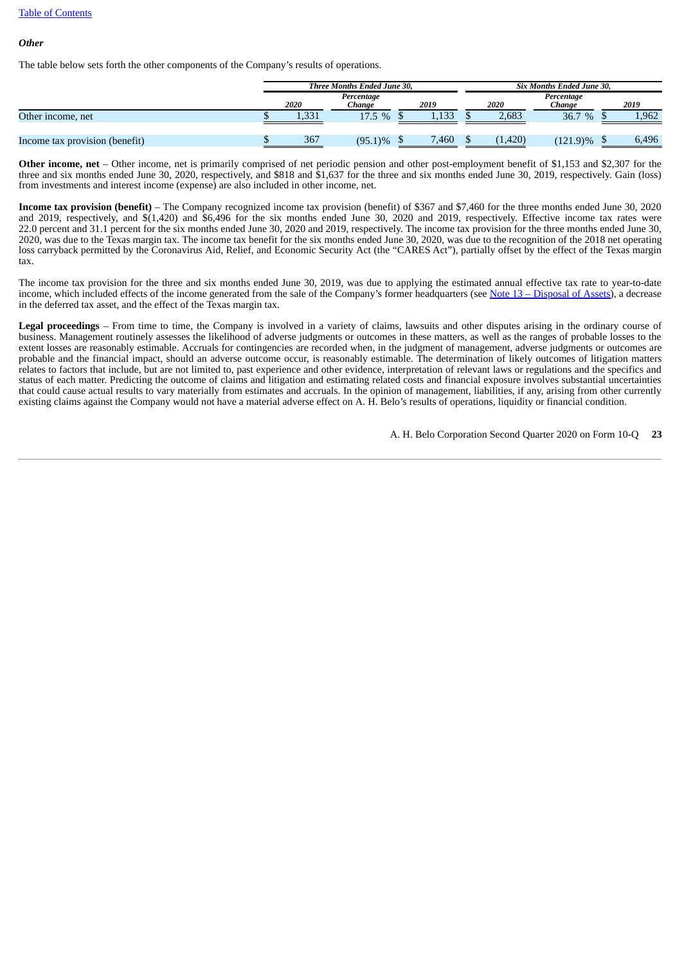#### Table of [Contents](#page-1-0)

### *Other*

The table below sets forth the other components of the Company's results of operations.

|                                |       | <b>Three Months Ended June 30.</b> |  |       | <b>Six Months Ended June 30.</b> |          |                      |  |       |
|--------------------------------|-------|------------------------------------|--|-------|----------------------------------|----------|----------------------|--|-------|
|                                | 2020  | Percentage<br>Chanae               |  | 2019  |                                  | 2020     | Percentage<br>Chanae |  | 2019  |
| Other income, net              | 1,331 | 17.5 %                             |  | 1.133 |                                  | 2,683    | 36.7 %               |  | 1,962 |
| Income tax provision (benefit) | 367   | $(95.1)\%$                         |  | 7,460 |                                  | (1, 420) | $(121.9)\%$          |  | 6,496 |

**Other income, net** – Other income, net is primarily comprised of net periodic pension and other post-employment benefit of \$1,153 and \$2,307 for the three and six months ended June 30, 2020, respectively, and \$818 and \$1,637 for the three and six months ended June 30, 2019, respectively. Gain (loss) from investments and interest income (expense) are also included in other income, net.

**Income tax provision (benefit)** – The Company recognized income tax provision (benefit) of \$367 and \$7,460 for the three months ended June 30, 2020 and 2019, respectively, and \$(1,420) and \$6,496 for the six months ended June 30, 2020 and 2019, respectively. Effective income tax rates were 22.0 percent and 31.1 percent for the six months ended June 30, 2020 and 2019, respectively. The income tax provision for the three months ended June 30, 2020, was due to the Texas margin tax. The income tax benefit for the six months ended June 30, 2020, was due to the recognition of the 2018 net operating loss carryback permitted by the Coronavirus Aid, Relief, and Economic Security Act (the "CARES Act"), partially offset by the effect of the Texas margin tax.

The income tax provision for the three and six months ended June 30, 2019, was due to applying the estimated annual effective tax rate to year-to-date income, which included effects of the income generated from the sale of the Company's former headquarters (see Note 13 – [Disposal](#page-16-0) of Assets), a decrease in the deferred tax asset, and the effect of the Texas margin tax.

**Legal proceedings** – From time to time, the Company is involved in a variety of claims, lawsuits and other disputes arising in the ordinary course of business. Management routinely assesses the likelihood of adverse judgments or outcomes in these matters, as well as the ranges of probable losses to the extent losses are reasonably estimable. Accruals for contingencies are recorded when, in the judgment of management, adverse judgments or outcomes are probable and the financial impact, should an adverse outcome occur, is reasonably estimable. The determination of likely outcomes of litigation matters relates to factors that include, but are not limited to, past experience and other evidence, interpretation of relevant laws or regulations and the specifics and status of each matter. Predicting the outcome of claims and litigation and estimating related costs and financial exposure involves substantial uncertainties that could cause actual results to vary materially from estimates and accruals. In the opinion of management, liabilities, if any, arising from other currently existing claims against the Company would not have a material adverse effect on A. H. Belo's results of operations, liquidity or financial condition.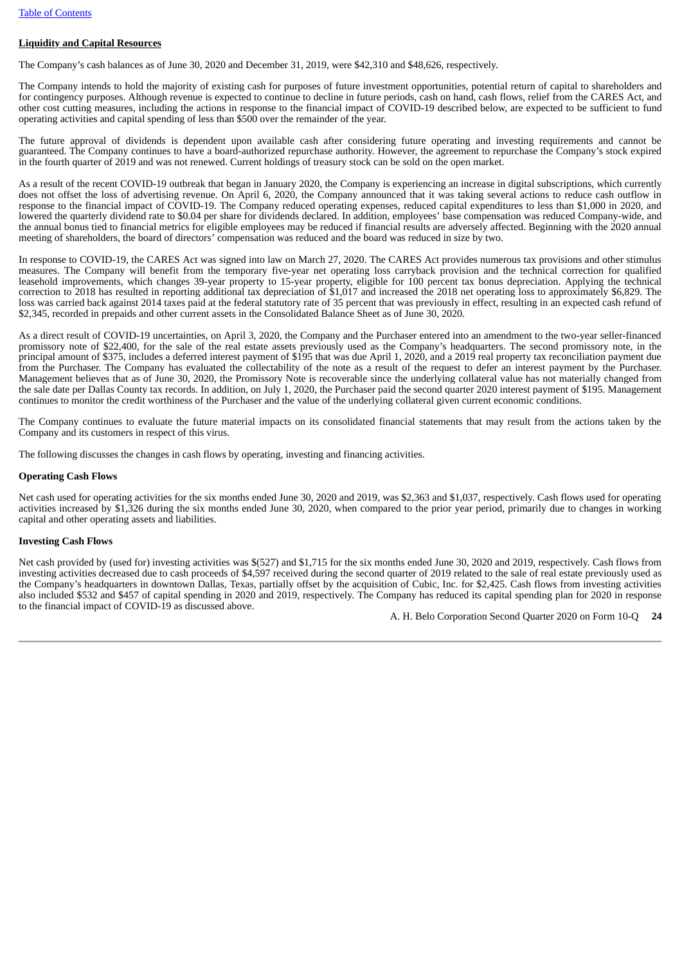# **Liquidity and Capital Resources**

The Company's cash balances as of June 30, 2020 and December 31, 2019, were \$42,310 and \$48,626, respectively.

The Company intends to hold the majority of existing cash for purposes of future investment opportunities, potential return of capital to shareholders and for contingency purposes. Although revenue is expected to continue to decline in future periods, cash on hand, cash flows, relief from the CARES Act, and other cost cutting measures, including the actions in response to the financial impact of COVID-19 described below, are expected to be sufficient to fund operating activities and capital spending of less than \$500 over the remainder of the year.

The future approval of dividends is dependent upon available cash after considering future operating and investing requirements and cannot be guaranteed. The Company continues to have a board-authorized repurchase authority. However, the agreement to repurchase the Company's stock expired in the fourth quarter of 2019 and was not renewed. Current holdings of treasury stock can be sold on the open market.

As a result of the recent COVID-19 outbreak that began in January 2020, the Company is experiencing an increase in digital subscriptions, which currently does not offset the loss of advertising revenue. On April 6, 2020, the Company announced that it was taking several actions to reduce cash outflow in response to the financial impact of COVID-19. The Company reduced operating expenses, reduced capital expenditures to less than \$1,000 in 2020, and lowered the quarterly dividend rate to \$0.04 per share for dividends declared. In addition, employees' base compensation was reduced Company-wide, and the annual bonus tied to financial metrics for eligible employees may be reduced if financial results are adversely affected. Beginning with the 2020 annual meeting of shareholders, the board of directors' compensation was reduced and the board was reduced in size by two.

In response to COVID-19, the CARES Act was signed into law on March 27, 2020. The CARES Act provides numerous tax provisions and other stimulus measures. The Company will benefit from the temporary five-year net operating loss carryback provision and the technical correction for qualified leasehold improvements, which changes 39-year property to 15-year property, eligible for 100 percent tax bonus depreciation. Applying the technical correction to 2018 has resulted in reporting additional tax depreciation of \$1,017 and increased the 2018 net operating loss to approximately \$6,829. The loss was carried back against 2014 taxes paid at the federal statutory rate of 35 percent that was previously in effect, resulting in an expected cash refund of \$2,345, recorded in prepaids and other current assets in the Consolidated Balance Sheet as of June 30, 2020.

As a direct result of COVID-19 uncertainties, on April 3, 2020, the Company and the Purchaser entered into an amendment to the two-year seller-financed promissory note of \$22,400, for the sale of the real estate assets previously used as the Company's headquarters. The second promissory note, in the principal amount of \$375, includes a deferred interest payment of \$195 that was due April 1, 2020, and a 2019 real property tax reconciliation payment due from the Purchaser. The Company has evaluated the collectability of the note as a result of the request to defer an interest payment by the Purchaser. Management believes that as of June 30, 2020, the Promissory Note is recoverable since the underlying collateral value has not materially changed from the sale date per Dallas County tax records. In addition, on July 1, 2020, the Purchaser paid the second quarter 2020 interest payment of \$195. Management continues to monitor the credit worthiness of the Purchaser and the value of the underlying collateral given current economic conditions.

The Company continues to evaluate the future material impacts on its consolidated financial statements that may result from the actions taken by the Company and its customers in respect of this virus.

The following discusses the changes in cash flows by operating, investing and financing activities.

#### **Operating Cash Flows**

Net cash used for operating activities for the six months ended June 30, 2020 and 2019, was \$2,363 and \$1,037, respectively. Cash flows used for operating activities increased by \$1,326 during the six months ended June 30, 2020, when compared to the prior year period, primarily due to changes in working capital and other operating assets and liabilities.

#### **Investing Cash Flows**

Net cash provided by (used for) investing activities was \$(527) and \$1,715 for the six months ended June 30, 2020 and 2019, respectively. Cash flows from investing activities decreased due to cash proceeds of \$4,597 received during the second quarter of 2019 related to the sale of real estate previously used as the Company's headquarters in downtown Dallas, Texas, partially offset by the acquisition of Cubic, Inc. for \$2,425. Cash flows from investing activities also included \$532 and \$457 of capital spending in 2020 and 2019, respectively. The Company has reduced its capital spending plan for 2020 in response to the financial impact of COVID-19 as discussed above.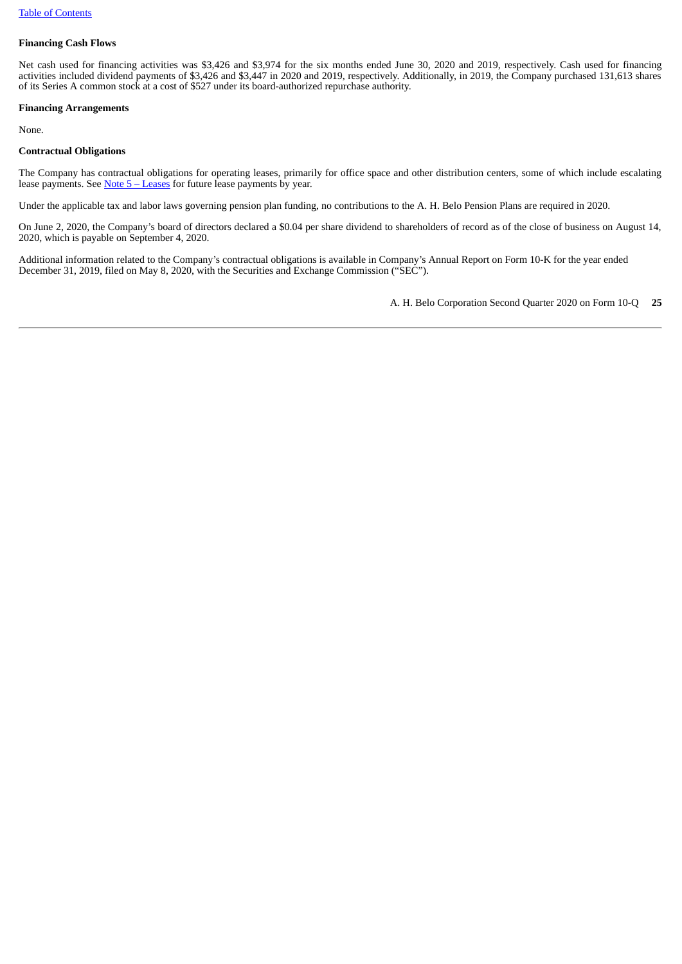# **Financing Cash Flows**

Net cash used for financing activities was \$3,426 and \$3,974 for the six months ended June 30, 2020 and 2019, respectively. Cash used for financing activities included dividend payments of \$3,426 and \$3,447 in 2020 and 2019, respectively. Additionally, in 2019, the Company purchased 131,613 shares of its Series A common stock at a cost of \$527 under its board-authorized repurchase authority.

#### **Financing Arrangements**

None.

#### **Contractual Obligations**

The Company has contractual obligations for operating leases, primarily for office space and other distribution centers, some of which include escalating lease payments. See <u>Note 5 – [Leases](#page-11-0)</u> for future lease payments by year.

Under the applicable tax and labor laws governing pension plan funding, no contributions to the A. H. Belo Pension Plans are required in 2020.

On June 2, 2020, the Company's board of directors declared a \$0.04 per share dividend to shareholders of record as of the close of business on August 14, 2020, which is payable on September 4, 2020.

Additional information related to the Company's contractual obligations is available in Company's Annual Report on Form 10-K for the year ended December 31, 2019, filed on May 8, 2020, with the Securities and Exchange Commission ("SEC").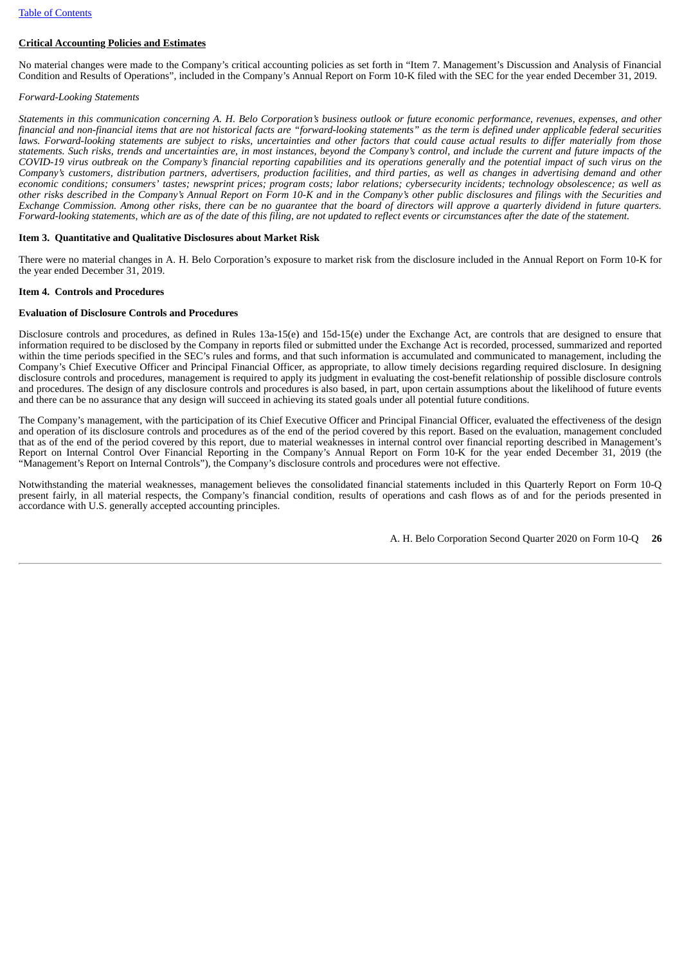# **Critical Accounting Policies and Estimates**

No material changes were made to the Company's critical accounting policies as set forth in "Item 7. Management's Discussion and Analysis of Financial Condition and Results of Operations", included in the Company's Annual Report on Form 10-K filed with the SEC for the year ended December 31, 2019.

#### <span id="page-25-2"></span>*Forward-Looking Statements*

Statements in this communication concerning A. H. Belo Corporation's business outlook or future economic performance, revenues, expenses, and other financial and non-financial items that are not historical facts are "forward-looking statements" as the term is defined under applicable federal securities laws. Forward-looking statements are subject to risks, uncertainties and other factors that could cause actual results to differ materially from those statements. Such risks, trends and uncertainties are, in most instances, bevond the Company's control, and include the current and future impacts of the COVID-19 virus outbreak on the Company's financial reporting capabilities and its operations generally and the potential impact of such virus on the Company's customers, distribution partners, advertisers, production facilities, and third parties, as well as changes in advertising demand and other economic conditions; consumers' tastes; newsprint prices; program costs; labor relations; cybersecurity incidents; technology obsolescence; as well as other risks described in the Company's Annual Report on Form 10-K and in the Company's other public disclosures and filings with the Securities and Exchange Commission. Among other risks, there can be no quarantee that the board of directors will approve a quarterly dividend in future quarters. Forward-looking statements, which are as of the date of this filing, are not updated to reflect events or circumstances after the date of the statement.

#### <span id="page-25-0"></span>**Item 3. Quantitative and Qualitative Disclosures about Market Risk**

There were no material changes in A. H. Belo Corporation's exposure to market risk from the disclosure included in the Annual Report on Form 10-K for the year ended December 31, 2019.

#### <span id="page-25-1"></span>**Item 4. Controls and Procedures**

#### **Evaluation of Disclosure Controls and Procedures**

Disclosure controls and procedures, as defined in Rules 13a-15(e) and 15d-15(e) under the Exchange Act, are controls that are designed to ensure that information required to be disclosed by the Company in reports filed or submitted under the Exchange Act is recorded, processed, summarized and reported within the time periods specified in the SEC's rules and forms, and that such information is accumulated and communicated to management, including the Company's Chief Executive Officer and Principal Financial Officer, as appropriate, to allow timely decisions regarding required disclosure. In designing disclosure controls and procedures, management is required to apply its judgment in evaluating the cost-benefit relationship of possible disclosure controls and procedures. The design of any disclosure controls and procedures is also based, in part, upon certain assumptions about the likelihood of future events and there can be no assurance that any design will succeed in achieving its stated goals under all potential future conditions.

The Company's management, with the participation of its Chief Executive Officer and Principal Financial Officer, evaluated the effectiveness of the design and operation of its disclosure controls and procedures as of the end of the period covered by this report. Based on the evaluation, management concluded that as of the end of the period covered by this report, due to material weaknesses in internal control over financial reporting described in Management's Report on Internal Control Over Financial Reporting in the Company's Annual Report on Form 10-K for the year ended December 31, 2019 (the "Management's Report on Internal Controls"), the Company's disclosure controls and procedures were not effective.

Notwithstanding the material weaknesses, management believes the consolidated financial statements included in this Quarterly Report on Form 10-Q present fairly, in all material respects, the Company's financial condition, results of operations and cash flows as of and for the periods presented in accordance with U.S. generally accepted accounting principles.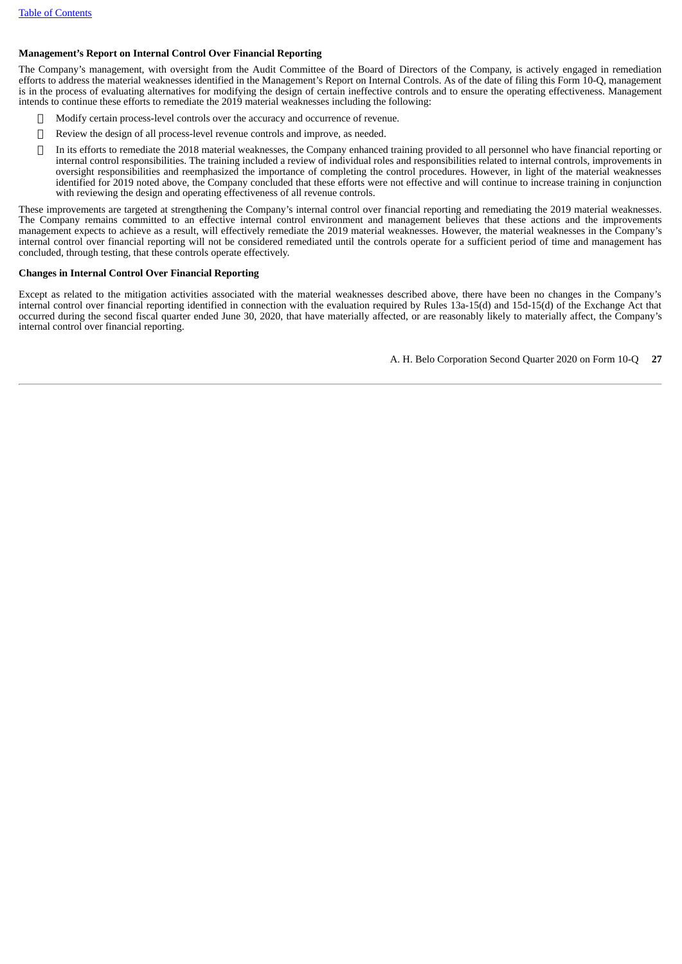# **Management's Report on Internal Control Over Financial Reporting**

The Company's management, with oversight from the Audit Committee of the Board of Directors of the Company, is actively engaged in remediation efforts to address the material weaknesses identified in the Management's Report on Internal Controls. As of the date of filing this Form 10-Q, management is in the process of evaluating alternatives for modifying the design of certain ineffective controls and to ensure the operating effectiveness. Management intends to continue these efforts to remediate the 2019 material weaknesses including the following:

- Modify certain process-level controls over the accuracy and occurrence of revenue.
- $\Box$  Review the design of all process-level revenue controls and improve, as needed.
- In its efforts to remediate the 2018 material weaknesses, the Company enhanced training provided to all personnel who have financial reporting or internal control responsibilities. The training included a review of individual roles and responsibilities related to internal controls, improvements in oversight responsibilities and reemphasized the importance of completing the control procedures. However, in light of the material weaknesses identified for 2019 noted above, the Company concluded that these efforts were not effective and will continue to increase training in conjunction with reviewing the design and operating effectiveness of all revenue controls.

These improvements are targeted at strengthening the Company's internal control over financial reporting and remediating the 2019 material weaknesses. The Company remains committed to an effective internal control environment and management believes that these actions and the improvements management expects to achieve as a result, will effectively remediate the 2019 material weaknesses. However, the material weaknesses in the Company's internal control over financial reporting will not be considered remediated until the controls operate for a sufficient period of time and management has concluded, through testing, that these controls operate effectively.

# **Changes in Internal Control Over Financial Reporting**

Except as related to the mitigation activities associated with the material weaknesses described above, there have been no changes in the Company's internal control over financial reporting identified in connection with the evaluation required by Rules 13a-15(d) and 15d-15(d) of the Exchange Act that occurred during the second fiscal quarter ended June 30, 2020, that have materially affected, or are reasonably likely to materially affect, the Company's internal control over financial reporting.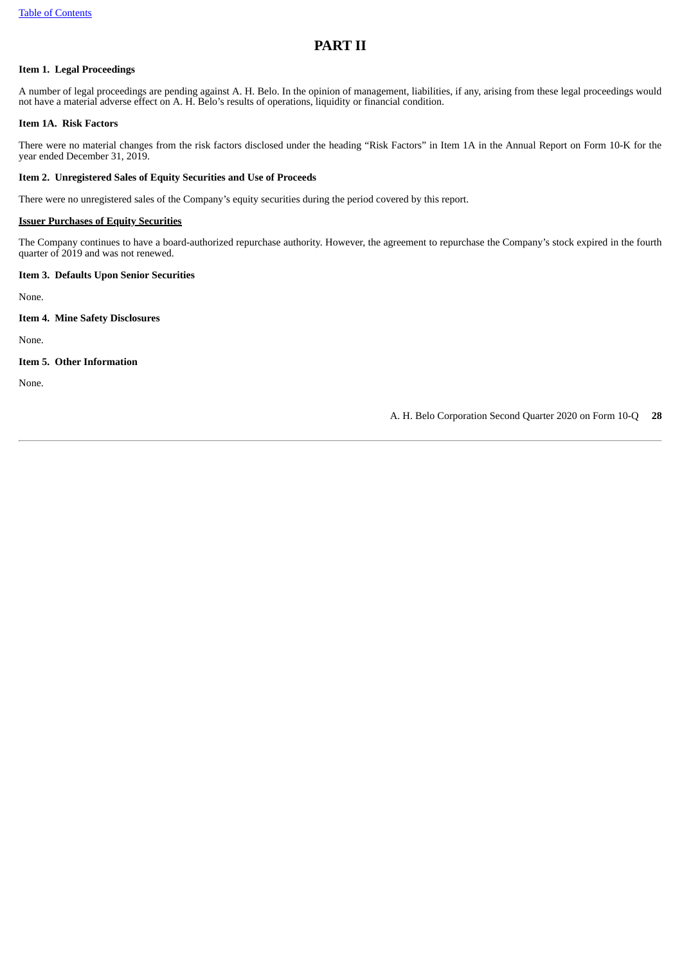# <span id="page-27-0"></span>**PART II**

#### <span id="page-27-1"></span>**Item 1. Legal Proceedings**

A number of legal proceedings are pending against A. H. Belo. In the opinion of management, liabilities, if any, arising from these legal proceedings would not have a material adverse effect on A. H. Belo's results of operations, liquidity or financial condition.

#### <span id="page-27-2"></span>**Item 1A. Risk Factors**

There were no material changes from the risk factors disclosed under the heading "Risk Factors" in Item 1A in the Annual Report on Form 10-K for the year ended December 31, 2019.

#### <span id="page-27-3"></span>**Item 2. Unregistered Sales of Equity Securities and Use of Proceeds**

There were no unregistered sales of the Company's equity securities during the period covered by this report.

#### **Issuer Purchases of Equity Securities**

The Company continues to have a board-authorized repurchase authority. However, the agreement to repurchase the Company's stock expired in the fourth quarter of 2019 and was not renewed.

### <span id="page-27-4"></span>**Item 3. Defaults Upon Senior Securities**

None.

# <span id="page-27-5"></span>**Item 4. Mine Safety Disclosures**

None.

# <span id="page-27-6"></span>**Item 5. Other Information**

None.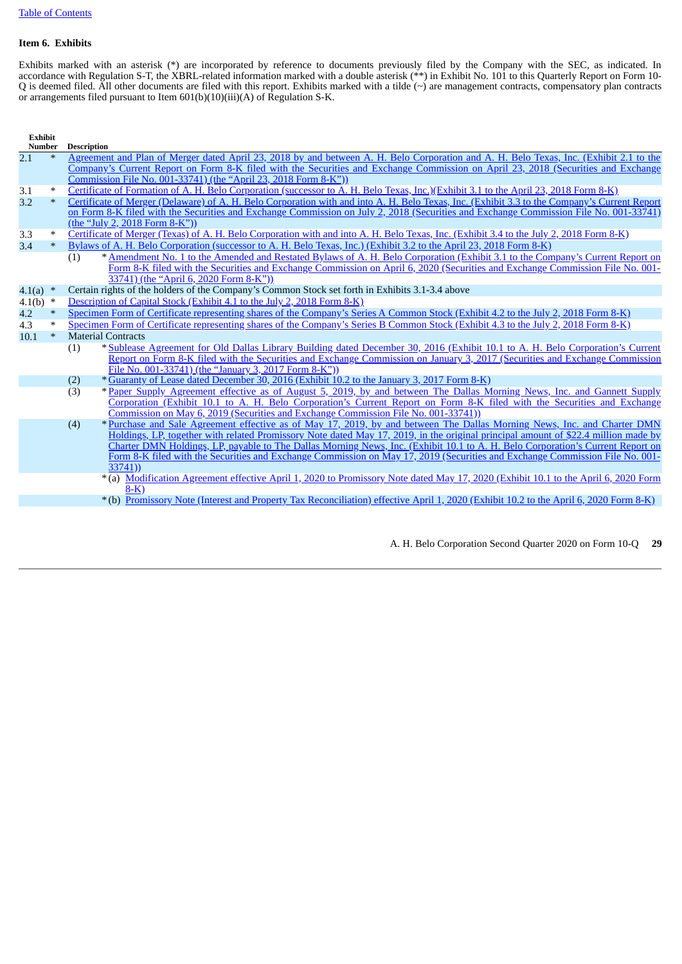# <span id="page-28-0"></span>**Item 6. Exhibits**

Exhibits marked with an asterisk (\*) are incorporated by reference to documents previously filed by the Company with the SEC, as indicated. In accordance with Regulation S-T, the XBRL-related information marked with a double asterisk (\*\*) in Exhibit No. 101 to this Quarterly Report on Form 10-  $Q$  is deemed filed. All other documents are filed with this report. Exhibits marked with a tilde  $(\sim)$  are management contracts, compensatory plan contracts or arrangements filed pursuant to Item 601(b)(10)(iii)(A) of Regulation S-K.

**Exhibit Number Description**

| Number     |        | Description                                                                                                                                  |  |  |  |  |  |  |
|------------|--------|----------------------------------------------------------------------------------------------------------------------------------------------|--|--|--|--|--|--|
| 2.1        | $\ast$ | Agreement and Plan of Merger dated April 23, 2018 by and between A. H. Belo Corporation and A. H. Belo Texas, Inc. (Exhibit 2.1 to the       |  |  |  |  |  |  |
|            |        | Company's Current Report on Form 8-K filed with the Securities and Exchange Commission on April 23, 2018 (Securities and Exchange            |  |  |  |  |  |  |
|            |        | Commission File No. 001-33741) (the "April 23, 2018 Form 8-K"))                                                                              |  |  |  |  |  |  |
| 3.1        | $\ast$ | Certificate of Formation of A. H. Belo Corporation (successor to A. H. Belo Texas, Inc.)(Exhibit 3.1 to the April 23, 2018 Form 8-K)         |  |  |  |  |  |  |
| 3.2        | $\ast$ | Certificate of Merger (Delaware) of A. H. Belo Corporation with and into A. H. Belo Texas, Inc. (Exhibit 3.3 to the Company's Current Report |  |  |  |  |  |  |
|            |        | on Form 8-K filed with the Securities and Exchange Commission on July 2, 2018 (Securities and Exchange Commission File No. 001-33741)        |  |  |  |  |  |  |
|            |        | (the "July 2, 2018 Form 8-K"))                                                                                                               |  |  |  |  |  |  |
| 3.3        | $\ast$ | Certificate of Merger (Texas) of A. H. Belo Corporation with and into A. H. Belo Texas, Inc. (Exhibit 3.4 to the July 2, 2018 Form 8-K)      |  |  |  |  |  |  |
| 3.4        | $\ast$ | Bylaws of A. H. Belo Corporation (successor to A. H. Belo Texas, Inc.) (Exhibit 3.2 to the April 23, 2018 Form 8-K)                          |  |  |  |  |  |  |
|            |        | * Amendment No. 1 to the Amended and Restated Bylaws of A. H. Belo Corporation (Exhibit 3.1 to the Company's Current Report on<br>(1)        |  |  |  |  |  |  |
|            |        | Form 8-K filed with the Securities and Exchange Commission on April 6, 2020 (Securities and Exchange Commission File No. 001-                |  |  |  |  |  |  |
|            |        | 33741) (the "April 6, 2020 Form 8-K"))                                                                                                       |  |  |  |  |  |  |
| $4.1(a)$ * |        | Certain rights of the holders of the Company's Common Stock set forth in Exhibits 3.1-3.4 above                                              |  |  |  |  |  |  |
| 4.1(b) $*$ |        | Description of Capital Stock (Exhibit 4.1 to the July 2, 2018 Form 8-K)                                                                      |  |  |  |  |  |  |
| 4.2        | $\ast$ | Specimen Form of Certificate representing shares of the Company's Series A Common Stock (Exhibit 4.2 to the July 2, 2018 Form 8-K)           |  |  |  |  |  |  |
| 4.3        | $\ast$ | Specimen Form of Certificate representing shares of the Company's Series B Common Stock (Exhibit 4.3 to the July 2, 2018 Form 8-K)           |  |  |  |  |  |  |
| 10.1       | $\ast$ | <b>Material Contracts</b>                                                                                                                    |  |  |  |  |  |  |
|            |        | * Sublease Agreement for Old Dallas Library Building dated December 30, 2016 (Exhibit 10.1 to A. H. Belo Corporation's Current<br>(1)        |  |  |  |  |  |  |
|            |        | Report on Form 8-K filed with the Securities and Exchange Commission on January 3, 2017 (Securities and Exchange Commission                  |  |  |  |  |  |  |
|            |        | File No. 001-33741) (the "January 3, 2017 Form 8-K"))                                                                                        |  |  |  |  |  |  |
|            |        | *Guaranty of Lease dated December 30, 2016 (Exhibit 10.2 to the January 3, 2017 Form 8-K)<br>(2)                                             |  |  |  |  |  |  |
|            |        | *Paper Supply Agreement effective as of August 5, 2019, by and between The Dallas Morning News, Inc. and Gannett Supply<br>(3)               |  |  |  |  |  |  |
|            |        | Corporation (Exhibit 10.1 to A. H. Belo Corporation's Current Report on Form 8-K filed with the Securities and Exchange                      |  |  |  |  |  |  |
|            |        | Commission on May 6, 2019 (Securities and Exchange Commission File No. 001-33741))                                                           |  |  |  |  |  |  |
|            |        | *Purchase and Sale Agreement effective as of May 17, 2019, by and between The Dallas Morning News, Inc. and Charter DMN<br>(4)               |  |  |  |  |  |  |
|            |        | Holdings, LP, together with related Promissory Note dated May 17, 2019, in the original principal amount of \$22.4 million made by           |  |  |  |  |  |  |
|            |        | Charter DMN Holdings, LP, payable to The Dallas Morning News, Inc. (Exhibit 10.1 to A. H. Belo Corporation's Current Report on               |  |  |  |  |  |  |
|            |        | Form 8-K filed with the Securities and Exchange Commission on May 17, 2019 (Securities and Exchange Commission File No. 001-                 |  |  |  |  |  |  |
|            |        | 33741)                                                                                                                                       |  |  |  |  |  |  |
|            |        | *(a) Modification Agreement effective April 1, 2020 to Promissory Note dated May 17, 2020 (Exhibit 10.1 to the April 6, 2020 Form            |  |  |  |  |  |  |
|            |        | $8-K$ )                                                                                                                                      |  |  |  |  |  |  |
|            |        | *(b) Promissory Note (Interest and Property Tax Reconciliation) effective April 1, 2020 (Exhibit 10.2 to the April 6, 2020 Form 8-K)         |  |  |  |  |  |  |
|            |        |                                                                                                                                              |  |  |  |  |  |  |
|            |        |                                                                                                                                              |  |  |  |  |  |  |
|            |        | A. H. Belo Corporation Second Quarter 2020 on Form 10-Q<br>29                                                                                |  |  |  |  |  |  |
|            |        |                                                                                                                                              |  |  |  |  |  |  |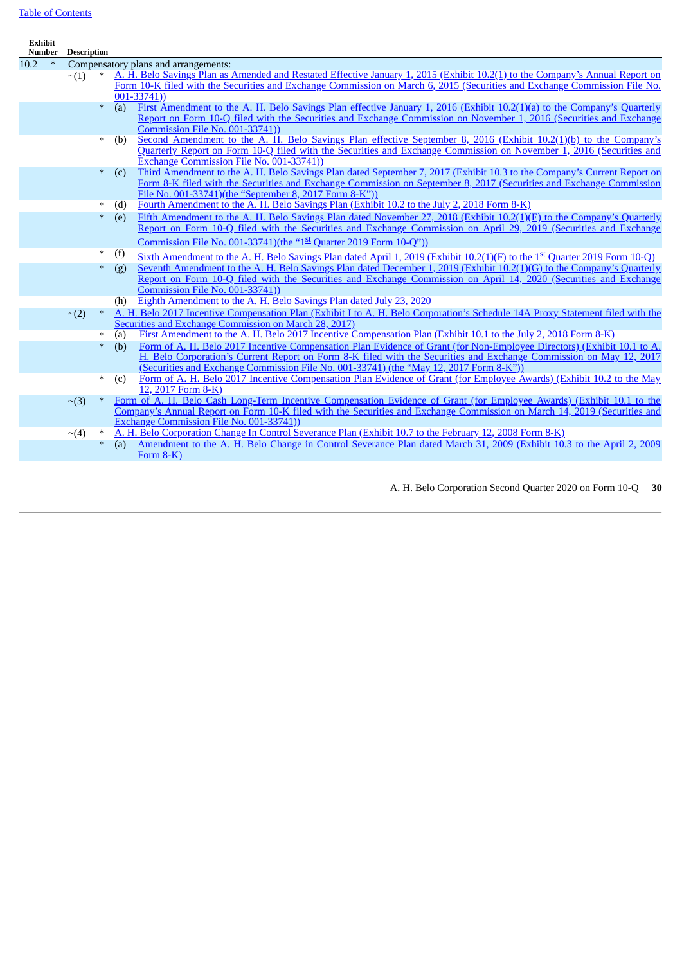# Table of [Contents](#page-1-0)

| Number<br><b>Description</b><br>$10.2$ *<br>Compensatory plans and arrangements:<br>A. H. Belo Savings Plan as Amended and Restated Effective January 1, 2015 (Exhibit 10.2(1) to the Company's Annual Report on<br>$\ast$<br>$\sim$ (1)<br>Form 10-K filed with the Securities and Exchange Commission on March 6, 2015 (Securities and Exchange Commission File No.<br>$001 - 33741)$<br>$\ast$<br>(a)<br>Report on Form 10-Q filed with the Securities and Exchange Commission on November 1, 2016 (Securities and Exchange<br>Commission File No. 001-33741))<br>Second Amendment to the A. H. Belo Savings Plan effective September 8, 2016 (Exhibit 10.2(1)(b) to the Company's<br>$\ast$<br>(b)<br>Quarterly Report on Form 10-Q filed with the Securities and Exchange Commission on November 1, 2016 (Securities and<br>Exchange Commission File No. 001-33741))<br>Third Amendment to the A. H. Belo Savings Plan dated September 7, 2017 (Exhibit 10.3 to the Company's Current Report on<br>$\ast$<br>(c)<br>File No. 001-33741)(the "September 8, 2017 Form 8-K"))<br>Fourth Amendment to the A. H. Belo Savings Plan (Exhibit 10.2 to the July 2, 2018 Form 8-K)<br>$\ast$<br>(d)<br>Fifth Amendment to the A. H. Belo Savings Plan dated November 27, 2018 (Exhibit 10.2(1)(E) to the Company's Quarterly<br>$\ast$<br>(e)<br>Report on Form 10-Q filed with the Securities and Exchange Commission on April 29, 2019 (Securities and Exchange<br>Commission File No. 001-33741)(the "1 <sup>st</sup> Quarter 2019 Form 10-Q"))<br>$\ast$<br>(f)<br>Seventh Amendment to the A. H. Belo Savings Plan dated December 1, 2019 (Exhibit 10.2(1)(G) to the Company's Quarterly<br>$\ast$<br>(g)<br>Report on Form 10-Q filed with the Securities and Exchange Commission on April 14, 2020 (Securities and Exchange<br><b>Commission File No. 001-33741)</b><br>Eighth Amendment to the A. H. Belo Savings Plan dated July 23, 2020<br>(h)<br>A. H. Belo 2017 Incentive Compensation Plan (Exhibit I to A. H. Belo Corporation's Schedule 14A Proxy Statement filed with the<br>$\ast$<br>$\sim$ (2)<br>Securities and Exchange Commission on March 28, 2017).<br>First Amendment to the A. H. Belo 2017 Incentive Compensation Plan (Exhibit 10.1 to the July 2, 2018 Form 8-K)<br>$\ast$<br>(a)<br>Form of A. H. Belo 2017 Incentive Compensation Plan Evidence of Grant (for Non-Employee Directors) (Exhibit 10.1 to A.<br>$\ast$<br>(b)<br>H. Belo Corporation's Current Report on Form 8-K filed with the Securities and Exchange Commission on May 12, 2017 | <b>Exhibit</b> |  |  |                                                                                                                                       |
|-------------------------------------------------------------------------------------------------------------------------------------------------------------------------------------------------------------------------------------------------------------------------------------------------------------------------------------------------------------------------------------------------------------------------------------------------------------------------------------------------------------------------------------------------------------------------------------------------------------------------------------------------------------------------------------------------------------------------------------------------------------------------------------------------------------------------------------------------------------------------------------------------------------------------------------------------------------------------------------------------------------------------------------------------------------------------------------------------------------------------------------------------------------------------------------------------------------------------------------------------------------------------------------------------------------------------------------------------------------------------------------------------------------------------------------------------------------------------------------------------------------------------------------------------------------------------------------------------------------------------------------------------------------------------------------------------------------------------------------------------------------------------------------------------------------------------------------------------------------------------------------------------------------------------------------------------------------------------------------------------------------------------------------------------------------------------------------------------------------------------------------------------------------------------------------------------------------------------------------------------------------------------------------------------------------------------------------------------------------------------------------------------------------------------------------------------------------------------------------------------------------------------------------------------------------------------------|----------------|--|--|---------------------------------------------------------------------------------------------------------------------------------------|
|                                                                                                                                                                                                                                                                                                                                                                                                                                                                                                                                                                                                                                                                                                                                                                                                                                                                                                                                                                                                                                                                                                                                                                                                                                                                                                                                                                                                                                                                                                                                                                                                                                                                                                                                                                                                                                                                                                                                                                                                                                                                                                                                                                                                                                                                                                                                                                                                                                                                                                                                                                               |                |  |  |                                                                                                                                       |
|                                                                                                                                                                                                                                                                                                                                                                                                                                                                                                                                                                                                                                                                                                                                                                                                                                                                                                                                                                                                                                                                                                                                                                                                                                                                                                                                                                                                                                                                                                                                                                                                                                                                                                                                                                                                                                                                                                                                                                                                                                                                                                                                                                                                                                                                                                                                                                                                                                                                                                                                                                               |                |  |  |                                                                                                                                       |
|                                                                                                                                                                                                                                                                                                                                                                                                                                                                                                                                                                                                                                                                                                                                                                                                                                                                                                                                                                                                                                                                                                                                                                                                                                                                                                                                                                                                                                                                                                                                                                                                                                                                                                                                                                                                                                                                                                                                                                                                                                                                                                                                                                                                                                                                                                                                                                                                                                                                                                                                                                               |                |  |  |                                                                                                                                       |
|                                                                                                                                                                                                                                                                                                                                                                                                                                                                                                                                                                                                                                                                                                                                                                                                                                                                                                                                                                                                                                                                                                                                                                                                                                                                                                                                                                                                                                                                                                                                                                                                                                                                                                                                                                                                                                                                                                                                                                                                                                                                                                                                                                                                                                                                                                                                                                                                                                                                                                                                                                               |                |  |  |                                                                                                                                       |
|                                                                                                                                                                                                                                                                                                                                                                                                                                                                                                                                                                                                                                                                                                                                                                                                                                                                                                                                                                                                                                                                                                                                                                                                                                                                                                                                                                                                                                                                                                                                                                                                                                                                                                                                                                                                                                                                                                                                                                                                                                                                                                                                                                                                                                                                                                                                                                                                                                                                                                                                                                               |                |  |  | First Amendment to the A. H. Belo Savings Plan effective January 1, 2016 (Exhibit 10.2(1)(a) to the Company's Quarterly               |
|                                                                                                                                                                                                                                                                                                                                                                                                                                                                                                                                                                                                                                                                                                                                                                                                                                                                                                                                                                                                                                                                                                                                                                                                                                                                                                                                                                                                                                                                                                                                                                                                                                                                                                                                                                                                                                                                                                                                                                                                                                                                                                                                                                                                                                                                                                                                                                                                                                                                                                                                                                               |                |  |  |                                                                                                                                       |
|                                                                                                                                                                                                                                                                                                                                                                                                                                                                                                                                                                                                                                                                                                                                                                                                                                                                                                                                                                                                                                                                                                                                                                                                                                                                                                                                                                                                                                                                                                                                                                                                                                                                                                                                                                                                                                                                                                                                                                                                                                                                                                                                                                                                                                                                                                                                                                                                                                                                                                                                                                               |                |  |  |                                                                                                                                       |
|                                                                                                                                                                                                                                                                                                                                                                                                                                                                                                                                                                                                                                                                                                                                                                                                                                                                                                                                                                                                                                                                                                                                                                                                                                                                                                                                                                                                                                                                                                                                                                                                                                                                                                                                                                                                                                                                                                                                                                                                                                                                                                                                                                                                                                                                                                                                                                                                                                                                                                                                                                               |                |  |  |                                                                                                                                       |
|                                                                                                                                                                                                                                                                                                                                                                                                                                                                                                                                                                                                                                                                                                                                                                                                                                                                                                                                                                                                                                                                                                                                                                                                                                                                                                                                                                                                                                                                                                                                                                                                                                                                                                                                                                                                                                                                                                                                                                                                                                                                                                                                                                                                                                                                                                                                                                                                                                                                                                                                                                               |                |  |  |                                                                                                                                       |
|                                                                                                                                                                                                                                                                                                                                                                                                                                                                                                                                                                                                                                                                                                                                                                                                                                                                                                                                                                                                                                                                                                                                                                                                                                                                                                                                                                                                                                                                                                                                                                                                                                                                                                                                                                                                                                                                                                                                                                                                                                                                                                                                                                                                                                                                                                                                                                                                                                                                                                                                                                               |                |  |  |                                                                                                                                       |
|                                                                                                                                                                                                                                                                                                                                                                                                                                                                                                                                                                                                                                                                                                                                                                                                                                                                                                                                                                                                                                                                                                                                                                                                                                                                                                                                                                                                                                                                                                                                                                                                                                                                                                                                                                                                                                                                                                                                                                                                                                                                                                                                                                                                                                                                                                                                                                                                                                                                                                                                                                               |                |  |  | Form 8-K filed with the Securities and Exchange Commission on September 8, 2017 (Securities and Exchange Commission                   |
|                                                                                                                                                                                                                                                                                                                                                                                                                                                                                                                                                                                                                                                                                                                                                                                                                                                                                                                                                                                                                                                                                                                                                                                                                                                                                                                                                                                                                                                                                                                                                                                                                                                                                                                                                                                                                                                                                                                                                                                                                                                                                                                                                                                                                                                                                                                                                                                                                                                                                                                                                                               |                |  |  |                                                                                                                                       |
|                                                                                                                                                                                                                                                                                                                                                                                                                                                                                                                                                                                                                                                                                                                                                                                                                                                                                                                                                                                                                                                                                                                                                                                                                                                                                                                                                                                                                                                                                                                                                                                                                                                                                                                                                                                                                                                                                                                                                                                                                                                                                                                                                                                                                                                                                                                                                                                                                                                                                                                                                                               |                |  |  |                                                                                                                                       |
|                                                                                                                                                                                                                                                                                                                                                                                                                                                                                                                                                                                                                                                                                                                                                                                                                                                                                                                                                                                                                                                                                                                                                                                                                                                                                                                                                                                                                                                                                                                                                                                                                                                                                                                                                                                                                                                                                                                                                                                                                                                                                                                                                                                                                                                                                                                                                                                                                                                                                                                                                                               |                |  |  |                                                                                                                                       |
|                                                                                                                                                                                                                                                                                                                                                                                                                                                                                                                                                                                                                                                                                                                                                                                                                                                                                                                                                                                                                                                                                                                                                                                                                                                                                                                                                                                                                                                                                                                                                                                                                                                                                                                                                                                                                                                                                                                                                                                                                                                                                                                                                                                                                                                                                                                                                                                                                                                                                                                                                                               |                |  |  |                                                                                                                                       |
|                                                                                                                                                                                                                                                                                                                                                                                                                                                                                                                                                                                                                                                                                                                                                                                                                                                                                                                                                                                                                                                                                                                                                                                                                                                                                                                                                                                                                                                                                                                                                                                                                                                                                                                                                                                                                                                                                                                                                                                                                                                                                                                                                                                                                                                                                                                                                                                                                                                                                                                                                                               |                |  |  |                                                                                                                                       |
|                                                                                                                                                                                                                                                                                                                                                                                                                                                                                                                                                                                                                                                                                                                                                                                                                                                                                                                                                                                                                                                                                                                                                                                                                                                                                                                                                                                                                                                                                                                                                                                                                                                                                                                                                                                                                                                                                                                                                                                                                                                                                                                                                                                                                                                                                                                                                                                                                                                                                                                                                                               |                |  |  | Sixth Amendment to the A. H. Belo Savings Plan dated April 1, 2019 (Exhibit 10.2(1)(F) to the 1 <sup>st</sup> Quarter 2019 Form 10-Q) |
|                                                                                                                                                                                                                                                                                                                                                                                                                                                                                                                                                                                                                                                                                                                                                                                                                                                                                                                                                                                                                                                                                                                                                                                                                                                                                                                                                                                                                                                                                                                                                                                                                                                                                                                                                                                                                                                                                                                                                                                                                                                                                                                                                                                                                                                                                                                                                                                                                                                                                                                                                                               |                |  |  |                                                                                                                                       |
|                                                                                                                                                                                                                                                                                                                                                                                                                                                                                                                                                                                                                                                                                                                                                                                                                                                                                                                                                                                                                                                                                                                                                                                                                                                                                                                                                                                                                                                                                                                                                                                                                                                                                                                                                                                                                                                                                                                                                                                                                                                                                                                                                                                                                                                                                                                                                                                                                                                                                                                                                                               |                |  |  |                                                                                                                                       |
|                                                                                                                                                                                                                                                                                                                                                                                                                                                                                                                                                                                                                                                                                                                                                                                                                                                                                                                                                                                                                                                                                                                                                                                                                                                                                                                                                                                                                                                                                                                                                                                                                                                                                                                                                                                                                                                                                                                                                                                                                                                                                                                                                                                                                                                                                                                                                                                                                                                                                                                                                                               |                |  |  |                                                                                                                                       |
|                                                                                                                                                                                                                                                                                                                                                                                                                                                                                                                                                                                                                                                                                                                                                                                                                                                                                                                                                                                                                                                                                                                                                                                                                                                                                                                                                                                                                                                                                                                                                                                                                                                                                                                                                                                                                                                                                                                                                                                                                                                                                                                                                                                                                                                                                                                                                                                                                                                                                                                                                                               |                |  |  |                                                                                                                                       |
|                                                                                                                                                                                                                                                                                                                                                                                                                                                                                                                                                                                                                                                                                                                                                                                                                                                                                                                                                                                                                                                                                                                                                                                                                                                                                                                                                                                                                                                                                                                                                                                                                                                                                                                                                                                                                                                                                                                                                                                                                                                                                                                                                                                                                                                                                                                                                                                                                                                                                                                                                                               |                |  |  |                                                                                                                                       |
|                                                                                                                                                                                                                                                                                                                                                                                                                                                                                                                                                                                                                                                                                                                                                                                                                                                                                                                                                                                                                                                                                                                                                                                                                                                                                                                                                                                                                                                                                                                                                                                                                                                                                                                                                                                                                                                                                                                                                                                                                                                                                                                                                                                                                                                                                                                                                                                                                                                                                                                                                                               |                |  |  |                                                                                                                                       |
|                                                                                                                                                                                                                                                                                                                                                                                                                                                                                                                                                                                                                                                                                                                                                                                                                                                                                                                                                                                                                                                                                                                                                                                                                                                                                                                                                                                                                                                                                                                                                                                                                                                                                                                                                                                                                                                                                                                                                                                                                                                                                                                                                                                                                                                                                                                                                                                                                                                                                                                                                                               |                |  |  |                                                                                                                                       |
|                                                                                                                                                                                                                                                                                                                                                                                                                                                                                                                                                                                                                                                                                                                                                                                                                                                                                                                                                                                                                                                                                                                                                                                                                                                                                                                                                                                                                                                                                                                                                                                                                                                                                                                                                                                                                                                                                                                                                                                                                                                                                                                                                                                                                                                                                                                                                                                                                                                                                                                                                                               |                |  |  |                                                                                                                                       |
| (Securities and Exchange Commission File No. 001-33741) (the "May 12, 2017 Form 8-K"))<br>$\ast$<br>(c)                                                                                                                                                                                                                                                                                                                                                                                                                                                                                                                                                                                                                                                                                                                                                                                                                                                                                                                                                                                                                                                                                                                                                                                                                                                                                                                                                                                                                                                                                                                                                                                                                                                                                                                                                                                                                                                                                                                                                                                                                                                                                                                                                                                                                                                                                                                                                                                                                                                                       |                |  |  | Form of A. H. Belo 2017 Incentive Compensation Plan Evidence of Grant (for Employee Awards) (Exhibit 10.2 to the May                  |
| 12, 2017 Form 8-K)                                                                                                                                                                                                                                                                                                                                                                                                                                                                                                                                                                                                                                                                                                                                                                                                                                                                                                                                                                                                                                                                                                                                                                                                                                                                                                                                                                                                                                                                                                                                                                                                                                                                                                                                                                                                                                                                                                                                                                                                                                                                                                                                                                                                                                                                                                                                                                                                                                                                                                                                                            |                |  |  |                                                                                                                                       |
| Form of A. H. Belo Cash Long-Term Incentive Compensation Evidence of Grant (for Employee Awards) (Exhibit 10.1 to the<br>$\ast$<br>$\sim$ (3)                                                                                                                                                                                                                                                                                                                                                                                                                                                                                                                                                                                                                                                                                                                                                                                                                                                                                                                                                                                                                                                                                                                                                                                                                                                                                                                                                                                                                                                                                                                                                                                                                                                                                                                                                                                                                                                                                                                                                                                                                                                                                                                                                                                                                                                                                                                                                                                                                                 |                |  |  |                                                                                                                                       |
| Company's Annual Report on Form 10-K filed with the Securities and Exchange Commission on March 14, 2019 (Securities and                                                                                                                                                                                                                                                                                                                                                                                                                                                                                                                                                                                                                                                                                                                                                                                                                                                                                                                                                                                                                                                                                                                                                                                                                                                                                                                                                                                                                                                                                                                                                                                                                                                                                                                                                                                                                                                                                                                                                                                                                                                                                                                                                                                                                                                                                                                                                                                                                                                      |                |  |  |                                                                                                                                       |
| Exchange Commission File No. 001-33741))                                                                                                                                                                                                                                                                                                                                                                                                                                                                                                                                                                                                                                                                                                                                                                                                                                                                                                                                                                                                                                                                                                                                                                                                                                                                                                                                                                                                                                                                                                                                                                                                                                                                                                                                                                                                                                                                                                                                                                                                                                                                                                                                                                                                                                                                                                                                                                                                                                                                                                                                      |                |  |  |                                                                                                                                       |
| A. H. Belo Corporation Change In Control Severance Plan (Exhibit 10.7 to the February 12, 2008 Form 8-K)<br>$\ast$<br>$\sim$ (4)                                                                                                                                                                                                                                                                                                                                                                                                                                                                                                                                                                                                                                                                                                                                                                                                                                                                                                                                                                                                                                                                                                                                                                                                                                                                                                                                                                                                                                                                                                                                                                                                                                                                                                                                                                                                                                                                                                                                                                                                                                                                                                                                                                                                                                                                                                                                                                                                                                              |                |  |  |                                                                                                                                       |
| $\ast$<br>(a)<br>Form $8-K$ )                                                                                                                                                                                                                                                                                                                                                                                                                                                                                                                                                                                                                                                                                                                                                                                                                                                                                                                                                                                                                                                                                                                                                                                                                                                                                                                                                                                                                                                                                                                                                                                                                                                                                                                                                                                                                                                                                                                                                                                                                                                                                                                                                                                                                                                                                                                                                                                                                                                                                                                                                 |                |  |  | Amendment to the A. H. Belo Change in Control Severance Plan dated March 31, 2009 (Exhibit 10.3 to the April 2, 2009                  |
|                                                                                                                                                                                                                                                                                                                                                                                                                                                                                                                                                                                                                                                                                                                                                                                                                                                                                                                                                                                                                                                                                                                                                                                                                                                                                                                                                                                                                                                                                                                                                                                                                                                                                                                                                                                                                                                                                                                                                                                                                                                                                                                                                                                                                                                                                                                                                                                                                                                                                                                                                                               |                |  |  |                                                                                                                                       |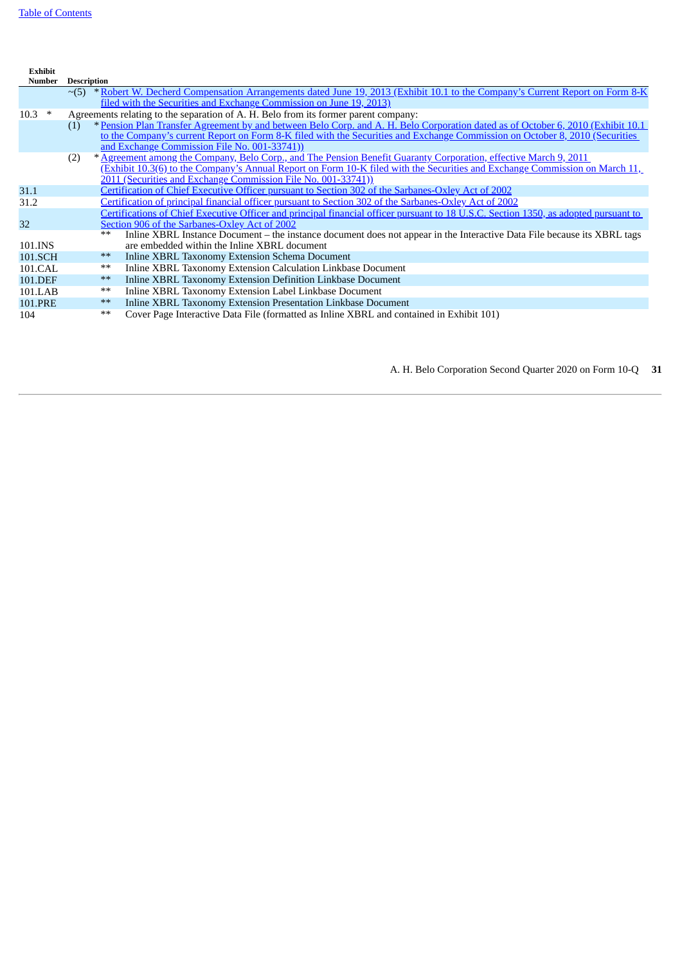| <b>Exhibit</b> |                    |       |                                                                                                                                      |
|----------------|--------------------|-------|--------------------------------------------------------------------------------------------------------------------------------------|
| Number         | <b>Description</b> |       |                                                                                                                                      |
|                |                    |       | ~(5) *Robert W. Decherd Compensation Arrangements dated June 19, 2013 (Exhibit 10.1 to the Company's Current Report on Form 8-K      |
|                |                    |       | filed with the Securities and Exchange Commission on June 19, 2013)                                                                  |
| $10.3$ *       |                    |       | Agreements relating to the separation of A, H. Belo from its former parent company:                                                  |
|                | (1)                |       | * Pension Plan Transfer Agreement by and between Belo Corp. and A. H. Belo Corporation dated as of October 6, 2010 (Exhibit 10.1)    |
|                |                    |       | to the Company's current Report on Form 8-K filed with the Securities and Exchange Commission on October 8, 2010 (Securities         |
|                |                    |       | and Exchange Commission File No. 001-33741))                                                                                         |
|                | (2)                |       | * Agreement among the Company, Belo Corp., and The Pension Benefit Guaranty Corporation, effective March 9, 2011                     |
|                |                    |       | (Exhibit 10.3(6) to the Company's Annual Report on Form 10-K filed with the Securities and Exchange Commission on March 11,          |
|                |                    |       | 2011 (Securities and Exchange Commission File No. 001-33741))                                                                        |
| 31.1           |                    |       | Certification of Chief Executive Officer pursuant to Section 302 of the Sarbanes-Oxley Act of 2002                                   |
| 31.2           |                    |       | Certification of principal financial officer pursuant to Section 302 of the Sarbanes-Oxley Act of 2002                               |
|                |                    |       | Certifications of Chief Executive Officer and principal financial officer pursuant to 18 U.S.C. Section 1350, as adopted pursuant to |
| 32             |                    |       | Section 906 of the Sarbanes-Oxley Act of 2002                                                                                        |
|                |                    | $***$ | Inline XBRL Instance Document – the instance document does not appear in the Interactive Data File because its XBRL tags             |
| 101.INS        |                    |       | are embedded within the Inline XBRL document                                                                                         |
| 101.SCH        |                    | $***$ | Inline XBRL Taxonomy Extension Schema Document                                                                                       |
| 101.CAL        |                    | $**$  | Inline XBRL Taxonomy Extension Calculation Linkbase Document                                                                         |
| 101.DEF        |                    | $**$  | Inline XBRL Taxonomy Extension Definition Linkbase Document                                                                          |
| 101.LAB        |                    | $**$  | Inline XBRL Taxonomy Extension Label Linkbase Document                                                                               |
| 101.PRE        |                    | $***$ | Inline XBRL Taxonomy Extension Presentation Linkbase Document                                                                        |
| 104            |                    | $**$  | Cover Page Interactive Data File (formatted as Inline XBRL and contained in Exhibit 101)                                             |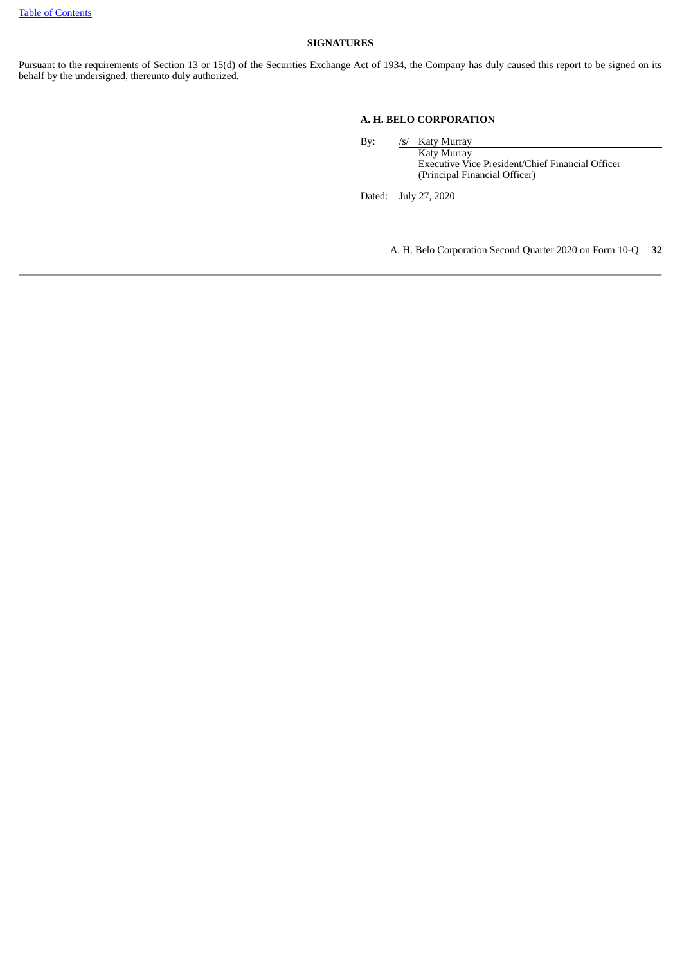### <span id="page-31-0"></span>**SIGNATURES**

Pursuant to the requirements of Section 13 or 15(d) of the Securities Exchange Act of 1934, the Company has duly caused this report to be signed on its behalf by the undersigned, thereunto duly authorized.

# **A. H. BELO CORPORATION**

By: /s/ Katy Murray

Katy Murray Executive Vice President/Chief Financial Officer (Principal Financial Officer)

Dated: July 27, 2020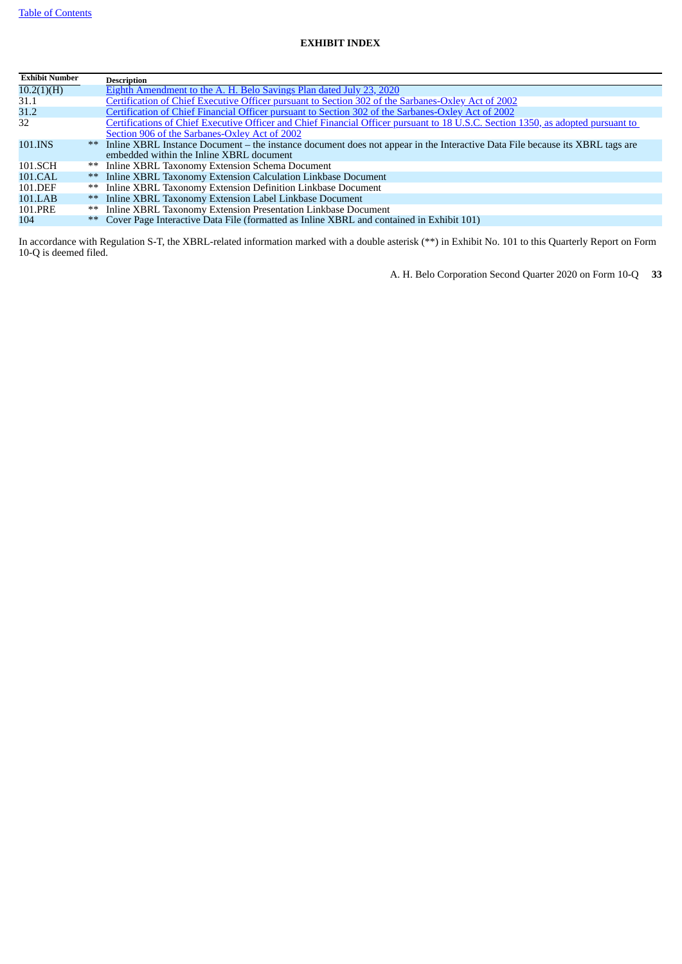# <span id="page-32-0"></span>**EXHIBIT INDEX**

| <b>Exhibit Number</b> |       | <b>Description</b>                                                                                                               |
|-----------------------|-------|----------------------------------------------------------------------------------------------------------------------------------|
| 10.2(1)(H)            |       | Eighth Amendment to the A. H. Belo Savings Plan dated July 23, 2020                                                              |
| 31.1                  |       | <u>Certification of Chief Executive Officer pursuant to Section 302 of the Sarbanes-Oxley Act of 2002</u>                        |
| 31.2                  |       | Certification of Chief Financial Officer pursuant to Section 302 of the Sarbanes-Oxley Act of 2002                               |
| 32                    |       | Certifications of Chief Executive Officer and Chief Financial Officer pursuant to 18 U.S.C. Section 1350, as adopted pursuant to |
|                       |       | Section 906 of the Sarbanes-Oxley Act of 2002                                                                                    |
| 101.INS               |       | ** Inline XBRL Instance Document – the instance document does not appear in the Interactive Data File because its XBRL tags are  |
|                       |       | embedded within the Inline XBRL document                                                                                         |
| 101.SCH               |       | Inline XBRL Taxonomy Extension Schema Document                                                                                   |
| 101.CAL               | $***$ | Inline XBRL Taxonomy Extension Calculation Linkbase Document                                                                     |
| 101.DEF               | **    | Inline XBRL Taxonomy Extension Definition Linkbase Document                                                                      |
| 101.LAB               | $***$ | Inline XBRL Taxonomy Extension Label Linkbase Document                                                                           |
| 101.PRE               | **    | Inline XBRL Taxonomy Extension Presentation Linkbase Document                                                                    |
| 104                   | $***$ | Cover Page Interactive Data File (formatted as Inline XBRL and contained in Exhibit 101)                                         |

In accordance with Regulation S-T, the XBRL-related information marked with a double asterisk (\*\*) in Exhibit No. 101 to this Quarterly Report on Form 10-Q is deemed filed.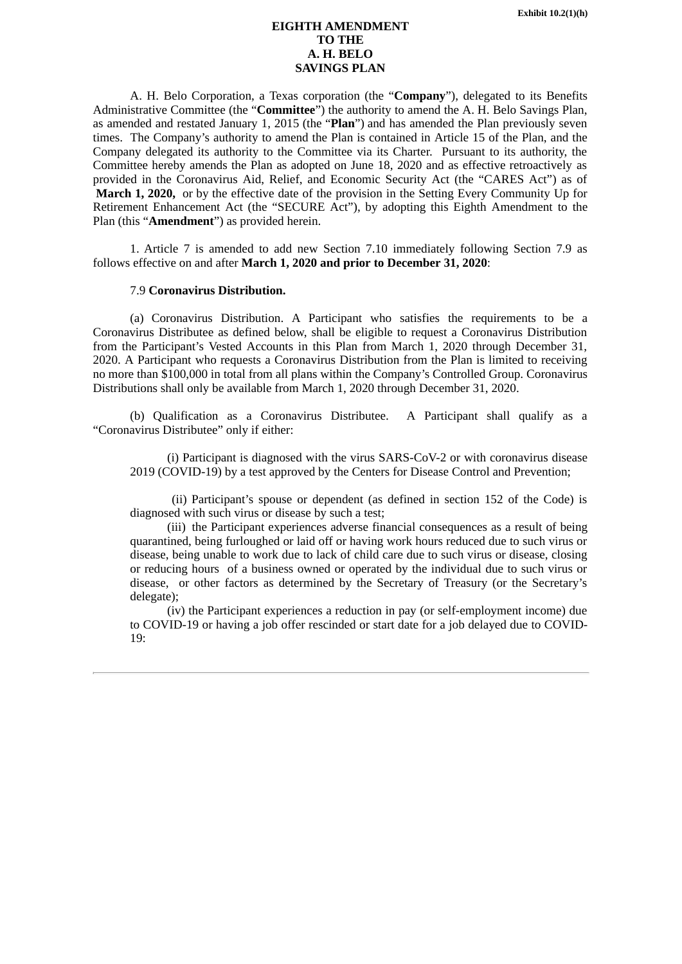# **EIGHTH AMENDMENT TO THE A. H. BELO SAVINGS PLAN**

<span id="page-33-0"></span>A. H. Belo Corporation, a Texas corporation (the "**Company**"), delegated to its Benefits Administrative Committee (the "**Committee**") the authority to amend the A. H. Belo Savings Plan, as amended and restated January 1, 2015 (the "**Plan**") and has amended the Plan previously seven times. The Company's authority to amend the Plan is contained in Article 15 of the Plan, and the Company delegated its authority to the Committee via its Charter. Pursuant to its authority, the Committee hereby amends the Plan as adopted on June 18, 2020 and as effective retroactively as provided in the Coronavirus Aid, Relief, and Economic Security Act (the "CARES Act") as of **March 1, 2020,** or by the effective date of the provision in the Setting Every Community Up for Retirement Enhancement Act (the "SECURE Act"), by adopting this Eighth Amendment to the Plan (this "**Amendment**") as provided herein.

1. Article 7 is amended to add new Section 7.10 immediately following Section 7.9 as follows effective on and after **March 1, 2020 and prior to December 31, 2020**:

### 7.9 **Coronavirus Distribution.**

(a) Coronavirus Distribution. A Participant who satisfies the requirements to be a Coronavirus Distributee as defined below, shall be eligible to request a Coronavirus Distribution from the Participant's Vested Accounts in this Plan from March 1, 2020 through December 31, 2020. A Participant who requests a Coronavirus Distribution from the Plan is limited to receiving no more than \$100,000 in total from all plans within the Company's Controlled Group. Coronavirus Distributions shall only be available from March 1, 2020 through December 31, 2020.

(b) Qualification as a Coronavirus Distributee. A Participant shall qualify as a "Coronavirus Distributee" only if either:

(i) Participant is diagnosed with the virus SARS-CoV-2 or with coronavirus disease 2019 (COVID-19) by a test approved by the Centers for Disease Control and Prevention;

(ii) Participant's spouse or dependent (as defined in section 152 of the Code) is diagnosed with such virus or disease by such a test;

(iii) the Participant experiences adverse financial consequences as a result of being quarantined, being furloughed or laid off or having work hours reduced due to such virus or disease, being unable to work due to lack of child care due to such virus or disease, closing or reducing hours of a business owned or operated by the individual due to such virus or disease, or other factors as determined by the Secretary of Treasury (or the Secretary's delegate);

(iv) the Participant experiences a reduction in pay (or self-employment income) due to COVID-19 or having a job offer rescinded or start date for a job delayed due to COVID-19: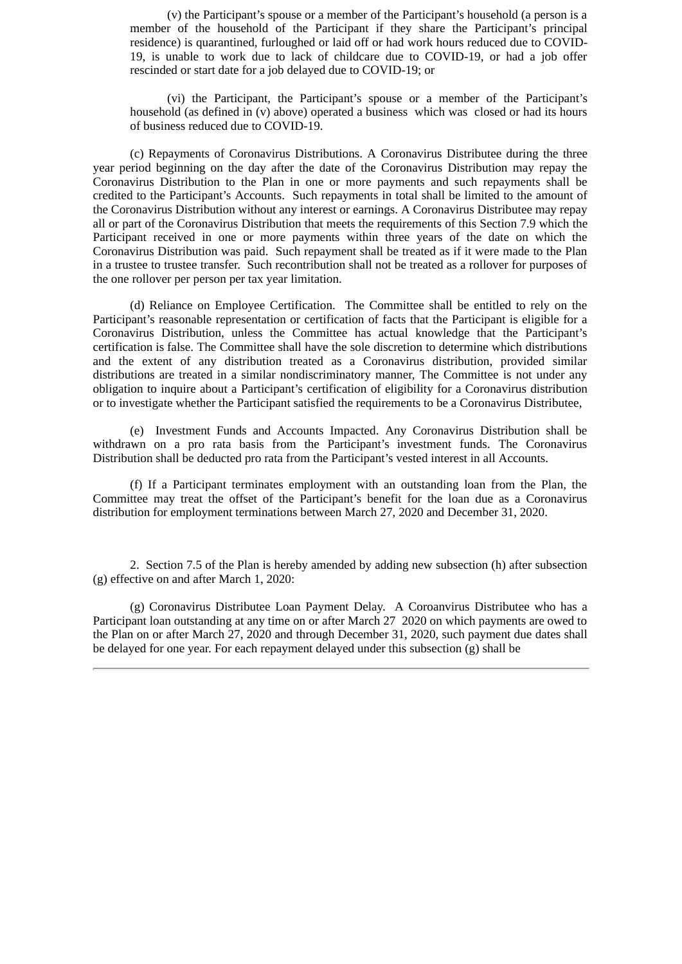(v) the Participant's spouse or a member of the Participant's household (a person is a member of the household of the Participant if they share the Participant's principal residence) is quarantined, furloughed or laid off or had work hours reduced due to COVID-19, is unable to work due to lack of childcare due to COVID-19, or had a job offer rescinded or start date for a job delayed due to COVID-19; or

(vi) the Participant, the Participant's spouse or a member of the Participant's household (as defined in (v) above) operated a business which was closed or had its hours of business reduced due to COVID-19.

(c) Repayments of Coronavirus Distributions. A Coronavirus Distributee during the three year period beginning on the day after the date of the Coronavirus Distribution may repay the Coronavirus Distribution to the Plan in one or more payments and such repayments shall be credited to the Participant's Accounts. Such repayments in total shall be limited to the amount of the Coronavirus Distribution without any interest or earnings. A Coronavirus Distributee may repay all or part of the Coronavirus Distribution that meets the requirements of this Section 7.9 which the Participant received in one or more payments within three years of the date on which the Coronavirus Distribution was paid. Such repayment shall be treated as if it were made to the Plan in a trustee to trustee transfer. Such recontribution shall not be treated as a rollover for purposes of the one rollover per person per tax year limitation.

(d) Reliance on Employee Certification. The Committee shall be entitled to rely on the Participant's reasonable representation or certification of facts that the Participant is eligible for a Coronavirus Distribution, unless the Committee has actual knowledge that the Participant's certification is false. The Committee shall have the sole discretion to determine which distributions and the extent of any distribution treated as a Coronavirus distribution, provided similar distributions are treated in a similar nondiscriminatory manner, The Committee is not under any obligation to inquire about a Participant's certification of eligibility for a Coronavirus distribution or to investigate whether the Participant satisfied the requirements to be a Coronavirus Distributee,

(e) Investment Funds and Accounts Impacted. Any Coronavirus Distribution shall be withdrawn on a pro rata basis from the Participant's investment funds. The Coronavirus Distribution shall be deducted pro rata from the Participant's vested interest in all Accounts.

(f) If a Participant terminates employment with an outstanding loan from the Plan, the Committee may treat the offset of the Participant's benefit for the loan due as a Coronavirus distribution for employment terminations between March 27, 2020 and December 31, 2020.

2. Section 7.5 of the Plan is hereby amended by adding new subsection (h) after subsection (g) effective on and after March 1, 2020:

(g) Coronavirus Distributee Loan Payment Delay. A Coroanvirus Distributee who has a Participant loan outstanding at any time on or after March 27 2020 on which payments are owed to the Plan on or after March 27, 2020 and through December 31, 2020, such payment due dates shall be delayed for one year. For each repayment delayed under this subsection (g) shall be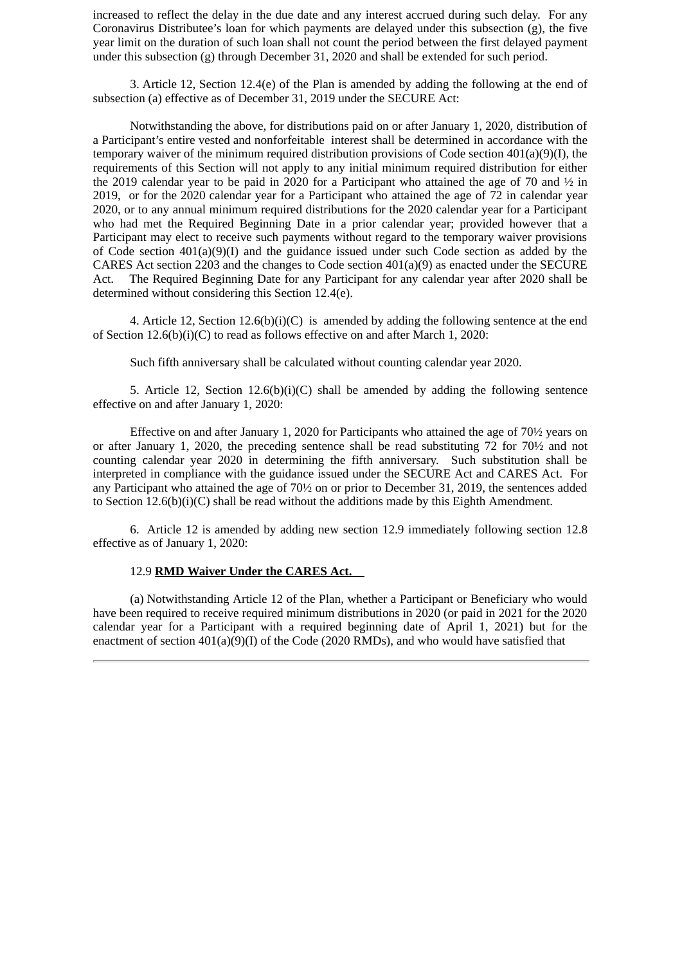increased to reflect the delay in the due date and any interest accrued during such delay. For any Coronavirus Distributee's loan for which payments are delayed under this subsection (g), the five year limit on the duration of such loan shall not count the period between the first delayed payment under this subsection (g) through December 31, 2020 and shall be extended for such period.

3. Article 12, Section 12.4(e) of the Plan is amended by adding the following at the end of subsection (a) effective as of December 31, 2019 under the SECURE Act:

Notwithstanding the above, for distributions paid on or after January 1, 2020, distribution of a Participant's entire vested and nonforfeitable interest shall be determined in accordance with the temporary waiver of the minimum required distribution provisions of Code section 401(a)(9)(I), the requirements of this Section will not apply to any initial minimum required distribution for either the 2019 calendar year to be paid in 2020 for a Participant who attained the age of 70 and ½ in 2019, or for the 2020 calendar year for a Participant who attained the age of 72 in calendar year 2020, or to any annual minimum required distributions for the 2020 calendar year for a Participant who had met the Required Beginning Date in a prior calendar year; provided however that a Participant may elect to receive such payments without regard to the temporary waiver provisions of Code section  $401(a)(9)(1)$  and the guidance issued under such Code section as added by the CARES Act section 2203 and the changes to Code section 401(a)(9) as enacted under the SECURE Act. The Required Beginning Date for any Participant for any calendar year after 2020 shall be determined without considering this Section 12.4(e).

4. Article 12, Section 12.6(b)(i)(C) is amended by adding the following sentence at the end of Section 12.6(b)(i)(C) to read as follows effective on and after March 1, 2020:

Such fifth anniversary shall be calculated without counting calendar year 2020.

5. Article 12, Section 12.6(b)(i)(C) shall be amended by adding the following sentence effective on and after January 1, 2020:

Effective on and after January 1, 2020 for Participants who attained the age of 70½ years on or after January 1, 2020, the preceding sentence shall be read substituting 72 for 70½ and not counting calendar year 2020 in determining the fifth anniversary. Such substitution shall be interpreted in compliance with the guidance issued under the SECURE Act and CARES Act. For any Participant who attained the age of 70½ on or prior to December 31, 2019, the sentences added to Section 12.6(b)(i)(C) shall be read without the additions made by this Eighth Amendment.

6. Article 12 is amended by adding new section 12.9 immediately following section 12.8 effective as of January 1, 2020:

# 12.9 **RMD Waiver Under the CARES Act.**

(a) Notwithstanding Article 12 of the Plan, whether a Participant or Beneficiary who would have been required to receive required minimum distributions in 2020 (or paid in 2021 for the 2020 calendar year for a Participant with a required beginning date of April 1, 2021) but for the enactment of section 401(a)(9)(I) of the Code (2020 RMDs), and who would have satisfied that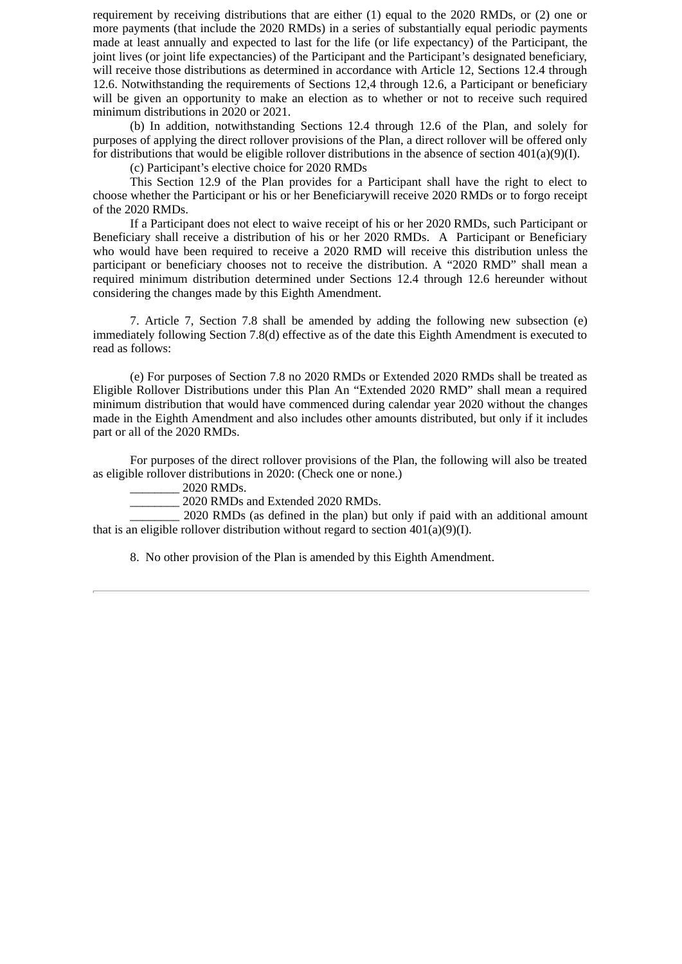requirement by receiving distributions that are either (1) equal to the 2020 RMDs, or (2) one or more payments (that include the 2020 RMDs) in a series of substantially equal periodic payments made at least annually and expected to last for the life (or life expectancy) of the Participant, the joint lives (or joint life expectancies) of the Participant and the Participant's designated beneficiary, will receive those distributions as determined in accordance with Article 12, Sections 12.4 through 12.6. Notwithstanding the requirements of Sections 12,4 through 12.6, a Participant or beneficiary will be given an opportunity to make an election as to whether or not to receive such required minimum distributions in 2020 or 2021.

(b) In addition, notwithstanding Sections 12.4 through 12.6 of the Plan, and solely for purposes of applying the direct rollover provisions of the Plan, a direct rollover will be offered only for distributions that would be eligible rollover distributions in the absence of section 401(a)(9)(I).

(c) Participant's elective choice for 2020 RMDs

This Section 12.9 of the Plan provides for a Participant shall have the right to elect to choose whether the Participant or his or her Beneficiarywill receive 2020 RMDs or to forgo receipt of the 2020 RMDs.

If a Participant does not elect to waive receipt of his or her 2020 RMDs, such Participant or Beneficiary shall receive a distribution of his or her 2020 RMDs. A Participant or Beneficiary who would have been required to receive a 2020 RMD will receive this distribution unless the participant or beneficiary chooses not to receive the distribution. A "2020 RMD" shall mean a required minimum distribution determined under Sections 12.4 through 12.6 hereunder without considering the changes made by this Eighth Amendment.

7. Article 7, Section 7.8 shall be amended by adding the following new subsection (e) immediately following Section 7.8(d) effective as of the date this Eighth Amendment is executed to read as follows:

(e) For purposes of Section 7.8 no 2020 RMDs or Extended 2020 RMDs shall be treated as Eligible Rollover Distributions under this Plan An "Extended 2020 RMD" shall mean a required minimum distribution that would have commenced during calendar year 2020 without the changes made in the Eighth Amendment and also includes other amounts distributed, but only if it includes part or all of the 2020 RMDs.

For purposes of the direct rollover provisions of the Plan, the following will also be treated as eligible rollover distributions in 2020: (Check one or none.)

\_\_\_\_\_\_\_\_ 2020 RMDs.

\_\_\_\_\_\_\_\_ 2020 RMDs and Extended 2020 RMDs.

\_\_\_\_\_\_\_\_ 2020 RMDs (as defined in the plan) but only if paid with an additional amount that is an eligible rollover distribution without regard to section  $401(a)(9)(I)$ .

8. No other provision of the Plan is amended by this Eighth Amendment.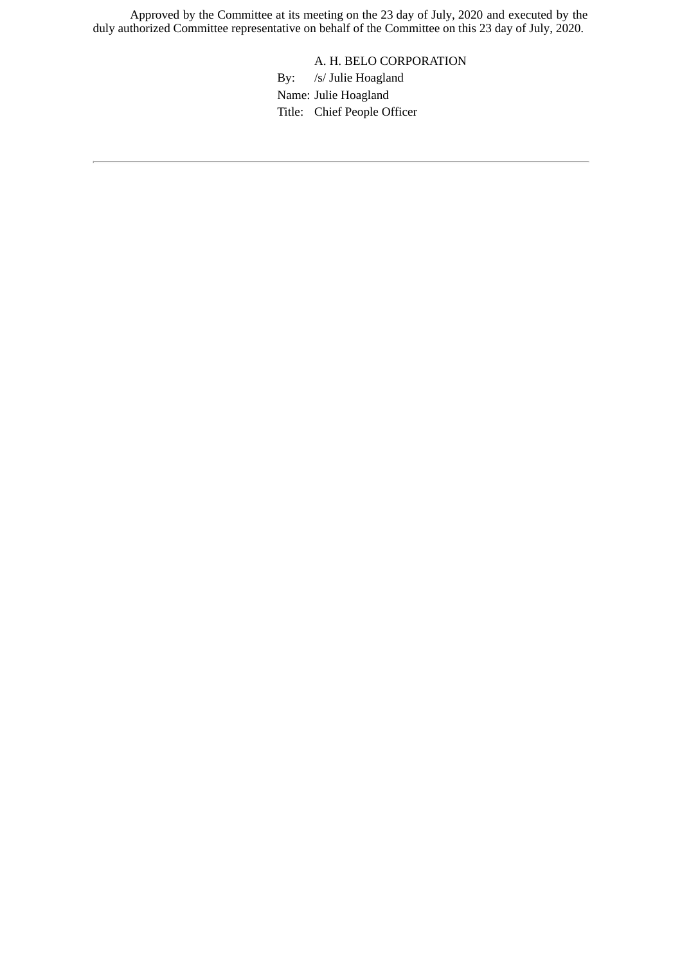Approved by the Committee at its meeting on the 23 day of July, 2020 and executed by the duly authorized Committee representative on behalf of the Committee on this 23 day of July, 2020.

> A. H. BELO CORPORATION By: /s/ Julie Hoagland Name: Julie Hoagland Title: Chief People Officer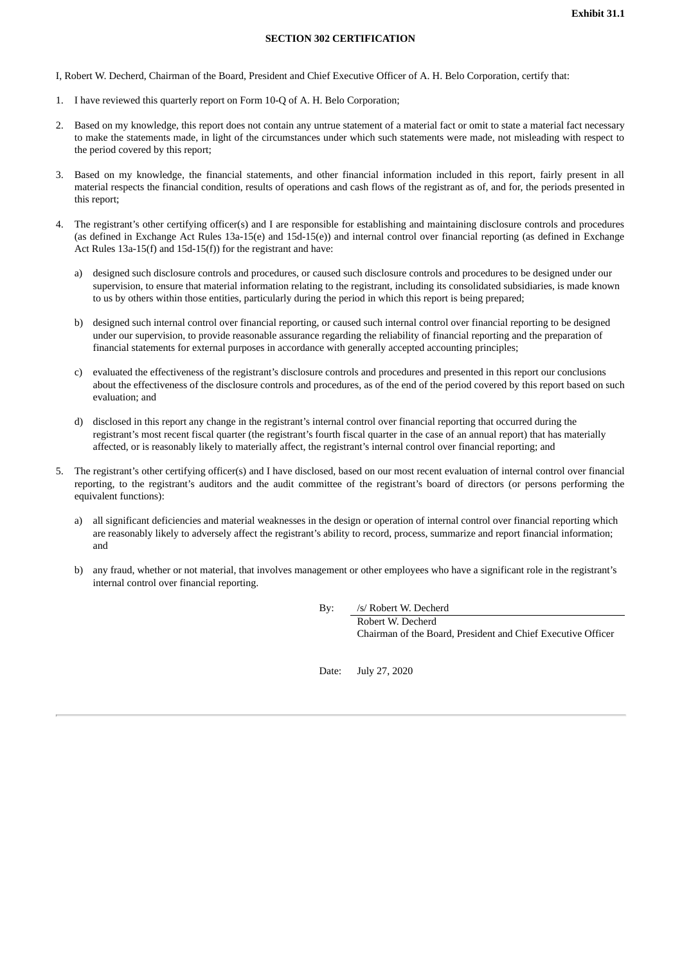#### **SECTION 302 CERTIFICATION**

<span id="page-38-0"></span>I, Robert W. Decherd, Chairman of the Board, President and Chief Executive Officer of A. H. Belo Corporation, certify that:

- 1. I have reviewed this quarterly report on Form 10-Q of A. H. Belo Corporation;
- 2. Based on my knowledge, this report does not contain any untrue statement of a material fact or omit to state a material fact necessary to make the statements made, in light of the circumstances under which such statements were made, not misleading with respect to the period covered by this report;
- 3. Based on my knowledge, the financial statements, and other financial information included in this report, fairly present in all material respects the financial condition, results of operations and cash flows of the registrant as of, and for, the periods presented in this report;
- 4. The registrant's other certifying officer(s) and I are responsible for establishing and maintaining disclosure controls and procedures (as defined in Exchange Act Rules 13a-15(e) and 15d-15(e)) and internal control over financial reporting (as defined in Exchange Act Rules 13a-15(f) and 15d-15(f)) for the registrant and have:
	- a) designed such disclosure controls and procedures, or caused such disclosure controls and procedures to be designed under our supervision, to ensure that material information relating to the registrant, including its consolidated subsidiaries, is made known to us by others within those entities, particularly during the period in which this report is being prepared;
	- b) designed such internal control over financial reporting, or caused such internal control over financial reporting to be designed under our supervision, to provide reasonable assurance regarding the reliability of financial reporting and the preparation of financial statements for external purposes in accordance with generally accepted accounting principles;
	- c) evaluated the effectiveness of the registrant's disclosure controls and procedures and presented in this report our conclusions about the effectiveness of the disclosure controls and procedures, as of the end of the period covered by this report based on such evaluation; and
	- d) disclosed in this report any change in the registrant's internal control over financial reporting that occurred during the registrant's most recent fiscal quarter (the registrant's fourth fiscal quarter in the case of an annual report) that has materially affected, or is reasonably likely to materially affect, the registrant's internal control over financial reporting; and
- 5. The registrant's other certifying officer(s) and I have disclosed, based on our most recent evaluation of internal control over financial reporting, to the registrant's auditors and the audit committee of the registrant's board of directors (or persons performing the equivalent functions):
	- a) all significant deficiencies and material weaknesses in the design or operation of internal control over financial reporting which are reasonably likely to adversely affect the registrant's ability to record, process, summarize and report financial information; and
	- b) any fraud, whether or not material, that involves management or other employees who have a significant role in the registrant's internal control over financial reporting.

By: /s/ Robert W. Decherd

Robert W. Decherd Chairman of the Board, President and Chief Executive Officer

Date: July 27, 2020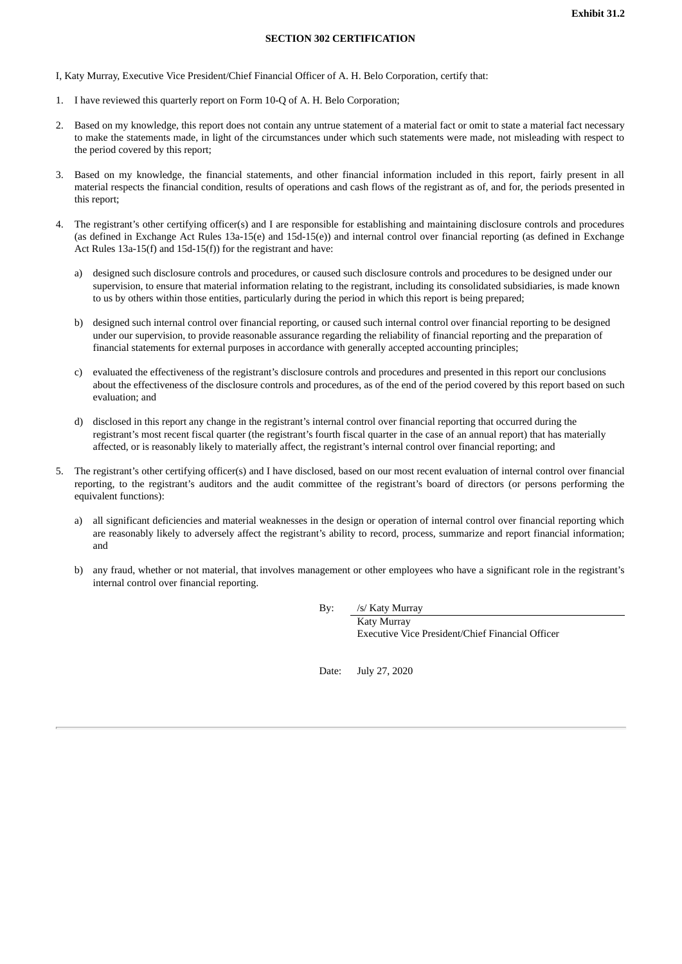#### **SECTION 302 CERTIFICATION**

<span id="page-39-0"></span>I, Katy Murray, Executive Vice President/Chief Financial Officer of A. H. Belo Corporation, certify that:

- 1. I have reviewed this quarterly report on Form 10-Q of A. H. Belo Corporation;
- 2. Based on my knowledge, this report does not contain any untrue statement of a material fact or omit to state a material fact necessary to make the statements made, in light of the circumstances under which such statements were made, not misleading with respect to the period covered by this report;
- 3. Based on my knowledge, the financial statements, and other financial information included in this report, fairly present in all material respects the financial condition, results of operations and cash flows of the registrant as of, and for, the periods presented in this report;
- 4. The registrant's other certifying officer(s) and I are responsible for establishing and maintaining disclosure controls and procedures (as defined in Exchange Act Rules 13a-15(e) and 15d-15(e)) and internal control over financial reporting (as defined in Exchange Act Rules 13a-15(f) and 15d-15(f)) for the registrant and have:
	- a) designed such disclosure controls and procedures, or caused such disclosure controls and procedures to be designed under our supervision, to ensure that material information relating to the registrant, including its consolidated subsidiaries, is made known to us by others within those entities, particularly during the period in which this report is being prepared;
	- b) designed such internal control over financial reporting, or caused such internal control over financial reporting to be designed under our supervision, to provide reasonable assurance regarding the reliability of financial reporting and the preparation of financial statements for external purposes in accordance with generally accepted accounting principles;
	- c) evaluated the effectiveness of the registrant's disclosure controls and procedures and presented in this report our conclusions about the effectiveness of the disclosure controls and procedures, as of the end of the period covered by this report based on such evaluation; and
	- d) disclosed in this report any change in the registrant's internal control over financial reporting that occurred during the registrant's most recent fiscal quarter (the registrant's fourth fiscal quarter in the case of an annual report) that has materially affected, or is reasonably likely to materially affect, the registrant's internal control over financial reporting; and
- 5. The registrant's other certifying officer(s) and I have disclosed, based on our most recent evaluation of internal control over financial reporting, to the registrant's auditors and the audit committee of the registrant's board of directors (or persons performing the equivalent functions):
	- a) all significant deficiencies and material weaknesses in the design or operation of internal control over financial reporting which are reasonably likely to adversely affect the registrant's ability to record, process, summarize and report financial information; and
	- b) any fraud, whether or not material, that involves management or other employees who have a significant role in the registrant's internal control over financial reporting.

By: /s/ Katy Murray

Katy Murray Executive Vice President/Chief Financial Officer

Date: July 27, 2020